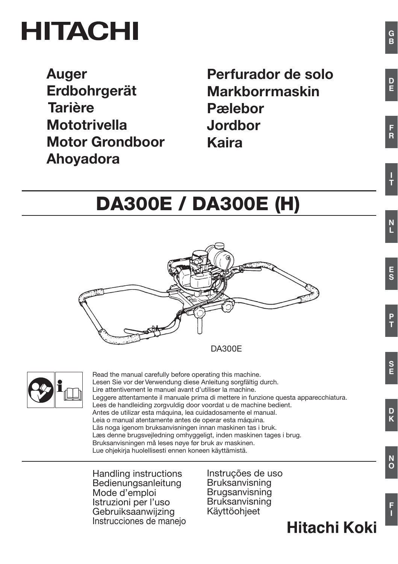# **HITACHI**

**Auger** Erdbohrgerät **Tarière Mototrivella Motor Grondboor** Ahoyadora

Perfurador de solo **Markborrmaskin P**ælebor Jordbor **Kaira** 

# **DA300E / DA300E (H)**





Read the manual carefully before operating this machine. Lesen Sie vor der Verwendung diese Anleitung sorgfältig durch. Lire attentivement le manuel avant d'utiliser la machine. Leggere attentamente il manuale prima di mettere in funzione questa apparecchiatura. Lees de handleiding zorgyuldig door voordat u de machine bedient. Antes de utilizar esta máquina, lea cuidadosamente el manual. Leia o manual atentamente antes de operar esta máquina. Läs noga jgenom bruksanvisningen innan maskinen tas i bruk. Læs denne brugsvejledning omhyggeligt, inden maskinen tages i brug. Bruksanvisningen må leses nøye før bruk av maskinen. Lue ohiekiria huolellisesti ennen koneen käyttämistä.

Handling instructions Bedienungsanleitung Mode d'emploi Istruzioni per l'uso Gebruiksaanwijzing Instrucciones de maneio Instruções de uso Bruksanvisning Brugsanvisning Bruksanvisning Käyttöohjeet

Hitachi Koki

 $\frac{D}{F}$ 

 $\frac{F}{R}$ 

S<br>E

 $\frac{D}{K}$ 

 $\overline{O}$ 

F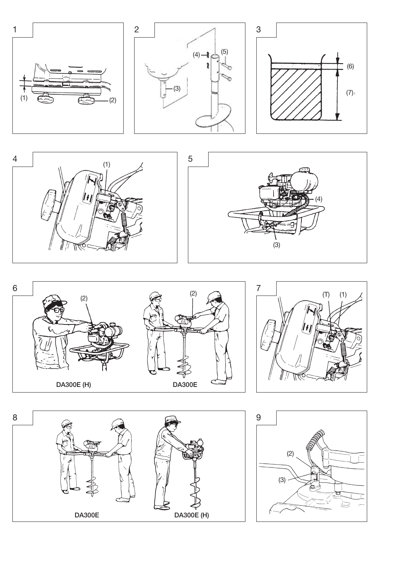











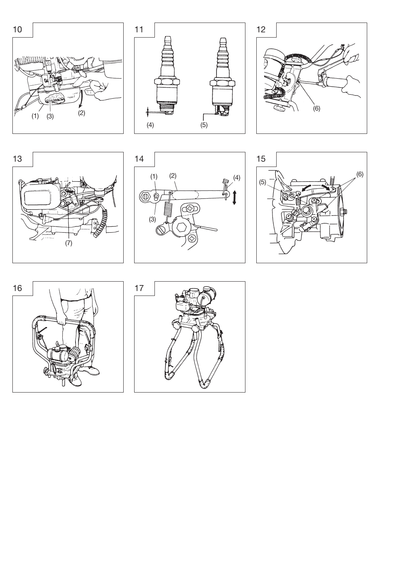













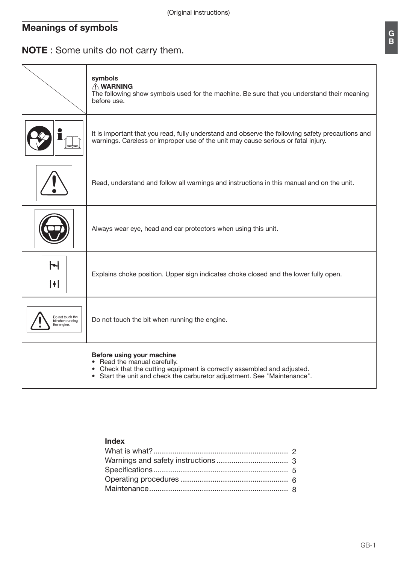# **Meanings of symbols**

# NOTE: Some units do not carry them.

|                                                     | symbols<br>A WARNING<br>The following show symbols used for the machine. Be sure that you understand their meaning<br>before use.                                                                                |
|-----------------------------------------------------|------------------------------------------------------------------------------------------------------------------------------------------------------------------------------------------------------------------|
|                                                     | It is important that you read, fully understand and observe the following safety precautions and<br>warnings. Careless or improper use of the unit may cause serious or fatal injury.                            |
|                                                     | Read, understand and follow all warnings and instructions in this manual and on the unit.                                                                                                                        |
|                                                     | Always wear eye, head and ear protectors when using this unit.                                                                                                                                                   |
| $\blacktriangleright$<br>H                          | Explains choke position. Upper sign indicates choke closed and the lower fully open.                                                                                                                             |
| Do not touch the<br>bit when running<br>the engine. | Do not touch the bit when running the engine.                                                                                                                                                                    |
|                                                     | Before using your machine<br>• Read the manual carefully.<br>• Check that the cutting equipment is correctly assembled and adjusted.<br>• Start the unit and check the carburetor adjustment. See "Maintenance". |

# Index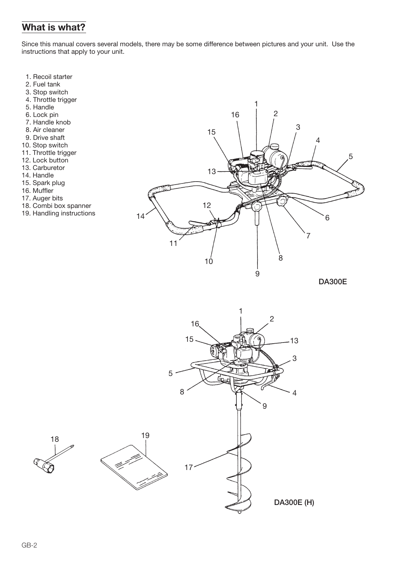# What is what?

Since this manual covers several models, there may be some difference between pictures and your unit. Use the instructions that apply to your unit.

- 1. Recoil starter
- 2. Fuel tank
- 3. Stop switch
- 4. Throttle trigger
- 5. Handle
- 6. Lock pin
- 7. Handle knob
- 8. Air cleaner
- 9. Drive shaft
- 10. Stop switch
- 11. Throttle trigger
- 12. Lock button
- 13. Carburetor
- 14. Handle
- 15. Spark plug
- 16. Muffler
- 17. Auger bits
- 18. Combi box spanner
- 19. Handling instructions



**DA300E** 

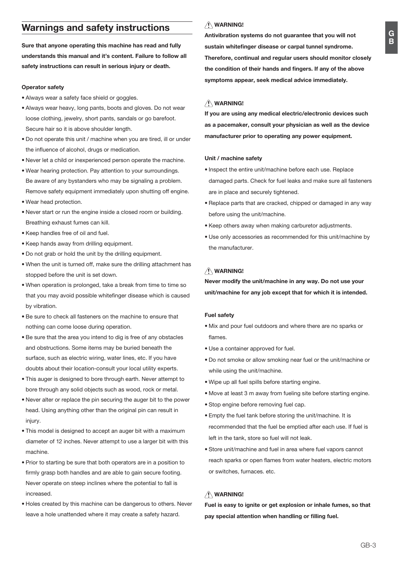# **Warnings and safety instructions**

Sure that anyone operating this machine has read and fully understands this manual and it's content. Failure to follow all safety instructions can result in serious injury or death.

#### Operator safety

- · Always wear a safety face shield or goggles.
- Always wear heavy, long pants, boots and gloves. Do not wear loose clothing, jewelry, short pants, sandals or go barefoot. Secure hair so it is above shoulder length.
- . Do not operate this unit / machine when you are tired, ill or under the influence of alcohol, drugs or medication.
- . Never let a child or inexperienced person operate the machine
- . Wear hearing protection. Pay attention to your surroundings. Be aware of any bystanders who may be signaling a problem. Remove safety equipment immediately upon shutting off engine.
- . Wear head protection.
- . Never start or run the engine inside a closed room or building. Breathing exhaust fumes can kill.
- Keep handles free of oil and fuel.
- Keep hands away from drilling equipment.
- . Do not grab or hold the unit by the drilling equipment.
- . When the unit is turned off, make sure the drilling attachment has stopped before the unit is set down.
- . When operation is prolonged, take a break from time to time so that you may avoid possible whitefinger disease which is caused by vibration.
- . Be sure to check all fasteners on the machine to ensure that nothing can come loose during operation.
- . Be sure that the area you intend to dig is free of any obstacles and obstructions. Some items may be buried beneath the surface, such as electric wiring, water lines, etc. If you have doubts about their location-consult your local utility experts.
- . This auger is designed to bore through earth. Never attempt to bore through any solid objects such as wood, rock or metal.
- . Never alter or replace the pin securing the auger bit to the power head, Using anything other than the original pin can result in injury.
- . This model is designed to accept an auger bit with a maximum diameter of 12 inches. Never attempt to use a larger bit with this machine
- . Prior to starting be sure that both operators are in a position to firmly grasp both handles and are able to gain secure footing. Never operate on steep inclines where the potential to fall is hezeasphi
- . Holes created by this machine can be dangerous to others. Never leave a hole unattended where it may create a safety hazard.

# /\ WARNING!

Antivibration systems do not guarantee that you will not sustain whitefinger disease or carpal tunnel syndrome. Therefore, continual and regular users should monitor closely the condition of their hands and fingers. If any of the above symptoms appear, seek medical advice immediately.

# **NWARNING!**

If you are using any medical electric/electronic devices such as a pacemaker, consult your physician as well as the device manufacturer prior to operating any power equipment.

#### Unit / machine safety

- . Inspect the entire unit/machine before each use. Replace damaged parts. Check for fuel leaks and make sure all fasteners are in place and securely tightened.
- Replace parts that are cracked, chipped or damaged in any way before using the unit/machine.
- Keep others away when making carburetor adjustments.
- . Use only accessories as recommended for this unit/machine by the manufacturer.

# /\ WARNING!

Never modify the unit/machine in any way. Do not use your unit/machine for any job except that for which it is intended.

#### **Fuel safety**

- . Mix and pour fuel outdoors and where there are no sparks or flames
- · Use a container approved for fuel.
- . Do not smoke or allow smoking near fuel or the unit/machine or while using the unit/machine.
- . Wipe up all fuel spills before starting engine.
- . Move at least 3 m away from fueling site before starting engine.
- · Stop engine before removing fuel cap.
- . Empty the fuel tank before storing the unit/machine. It is recommended that the fuel be emptied after each use. If fuel is left in the tank store so fuel will not leak
- · Store unit/machine and fuel in area where fuel vapors cannot reach sparks or open flames from water heaters, electric motors or switches, furnaces, etc.

#### /\ WARNING!

Fuel is easy to ignite or get explosion or inhale fumes, so that pay special attention when handling or filling fuel.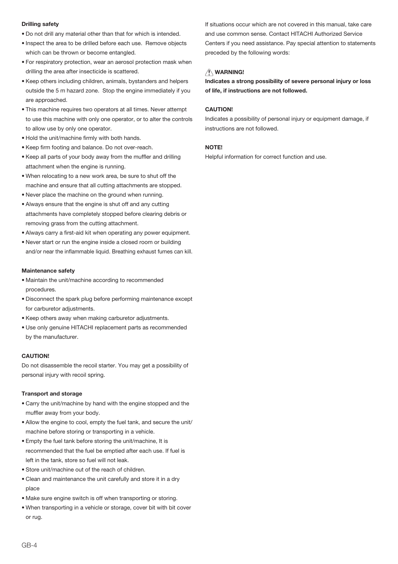#### **Drilling safety**

- . Do not drill any material other than that for which is intended
- . Inspect the area to be drilled before each use. Remove objects which can be thrown or become entangled.
- . For respiratory protection, wear an aerosol protection mask when drilling the area after insecticide is scattered.
- Keep others including children, animals, bystanders and helpers outside the 5 m hazard zone. Stop the engine immediately if you are approached.
- . This machine requires two operators at all times. Never attempt to use this machine with only one operator, or to alter the controls to allow use by only one operator.
- . Hold the unit/machine firmly with both hands.
- Keep firm footing and balance. Do not over-reach.
- . Keep all parts of your body away from the muffler and drilling attachment when the engine is running.
- . When relocating to a new work area, be sure to shut off the machine and ensure that all cutting attachments are stopped.
- . Never place the machine on the ground when running.
- . Always ensure that the engine is shut off and any cutting attachments have completely stopped before clearing debris or removing grass from the cutting attachment.
- . Always carry a first-aid kit when operating any power equipment.
- . Never start or run the engine inside a closed room or building and/or near the inflammable liquid. Breathing exhaust fumes can kill.

#### Maintenance safety

- · Maintain the unit/machine according to recommended procedures.
- . Disconnect the spark plug before performing maintenance except for carburetor adjustments.
- . Keep others away when making carburetor adjustments.
- . Use only genuine HITACHI replacement parts as recommended by the manufacturer

#### CALITIONS

Do not disassemble the recoil starter. You may get a possibility of personal injury with recoil spring.

#### **Transport and storage**

- . Carry the unit/machine by hand with the engine stopped and the muffler away from your body.
- Allow the engine to cool, empty the fuel tank, and secure the unit/ machine before storing or transporting in a vehicle.
- . Empty the fuel tank before storing the unit/machine, It is recommended that the fuel be emptied after each use. If fuel is left in the tank, store so fuel will not leak.
- . Store unit/machine out of the reach of children.
- Clean and maintenance the unit carefully and store it in a dry place
- . Make sure engine switch is off when transporting or storing.
- . When transporting in a vehicle or storage, cover bit with bit cover or rug.

If situations occur which are not covered in this manual, take care and use common sense. Contact HITACHI Authorized Service Centers if you need assistance. Pay special attention to statements preceded by the following words:

#### /\ WARNING!

Indicates a strong possibility of severe personal injury or loss of life, if instructions are not followed.

#### **CALITION!**

Indicates a possibility of personal injury or equipment damage, if instructions are not followed

#### **NOTE!**

Helpful information for correct function and use.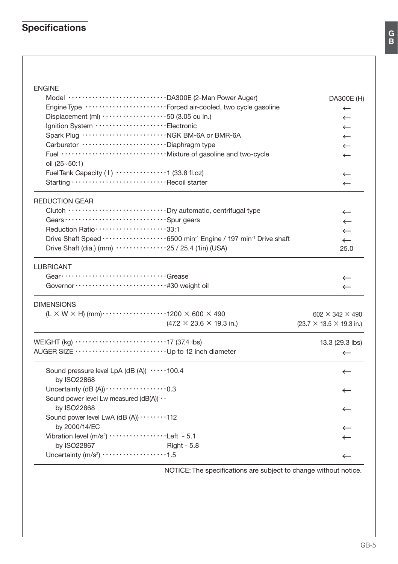# Specifications

# ENGINE

| Model DA300E (2-Man Power Auger)                                                                         | DA300E (H)                                   |
|----------------------------------------------------------------------------------------------------------|----------------------------------------------|
| Engine Type ··························Forced air-cooled, two cycle gasoline                              | $\leftarrow$                                 |
| Displacement (ml) ····················50 (3.05 cu in.)                                                   | $\leftarrow$                                 |
| Ignition System ·························Electronic                                                      | $\leftarrow$                                 |
|                                                                                                          | $\leftarrow$                                 |
| Carburetor ····························· Diaphragm type                                                  | $\leftarrow$                                 |
|                                                                                                          | $\leftarrow$                                 |
| oil (25~50:1)                                                                                            |                                              |
| Fuel Tank Capacity (1) $\cdots$ $\cdots$ $(33.8 \text{ fl.oz})$                                          | $\leftarrow$                                 |
| Starting Recoil starter                                                                                  | $\leftarrow$                                 |
| <b>REDUCTION GEAR</b>                                                                                    |                                              |
| Clutch ································ Dry automatic, centrifugal type                                  | $\leftarrow$                                 |
|                                                                                                          | $\leftarrow$                                 |
| Reduction Ratio ······················33:1                                                               | $\leftarrow$                                 |
|                                                                                                          | $\leftarrow$                                 |
| Drive Shaft (dia.) (mm) $\cdots \cdots \cdots \cdots 25$ / 25.4 (1in) (USA)                              | 25.0                                         |
| <b>LUBRICANT</b>                                                                                         |                                              |
|                                                                                                          | ←                                            |
| Governor ······························· #30 weight oil                                                  | $\leftarrow$                                 |
| <b>DIMENSIONS</b>                                                                                        |                                              |
| $(L \times W \times H)$ (mm) $\cdots$ $\cdots$ $\cdots$ $\cdots$ $\cdots$ 1200 $\times$ 600 $\times$ 490 | $602 \times 342 \times 490$                  |
| $(47.2 \times 23.6 \times 19.3 \text{ in.})$                                                             | $(23.7 \times 13.5 \times 19.3 \text{ in.})$ |
|                                                                                                          | 13.3 (29.3 lbs)                              |
|                                                                                                          | $\leftarrow$                                 |
| Sound pressure level LpA (dB (A)) 100.4                                                                  | $\leftarrow$                                 |
| by ISO22868<br>Uncertainty (dB (A)) $\cdots$ $\cdots$ $\cdots$ $\cdots$ $\cdots$ 0.3                     |                                              |
| Sound power level Lw measured (dB(A)) $\cdot$                                                            | $\leftarrow$                                 |
|                                                                                                          |                                              |
| by ISO22868                                                                                              | $\leftarrow$                                 |
| Sound power level LwA (dB (A)) $\cdots$ 112<br>by 2000/14/EC                                             |                                              |
| Vibration level (m/s <sup>2</sup> ) ··················Left - 5.1                                         | ←                                            |
|                                                                                                          | $\leftarrow$                                 |
| by ISO22867<br>Right - 5.8<br>Uncertainty (m/s <sup>2</sup> ) ··················1.5                      |                                              |
|                                                                                                          | $\leftarrow$                                 |

NOTICE: The specifications are subject to change without notice.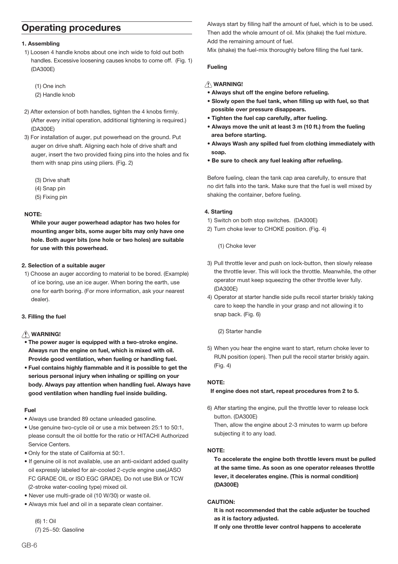# **Operating procedures**

#### 1. Assembling

- 1) Loosen 4 handle knobs about one inch wide to fold out both handles. Excessive loosening causes knobs to come off. (Fig. 1)  $(DA300F)$ 
	- (1) One inch
	- (2) Handle knob
- 2) After extension of both handles, tighten the 4 knobs firmly. (After every initial operation, additional tightening is required.)  $(DA300F)$
- 3) For installation of auger, put powerhead on the ground. Put auger on drive shaft. Aligning each hole of drive shaft and auger, insert the two provided fixing pins into the holes and fixed them with snap pins using pliers. (Fig. 2)
	- (3) Drive shaft
	- $(4)$  Snap pin
	- (5) Fixing pin

#### NOTE-

While your auger powerhead adaptor has two holes for mounting anger bits, some auger bits may only have one hole. Both auger bits (one hole or two holes) are suitable for use with this powerhead.

#### 2. Selection of a suitable auger

1) Choose an auger according to material to be bored. (Example) of ice boring use an ice auger. When boring the earth use one for earth boring. (For more information, ask your nearest dealer)

#### 3. Filling the fuel

### /\ WARNING!

- The power auger is equipped with a two-stroke engine. Always run the engine on fuel, which is mixed with oil. Provide good ventilation, when fueling or handling fuel.
- . Fuel contains highly flammable and it is possible to get the serious personal injury when inhaling or spilling on your body. Always pay attention when handling fuel. Always have good ventilation when handling fuel inside building.

#### Fuel

- · Always use branded 89 octane unleaded gasoline.
- . Use genuine two-cycle oil or use a mix between 25:1 to 50:1, please consult the oil bottle for the ratio or HITACHI Authorized Service Centers.
- . Only for the state of California at 50:1.
- . If genuine oil is not available, use an anti-oxidant added quality oil expressly labeled for air-cooled 2-cycle engine use(JASO FC GRADE OIL or ISO EGC GRADE). Do not use BIA or TCW (2-stroke water-cooling type) mixed oil.
- · Never use multi-grade oil (10 W/30) or waste oil.
- · Always mix fuel and oil in a separate clean container.

 $(6) 1:$  Oil (7) 25~50: Gasoline Always start by filling half the amount of fuel, which is to be used. Then add the whole amount of oil. Mix (shake) the fuel mixture. Add the remaining amount of fuel.

Mix (shake) the fuel-mix thoroughly before filling the fuel tank.

#### **Fueling**

#### A WARNING!

- . Always shut off the engine before refueling.
- . Slowly open the fuel tank, when filling up with fuel, so that possible over pressure disappears.
- . Tighten the fuel cap carefully, after fueling.
- . Always move the unit at least 3 m (10 ft.) from the fueling area before starting.
- . Always Wash any spilled fuel from clothing immediately with soap.
- . Be sure to check any fuel leaking after refueling.

Before fueling, clean the tank cap area carefully, to ensure that no dirt falls into the tank. Make sure that the fuel is well mixed by shaking the container, before fueling.

#### 4. Starting

- 1) Switch on both stop switches. (DA300E)
- 2) Turn choke lever to CHOKE position. (Fig. 4)

(1) Choke lever

- 3) Pull throttle lever and push on lock-button, then slowly release the throttle lever. This will lock the throttle. Meanwhile, the other operator must keep squeezing the other throttle lever fully. (DA300E)
- 4) Operator at starter handle side pulls recoil starter briskly taking care to keep the handle in your grasp and not allowing it to snap back. (Fig. 6)
	- (2) Starter handle
- 5) When you hear the engine want to start, return choke lever to RUN position (open). Then pull the recoil starter briskly again.  $(Fia. 4)$

#### NOTE-

If engine does not start, repeat procedures from 2 to 5.

6) After starting the engine, pull the throttle lever to release lock button. (DA300E)

Then, allow the engine about 2-3 minutes to warm up before subiecting it to any load.

### NOTE-

To accelerate the engine both throttle levers must be pulled at the same time. As soon as one operator releases throttle lever, it decelerates engine. (This is normal condition) (DA300E)

#### CAUTION:

It is not recommended that the cable adjuster be touched as it is factory adjusted.

If only one throttle lever control happens to accelerate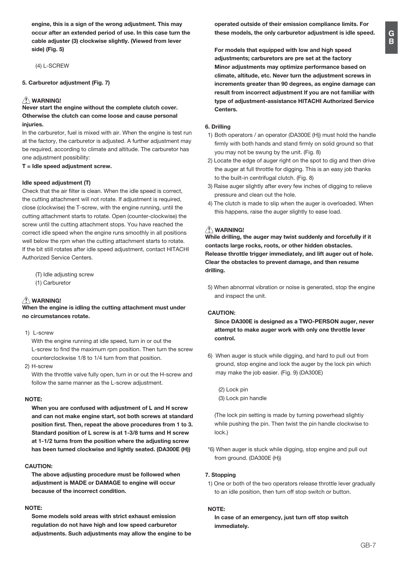G  $\tilde{B}$ 

engine, this is a sign of the wrong adjustment. This may occur after an extended period of use. In this case turn the cable adjuster (3) clockwise slightly. (Viewed from lever side) (Fig. 5)

(4) L-SCREW

5. Carburetor adjustment (Fig. 7)

# $\hat{N}$  WARNING!

Never start the engine without the complete clutch cover. Otherwise the clutch can come loose and cause personal iniuries.

In the carburetor, fuel is mixed with air. When the engine is test run at the factory, the carburetor is adjusted. A further adjustment may be required, according to climate and altitude. The carburetor has one adjustment possibility:

 $T =$  Idle speed adjustment screw.

#### Idle speed adjustment (T)

Check that the air filter is clean. When the idle speed is correct, the cutting attachment will not rotate. If adjustment is required. close (clockwise) the T-screw, with the engine running, until the cutting attachment starts to rotate. Open (counter-clockwise) the screw until the cutting attachment stops. You have reached the correct idle speed when the engine runs smoothly in all positions well below the rpm when the cutting attachment starts to rotate. If the bit still rotates after idle speed adjustment, contact HITACHI Authorized Service Centers.

(T) Idle adjusting screw (1) Carburetor

# ∕!∖ warning!

When the engine is idling the cutting attachment must under no circumstances rotate.

 $1)$   $l$  -screw

With the engine running at idle speed, turn in or out the L-screw to find the maximum rpm position. Then turn the screw counterclockwise 1/8 to 1/4 turn from that position.

2) H-screw

With the throttle valve fully open, turn in or out the H-screw and follow the same manner as the L-screw adjustment.

#### NOTE:

When you are confused with adjustment of L and H screw and can not make engine start, sot both screws at standard position first. Then, repeat the above procedures from 1 to 3. Standard position of L screw is at 1-3/8 turns and H screw at 1-1/2 turns from the position where the adjusting screw has been turned clockwise and lightly seated. (DA300E (H))

#### CAUTION:

The above adjusting procedure must be followed when adjustment is MADE or DAMAGE to engine will occur because of the incorrect condition.

#### NOTE-

Some models sold areas with strict exhaust emission regulation do not have high and low speed carburetor adjustments. Such adjustments may allow the engine to be For models that equipped with low and high speed adjustments; carburetors are pre set at the factory Minor adjustments may optimize performance based on climate, altitude, etc. Never turn the adiustment screws in increments greater than 90 degrees, as engine damage can result from incorrect adjustment If you are not familiar with type of adjustment-assistance HITACHI Authorized Service Centers.

operated outside of their emission compliance limits. For

these models, the only carburetor adjustment is idle speed.

#### 6. Drilling

- 1) Both operators / an operator (DA300E (H)) must hold the handle firmly with both hands and stand firmly on solid ground so that you may not be swung by the unit. (Fig. 8)
- 2) Locate the edge of auger right on the spot to dig and then drive the auger at full throttle for digging. This is an easy job thanks to the built-in centrifugal clutch. (Fig. 8)
- 3) Raise auger slightly after every few inches of digging to relieve pressure and clean out the hole.
- 4) The clutch is made to slip when the auger is overloaded. When this happens, raise the auger slightly to ease load.

# A WARNING!

While drilling, the auger may twist suddenly and forcefully if it contacts large rocks, roots, or other hidden obstacles. Release throttle trigger immediately, and lift auger out of hole. Clear the obstacles to prevent damage, and then resume drilling.

5) When abnormal vibration or noise is generated, stop the engine and inspect the unit

#### CAUTION:

Since DA300E is designed as a TWO-PERSON auger, never attempt to make auger work with only one throttle lever control.

6) When auger is stuck while digging, and hard to pull out from ground, stop engine and lock the auger by the lock pin which may make the job easier. (Fig. 9) (DA300E)

 $(2)$  I ock pin (3) Lock pin handle

(The lock pin setting is made by turning powerhead slightive) while pushing the pin. Then twist the pin handle clockwise to lock.)

\*6) When auger is stuck while digging, stop engine and pull out from ground, (DA300E (H))

#### 7. Stopping

1) One or both of the two operators release throttle lever gradually to an idle position, then turn off stop switch or button.

#### NOTE:

In case of an emergency, just turn off stop switch immediately.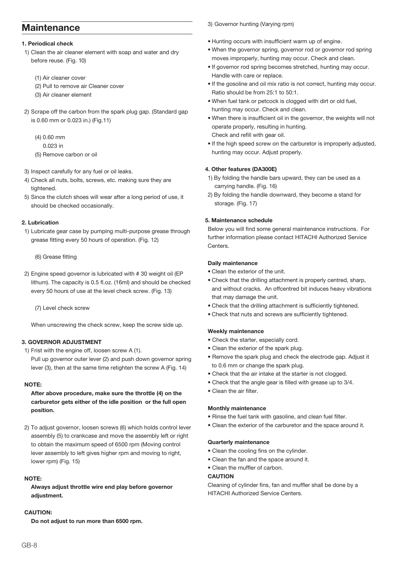# Maintenance

### 1. Periodical check

- 1) Clean the air cleaner element with soap and water and dry before reuse, (Fig. 10)
	- (1) Air cleaner cover
	- (2) Pull to remove air Cleaner cover
	- (3) Air cleaner element
- 2) Scrape off the carbon from the spark plug gap. (Standard gap is 0.60 mm or 0.023 in.) (Fig.11)
	- $(4) 0.60$  mm
		- $0.023$  in
	- (5) Remove carbon or oil
- 3) Inspect carefully for any fuel or oil leaks
- 4) Check all nuts, bolts, screws, etc. making sure they are henetdoit
- 5) Since the clutch shoes will wear after a long period of use, it should be checked occasionally.

#### 2. Lubrication

1) Lubricate gear case by pumping multi-purpose grease through grease fitting every 50 hours of operation. (Fig. 12)

(6) Grease fitting

2) Engine speed governor is lubricated with #30 weight oil (EP lithum) The canacity is 0.5 fl oz (16ml) and should be checked every 50 hours of use at the level check screw. (Fig. 13)

(7) Level check screw

When unscrewing the check screw, keep the screw side up.

#### 3. GOVERNOR ADJUSTMENT

- 1) Frist with the engine off loosen screw A (1)
- Pull up governor outer lever (2) and push down governor spring lever (3), then at the same time retighten the screw A (Fig. 14)

#### NOTE-

After above procedure, make sure the throttle (4) on the carburetor gets either of the idle position or the full open position.

2) To adjust governor, loosen screws (6) which holds control lever assembly (5) to crankcase and move the assembly left or right to obtain the maximum speed of 6500 rpm (Moving control lever assembly to left gives higher rpm and moving to right, lower rpm) (Fig. 15)

#### NOTE:

Always adjust throttle wire end play before governor adjustment.

#### **CAUTION:**

Do not adjust to run more than 6500 rpm.

3) Governor hunting (Varying rpm)

- . Hunting occurs with insufficient warm up of engine.
- . When the governor spring, governor rod or governor rod spring moves improperly, hunting may occur. Check and clean.
- . If governor rod spring becomes stretched, hunting may occur. Handle with care or replace.
- . If the gosoline and oil mix ratio is not correct, hunting may occur. Ratio should be from 25:1 to 50:1.
- . When fuel tank or petcock is clogged with dirt or old fuel, hunting may occur. Check and clean.
- . When there is insufficient oil in the governor, the weights will not operate properly, resulting in hunting. Check and refill with gear oil.
- . If the high speed screw on the carburetor is improperly adjusted, hunting may occur. Adjust properly.

#### 4. Other features (DA300E)

- 1) By folding the handle bars upward, they can be used as a carrving handle, (Fig. 16)
- 2) By folding the handle downward, they become a stand for storage, (Fig. 17)

#### 5. Maintenance schedule

Below you will find some general maintenance instructions. For further information please contact HITACHI Authorized Service Centers

#### Daily maintenance

- . Clean the exterior of the unit
- . Check that the drilling attachment is properly centred, sharp, and without cracks. An offcentred bit induces heavy vibrations that may damage the unit.
- . Check that the drilling attachment is sufficiently tightened.
- Check that nuts and screws are sufficiently tightened.

#### Weekly maintenance

- · Check the starter, especially cord.
- Clean the exterior of the spark plug.
- . Remove the spark plug and check the electrode gap. Adjust it to 0.6 mm or change the spark plug.
- Check that the air intake at the starter is not clogged.
- Check that the angle gear is filled with grease up to 3/4.
- Clean the air filter.

#### **Monthly maintenance**

- . Rinse the fuel tank with gasoline, and clean fuel filter.
- . Clean the exterior of the carburetor and the space around it.

#### **Quarterly maintenance**

- Clean the cooling fins on the cylinder.
- . Clean the fan and the space around it.
- Clean the muffler of carbon.

### **CALITION**

Cleaning of cylinder fins, fan and muffler shall be done by a HITACHI Authorized Service Centers.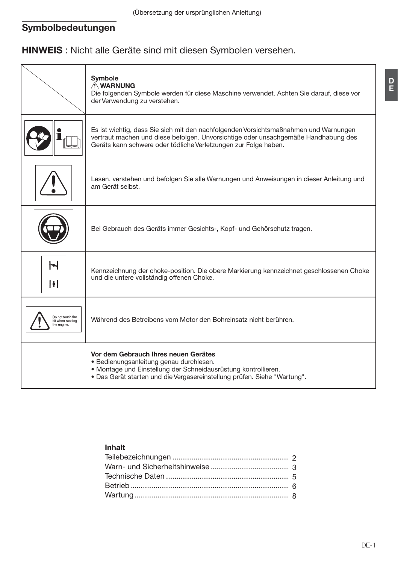# Symbolbedeutungen

HINWEIS : Nicht alle Geräte sind mit diesen Symbolen versehen.

|                                                     | Symbole<br>A WARNUNG<br>Die folgenden Symbole werden für diese Maschine verwendet. Achten Sie darauf, diese vor<br>der Verwendung zu verstehen.                                                                                               |
|-----------------------------------------------------|-----------------------------------------------------------------------------------------------------------------------------------------------------------------------------------------------------------------------------------------------|
|                                                     | Es ist wichtig, dass Sie sich mit den nachfolgenden Vorsichtsmaßnahmen und Warnungen<br>vertraut machen und diese befolgen. Unvorsichtige oder unsachgemäße Handhabung des<br>Geräts kann schwere oder tödliche Verletzungen zur Folge haben. |
|                                                     | Lesen, verstehen und befolgen Sie alle Warnungen und Anweisungen in dieser Anleitung und<br>am Gerät selbst.                                                                                                                                  |
|                                                     | Bei Gebrauch des Geräts immer Gesichts-, Kopf- und Gehörschutz tragen.                                                                                                                                                                        |
| Н<br>H                                              | Kennzeichnung der choke-position. Die obere Markierung kennzeichnet geschlossenen Choke<br>und die untere vollständig offenen Choke.                                                                                                          |
| Do not touch the<br>bit when running<br>the engine. | Während des Betreibens vom Motor den Bohreinsatz nicht berühren.                                                                                                                                                                              |
|                                                     | Vor dem Gebrauch Ihres neuen Gerätes<br>· Bedienungsanleitung genau durchlesen.<br>· Montage und Einstellung der Schneidausrüstung kontrollieren.<br>. Das Gerät starten und die Vergasereinstellung prüfen. Siehe "Wartung".                 |

# Inhalt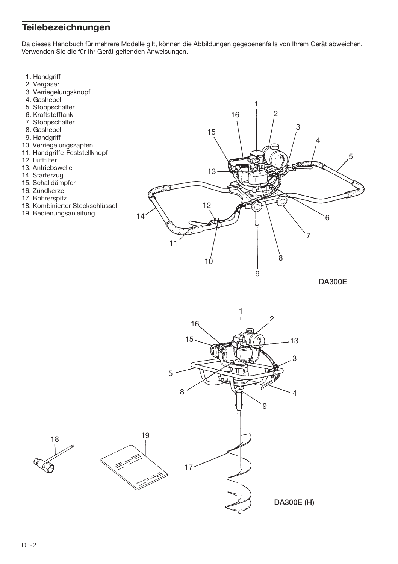# Teilebezeichnungen

Da dieses Handbuch für mehrere Modelle gilt, können die Abbildungen gegebenenfalls von Ihrem Gerät abweichen. Verwenden Sie die für Ihr Gerät geltenden Anweisungen.

- 1. Handgriff
- 2. Vergaser
- 3. Verriegelungsknopf
- 4. Gashebel
- 5. Stoppschalter
- 6. Kraftstofftank
- 7. Stoppschalter
- 8. Gashebel
- 9. Handgriff
- 10. Verriegelungszapfen
- 11. Handgriffe-Feststellknopf
- 12. Luftfilter
- 13. Antriebswelle
- 14. Starterzug
- 15. Schalldämpfer
- 16. Zündkerze
- 17. Bohrerspitz
- 18. Kombinierter Steckschlüssel
- 19. Bedienungsanleitung



**DA300E** 

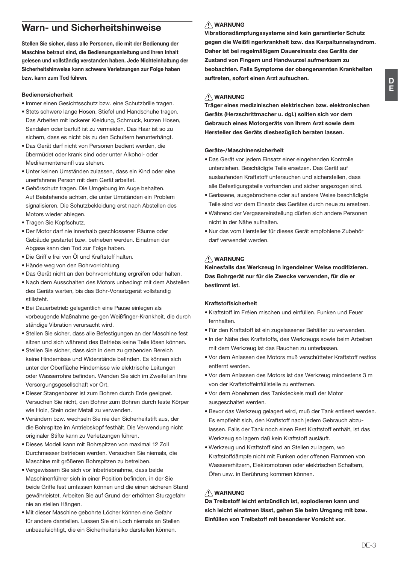# Warn- und Sicherheitshinweise

Stellen Sie sicher, dass alle Personen, die mit der Bedienung der Maschine betraut sind, die Bedienungsanleitung und ihren Inhalt gelesen und vollständig verstanden haben. Jede Nichteinhaltung der Sicherheitshinweise kann schwere Verletzungen zur Folge haben bzw. kann zum Tod führen.

#### **Bedienersicherheit**

- · Immer einen Gesichtsschutz hzw. eine Schutzbrille tragen
- Stets schwere lange Hosen, Stiefel und Handschuhe tragen. Das Arbeiten mit lockerer Kleidung, Schmuck, kurzen Hosen, Sandalen oder barfuß ist zu vermeiden. Das Haar ist so zu sichern, dass es nicht bis zu den Schultern herunterhängt.
- · Das Gerät darf nicht von Personen bedient werden, die übermüdet oder krank sind oder unter Alkohol- oder Modilementencinflues atchen
- · Unter keinen Umständen zulassen, dass ein Kind oder eine unerfahrene Person mit dem Gerät arbeitet
- · Gehörschutz tragen Die Umgebung im Auge behalten Auf Beistehende achten, die unter Umständen ein Problem signalisieren. Die Schutzbekleidung erst nach Abstellen des Motors wieder ablegen.
- · Tragen Sie Konfschutz
- · Der Motor darf nie innerhalb geschlossener Räume oder Gebäude gestartet bzw. betrieben werden. Einatmen der Abgase kann den Tod zur Folge haben.
- . Die Griff e frei von Öl und Kraftstoff halten
- · Hände weg von den Bohrvorrichtung.
- · Das Gerät nicht an den bohrvorrichtung ergreifen oder halten.
- . Nach dem Ausschalten des Motors unbedingt mit dem Abstellen des Geräts warten, bis das Bohr-Vorsatzgerät vollstandig etilletaht
- · Bei Dauerbetrieb gelegentlich eine Pause einlegen als vorbeugende Maßnahme ge-gen Weißfinger-Krankheit, die durch ständige Vibration verursacht wird.
- · Stellen Sie sicher, dass alle Befestigungen an der Maschine fest sitzen und sich während des Betriebs keine Teile lösen können.
- · Stellen Sie sicher dass sich in dem zu grabenden Bereich keine Hindernisse und Widerstände befinden. Es können sich unter der Oberfläche Hindernisse wie elektrische Leitungen oder Wasserrohre befinden. Wenden Sie sich im Zweifel an Ihre Versorgungsgesellschaft vor Ort.
- · Dieser Stangenborer ist zum Bohren durch Erde geeignet. Versuchen Sie nicht, den Bohrer zum Bohren durch feste Körper wie Holz, Stein oder Metall zu verwenden.
- · Verändern bzw. wechseln Sie nie den Sicherheitstift aus, der die Bohrspitze im Antriebskopf festhält. Die Verwendung nicht originaler Stifte kann zu Verletzungen führen.
- · Dieses Modell kann mit Bohrspitzen von maximal 12 Zoll Durchmesser betrieben werden. Versuchen Sie niemals, die Maschine mit größeren Bohrspitzen zu betreiben.
- · Vergewissern Sie sich vor Inbetriebnahme, dass beide Maschinenführer sich in einer Position befinden in der Sie beide Griffe fest umfassen können und die einen sicheren Stand gewährleistet. Arbeiten Sie auf Grund der erhöhten Sturzgefahr nie an steilen Hängen.
- · Mit dieser Maschine gebohrte Löcher können eine Gefahr für andere darstellen. Lassen Sie ein Loch niemals an Stellen unbeaufsichtigt, die ein Sicherheitsrisiko darstellen können.

# **N** WARNUNG

Vibrationsdämpfungssysteme sind kein garantierter Schutz gegen die Weißfi ngerkrankheit bzw. das Karpaltunnelsvndrom. Daher ist bei regelmäßigem Dauereinsatz des Geräts der Zustand von Fingern und Handwurzel aufmerksam zu beobachten. Falls Symptome der obengenannten Krankheiten auftreten, sofort einen Arzt aufsuchen.

## **NARNUNG**

Träger eines medizinischen elektrischen bzw. elektronischen Geräts (Herzschrittmacher u. dgl.) sollten sich vor dem Gebrauch eines Motorgeräts von Ihrem Arzt sowie dem Hersteller des Geräts diesbezüglich beraten lassen.

#### Geräte-/Maschinensicherheit

- · Das Gerät vor jedem Einsatz einer eingehenden Kontrolle unterziehen. Beschädigte Teile ersetzen. Das Gerät auf auslaufenden Kraftstoff untersuchen und sicherstellen, dass alle Befestigungsteile vorhanden und sicher angezogen sind.
- · Gerissene, ausgebrochene oder auf andere Weise beschädigte Teile sind vor dem Einsatz des Gerätes durch neue zu ersetzen.
- · Während der Vergasereinstellung dürfen sich andere Personen nicht in der Nähe aufhalten.
- · Nur das vom Hersteller für dieses Gerät empfohlene Zubehör darf verwendet werden

# A WARNUNG

Keinesfalls das Werkzeug in irgendeiner Weise modifizieren. Das Bohrgerät nur für die Zwecke verwenden, für die er bestimmt ist.

#### Kraftstoffsicherheit

- Kraftstoff im Fréien mischen und einfüllen. Funken und Feuer fernhalten
- · Für den Kraftstoff ist ein zugelassener Behälter zu verwenden.
- · In der Nähe des Kraftstoffs, des Werkzeugs sowie beim Arbeiten mit dem Werkzeug ist das Rauchen zu unterlassen.
- . Vor dem Anlassen des Motors muß verschütteter Kraftstoff restlos entfernt werden
- . Vor dem Anlassen des Motors ist das Werkzeug mindestens 3 m von der Kraftstoffeinfüllstelle zu entfernen
- . Vor dem Abnehmen des Tankdeckels muß der Motor ausgeschaltet werden.
- · Bevor das Werkzeug gelagert wird, muß der Tank entleert werden. Es empfiehlt sich, den Kraftstoff nach jedem Gebrauch abzulassen. Falls der Tank noch einen Rest Kraftstoff enthält, ist das Werkzeug so lagern daß kein Kraftstoff ausläuft.
- . Werkzeug und Kraftstoff sind an Stellen zu lagern, wo Kraftstoffdämpfe nicht mit Funken oder offenen Flammen von Wassererhitzern. Elekiromotoren oder elektrischen Schaltern. Öfen usw. in Berührung kommen können.

# **NARNUNG**

Da Treibstoff leicht entzündlich ist, explodieren kann und sich leicht einatmen lässt, gehen Sie beim Umgang mit bzw. Einfüllen von Treibstoff mit besonderer Vorsicht vor.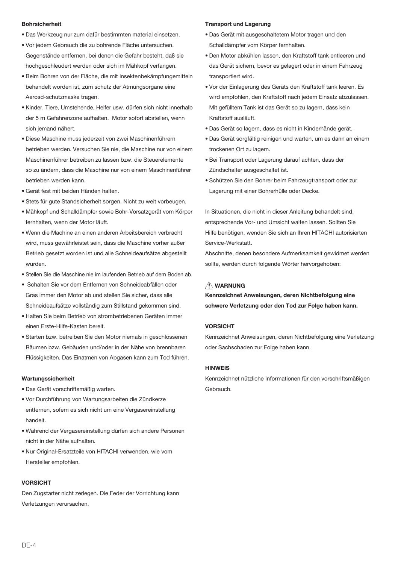#### **Bohrsicherheit**

- · Das Werkzeug nur zum dafür bestimmten material einsetzen.
- · Vor jedem Gebrauch die zu bohrende Fläche untersuchen. Gegenstände entfernen, bei denen die Gefahr besteht, daß sie hochgeschleudert werden oder sich im Mähkopf verfangen.
- · Beim Bohren von der Fläche, die mit Insektenbekämpfungemitteln behandelt worden ist, zum schutz der Atmungsorgane eine Aerosd-schutzmaske tragen.
- Kinder Tiere Umstehende Helfer uswildlirfen sich nicht innerhalb der 5 m Gefahrenzone aufhalten. Motor sofort abstellen, wenn sich iemand nähert.
- · Diese Maschine muss iederzeit von zwei Maschinenführern betrieben werden. Versuchen Sie nie, die Maschine nur von einem Maschinenführer betreiben zu lassen bzw. die Steuerelemente so zu ändern, dass die Maschine nur von einem Maschinenführer betrieben werden kann.
- · Gerät fest mit beiden Händen halten.
- Stets für aute Standsicherheit sorgen. Nicht zu weit vorbeugen.
- · Mähkopf und Schalldämpfer sowie Bohr-Vorsatzgerät vom Körper fernhalten, wenn der Motor läuft.
- . Wenn die Machine an einen anderen Arbeitsbereich verbracht wird, muss gewährleistet sein, dass die Maschine vorher außer Betrieb gesetzt worden ist und alle Schneideaufsätze abgestellt wurden
- · Stellen Sie die Maschine nie im laufenden Betrieb auf dem Boden ab.
- Schalten Sie vor dem Entfernen von Schneideabfällen oder Gras immer den Motor ab und stellen Sie sicher, dass alle Schneideaufsätze vollständig zum Stillstand gekommen sind.
- · Halten Sie beim Betrieb von strombetriebenen Geräten immer einen Erste-Hilfe-Kasten bereit.
- · Starten bzw. betreiben Sie den Motor niemals in geschlossenen Räumen bzw. Gebäuden und/oder in der Nähe von brennbaren Flüssigkeiten. Das Einatmen von Abgasen kann zum Tod führen.

#### Wartungssicherheit

- · Das Gerät vorschriftsmäßig warten.
- · Vor Durchführung von Wartungsarbeiten die Zündkerze entfernen, sofern es sich nicht um eine Vergasereinstellung handelt.
- · Während der Vergasereinstellung dürfen sich andere Personen nicht in der Nähe aufhalten.
- · Nur Original-Ersatzteile von HITACHI verwenden, wie vom Hersteller empfohlen.

#### **VORSICHT**

Den Zugstarter nicht zerlegen. Die Feder der Vorrichtung kann Verletzungen verursachen.

#### **Transport und Lagerung**

- · Das Gerät mit ausgeschaltetem Motor tragen und den Schalldämpfer vom Körper fernhalten.
- · Den Motor abkühlen lassen, den Kraftstoff tank entleeren und das Gerät sichern, bevor es gelagert oder in einem Fahrzeug transportiert wird.
- · Vor der Einlagerung des Geräts den Kraftstoff tank leeren. Es wird empfohlen, den Kraftstoff nach jedem Einsatz abzulassen. Mit gefülltem Tank ist das Gerät so zu lagern, dass kein Kraftstoff ausläuft.
- · Das Gerät so lagern, dass es nicht in Kinderhände gerät.
- · Das Gerät sorgfältig reinigen und warten, um es dann an einem trockenen Ort zu lagern.
- · Bei Transport oder Lagerung darauf achten, dass der Zündschalter ausgeschaltet ist.
- · Schützen Sie den Bohrer beim Fahrzeugtransport oder zur Lagerung mit einer Bohrerhülle oder Decke.

In Situationen, die nicht in dieser Anleitung behandelt sind, entsprechende Vor- und Umsicht walten lassen. Sollten Sie Hilfe benötigen, wenden Sie sich an Ihren HITACHI autorisierten Service-Werkstatt.

Abschnitte, denen besondere Aufmerksamkeit gewidmet werden sollte, werden durch folgende Wörter hervorgehoben:

## **N** WARNUNG

Kennzeichnet Anweisungen, deren Nichtbefolgung eine schwere Verletzung oder den Tod zur Folge haben kann.

#### **VORSICHT**

Kennzeichnet Anweisungen, deren Nichtbefolgung eine Verletzung oder Sachschaden zur Folge haben kann.

#### **HINWEIS**

Kennzeichnet nützliche Informationen für den vorschriftsmäßigen Gebrauch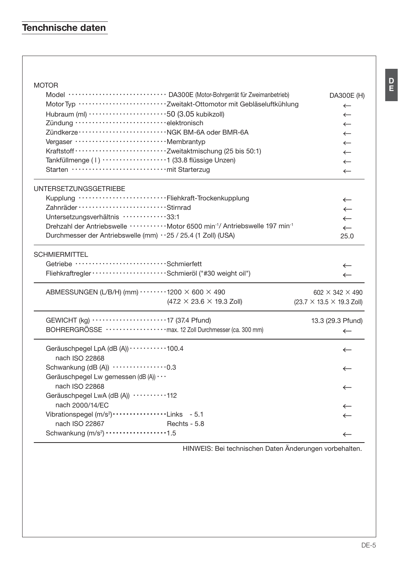| <b>MOTOR</b>                                                                                               |                                       |
|------------------------------------------------------------------------------------------------------------|---------------------------------------|
| Model ···························· DA300E (Motor-Bohrgerrät für Zweimanbetrieb)                            | DA300E (H)                            |
| Motor Typ ····························· Zweitakt-Ottomotor mit Gebläseluftkühlung                          | $\leftarrow$                          |
| Hubraum (ml) ··························50 (3.05 kubikzoll)                                                 | $\leftarrow$                          |
| Zündung ······························elektronisch                                                         | $\leftarrow$                          |
| Zündkerze ································· NGK BM-6A oder BMR-6A                                          | $\leftarrow$                          |
| Vergaser ·································· Membrantyp                                                     | $\leftarrow$                          |
|                                                                                                            | $\leftarrow$                          |
| Tankfüllmenge (1) ···················1 (33.8 flüssige Unzen)                                               | $\leftarrow$                          |
|                                                                                                            | $\leftarrow$                          |
| <b>UNTERSETZUNGSGETRIEBE</b>                                                                               |                                       |
| Kupplung ······························Fliehkraft-Trockenkupplung                                          | $\leftarrow$                          |
| Zahnräder ······························Stirnrad                                                           | $\leftarrow$                          |
| Untersetzungsverhältnis ·············33:1                                                                  | $\leftarrow$                          |
| Drehzahl der Antriebswelle ············ Motor 6500 min <sup>-1</sup> / Antriebswelle 197 min <sup>-1</sup> | $\leftarrow$                          |
| Durchmesser der Antriebswelle (mm) · · 25 / 25.4 (1 Zoll) (USA)                                            | 25.0                                  |
| <b>SCHMIERMITTEL</b>                                                                                       |                                       |
| Getriebe ····························Schmierfett                                                           | $\leftarrow$                          |
|                                                                                                            | $\leftarrow$                          |
| ABMESSUNGEN (L/B/H) (mm) ········1200 × 600 × 490                                                          | $602 \times 342 \times 490$           |
| $(47.2 \times 23.6 \times 19.3$ Zoll)                                                                      | $(23.7 \times 13.5 \times 19.3$ Zoll) |
| GEWICHT (kg) 17 (37.4 Pfund)                                                                               | 13.3 (29.3 Pfund)                     |
| BOHRERGRÖSSE ··················· max. 12 Zoll Durchmesser (ca. 300 mm)                                     | $\leftarrow$                          |
| Geräuschpegel LpA (dB (A)) · · · · · · · · · · 100.4                                                       | $\leftarrow$                          |
| nach ISO 22868                                                                                             |                                       |
| Schwankung (dB (A)) $\cdots$ 0.3                                                                           | ←                                     |
| Geräuschpegel Lw gemessen (dB (A)) · · ·<br>nach ISO 22868                                                 |                                       |
| Geräuschpegel LwA (dB (A)) ··········112                                                                   | $\leftarrow$                          |
| nach 2000/14/EC                                                                                            |                                       |
| Vibrationspegel (m/s <sup>2</sup> ) ················Links - 5.1                                            | $\leftarrow$                          |
| nach ISO 22867<br>Rechts - 5.8                                                                             |                                       |
| Schwankung (m/s <sup>2</sup> ) ·················1.5                                                        | $\leftarrow$                          |
|                                                                                                            |                                       |

HINWEIS: Bei technischen Daten Änderungen vorbehalten.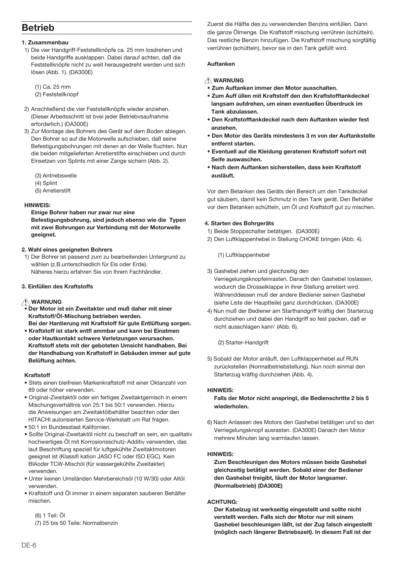# **Retrieb**

#### 1 Zusammenhau

- 1) Die vier Handgriff-Feststellknöpfe ca. 25 mm losdrehen und beide Handgriffe ausklappen. Dabei darauf achten, daß die Feststellknöpfe nicht zu weit herausgedreht werden und sich lösen (Abb. 1). (DA300E)
	- $(1)$  Ca  $25$  mm (2) Feststellknopf
- 2) Anschließend die vier Feststellknöpfe wieder anziehen. (Dieser Arbeitsschritt ist bvei jeder Betriebvsaufnahme erforderlich.) (DA300E)
- 3) Zur Montage des Bohrers des Gerät auf dem Boden ablegen. Den Bohrer so auf die Motorwelle aufschieben, daß seine Befestigungsbohrungen mit denen an der Welle fluchten. Nun die beiden mitgelieferten Arretierstifte einschieben und durch Einsetzen von Splints mit einer Zange sichern (Abb. 2).
	- (3) Antriebswelle
	- (4) Splint
	- (5) Arretierstift

#### **HINWEIS**

Einige Bohrer haben nur zwar nur eine

Befestigungsbohrung, sind jedoch ebenso wie die Typen mit zwei Bohrungen zur Verbindung mit der Motorwelle geejanet.

#### 2. Wahl eines geeigneten Bohrers

1) Der Bohrer ist passend zum zu bearbeitenden Untergrund zu wählen (z.B.unterschiedlich für Eis oder Erde). Näheres hierzu erfahren Sie von Ihrem Fachhändler.

#### 3. Einfüllen des Kraftstoffs

### **NARNUNG**

- Der Motor ist ein Zweitakter und muß daher mit einer Kraftstoff/Öl-Mischung betrieben werden. Bei der Hantierung mit Kraftstoff für gute Entlüftung sorgen.
- Kraftstoff ist stark entfl ammbar und kann bei Einatmen oder Hautkontakt schwere Verletzungen verursachen. Kraftstoff stets mit der geboteten Umsicht handhaben. Bei der Handhabung von Kraftstoff in Gebäuden immer auf gute Belüftung achten.

#### Kraftetoff

- · Stets einen bleifreien Markenkraftstoff mit einer Oktanzahl von 89 oder höher verwenden.
- · Original-Zweitaktöl oder ein fertiges Zweitaktgemisch in einem Mischungsverhältnis von 25:1 bis 50:1 verwenden. Hierzu die Anweisungen am Zweitaktölbehälter beachten oder den HITACHI autorisierten Service-Werkstatt um Rat fragen.
- · 50:1 im Bundesstaat Kalifornien.
- · Sollte Original-Zweitaktöl nicht zu beschaff en sein, ein qualitativ hochwertiges Öl mit Korrosionsschutz-Additiv verwenden, das laut Beschriftung speziell für luftgekühlte Zweitaktmotoren geeignet ist (Klassifi kation JASO FC oder ISO EGC). Kein BIAoder TCW-Mischöl (für wassergekühlte Zweitakter) verwenden.
- · Unter keinen Umständen Mehrbereichsöl (10 W/30) oder Altöl verwenden
- Kraftstoff und Öl immer in einem separaten sauberen Behälter mischen

(6) 1 Teil: Öl (7) 25 bis 50 Teile: Normalbenzin Zuerst die Hälfte des zu verwendenden Benzins einfüllen. Dann die ganze Ölmenge. Die Kraftstoff mischung verrühren (schütteln). Das restliche Benzin hinzufügen. Die Kraftstoff mischung sorgfältig verrühren (schütteln), bevor sie in den Tank gefüllt wird.

#### **Auftanken**

#### **NARNUNG**

- · Zum Auftanken immer den Motor ausschalten.
- . Zum Auff üllen mit Kraftstoff den den Kraftstofftankdeckel langsam aufdrehen, um einen eventuellen Überdruck im Tank abzulassen.
- . Den Kraftstofftankdeckel nach dem Auftanken wieder fest anziehen
- · Den Motor des Geräts mindestens 3 m von der Auftankstelle entfernt starten
- . Eventuell auf die Kleidung geratenen Kraftstoff sofort mit Seife auswaschen.
- · Nach dem Auftanken sicherstellen, dass kein Kraftstoff  $are 8.6$

Vor dem Betanken des Geräts den Bereich um den Tankdeckel gut säubern, damit kein Schmutz in den Tank gerät. Den Behälter vor dem Betanken schütteln, um Öl und Kraftstoff gut zu mischen.

#### 4. Starten des Bohrgeräts

- 1) Beide Stoppschalter betätigen. (DA300E)
- 2) Den Luftklappenhebel in Stellung CHOKE bringen (Abb. 4).

(1) Luftklappenhebel

3) Gashebel ziehen und gleichzeitig den

Verriegelungsknopfeinrasten. Danach den Gashebel loslassen, wodurch die Drosselklappe in ihrer Stellung arretiert wird. Währenddessen muß der andere Bediener seinen Gashebel (siehe Liste der Hauptteile) ganz durchdrücken. (DA300E)

4) Nun muß der Bediener am Starthandgriff kräftig den Starterzug durchziehen und dabei den Handgriff so fest packen, daß er nicht ausschlagen kann' (Abb. 6).

(2) Starter-Handgrift

5) Sobald der Motor anläuft, den Luftklappenhebel auf RUN zurückstellen (Normalbetriebstellung). Nun noch einmal den Starterzug kräftig durchziehen (Abb. 4).

#### HINWEIS-

#### Falls der Motor nicht anspringt, die Bedienschritte 2 bis 5 wiederholen.

6) Nach Anlassen des Motors den Gashebel betätigen und so den Verriegelungsknopf ausrasten. (DA300E) Danach den Motor mehrere Minuten lang warmlaufen lassen.

### **HINWEIS:**

Zum Beschleunigen des Motors müssen beide Gashebel gleichzeitig betätigt werden. Sobald einer der Bediener den Gashebel freigibt, läuft der Motor langsamer. (Normalbetrieb) (DA300E)

#### **ACHTUNG:**

Der Kabelzug ist werkseitig eingestellt und sollte nicht verstellt werden. Falls sich der Motor nur mit einem Gashebel beschleunigen läßt, ist der Zug falsch eingestellt (möglich nach längerer Betriebszeit). In diesem Fall ist der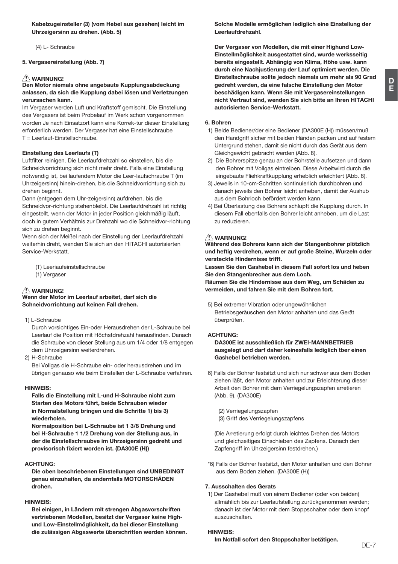Kabelzugeinsteller (3) (vom Hebel aus gesehen) leicht im Uhrzeigersinn zu drehen. (Abb. 5)

(4) L- Schraube

5. Vergasereinstellung (Abb. 7)

# <u>∕∱</u> WARNUNG!<br>Den Motor niemals ohne angebaute Kupplungsabdeckung anlassen, da sich die Kupplung dabei lösen und Verletzungen verursachen kann.

Im Vergaser werden Luft und Kraftstoff gemischt. Die Einstellung des Vergasers ist beim Probelauf im Werk schon vorgenommen worden Je nach Einsatzort kann eine Korrek-tur dieser Einstellung erforderlich werden. Der Vergaser hat eine Einstellschraube T = Leerlauf-Einstellschraube.

#### Einstellung des Leerlaufs (T)

Luftfilter reinigen. Die Leerlaufdrehzahl so einstellen, bis die Schneidvorrichtung sich nicht mehr dreht. Falls eine Einstellung notwendig ist, bei laufendem Motor die Leer-laufschraube T (im Uhrzeigersinn) hinein-drehen, bis die Schneidvorrichtung sich zu drehen beginnt.

Dann (entgegen dem Uhr-zeigersinn) aufdrehen, bis die Schneidvor-richtung stehenbleibt. Die Leerlaufdrehzahl ist richtig eingestellt, wenn der Motor in jeder Position gleichmäßig läuft, doch in gutem Verhältnis zur Drehzahl wo die Schneidvor-richtung sich zu drehen beginnt.

Wenn sich der Meißel nach der Einstellung der Leerlaufdrehzahl weiterhin dreht, wenden Sie sich an den HITACHI autorisierten Service-Werkstatt

(T) Leeriaufeinstellschraube

(1) Vergaser

# **A** WARNUNG!

Wenn der Motor im Leerlauf arbeitet, darf sich die Schneidvorrichtung auf keinen Fall drehen.

1) L-Schraube

Durch vorsichtiges Ein-oder Herausdrehen der L-Schraube bei Leerlauf die Position mit Höchstdrehzahl herausfinden. Danach die Schraube von dieser Stellung aus um 1/4 oder 1/8 entgegen dem Uhrzeigersinn weiterdrehen.

2) H-Schraube

Bei Vollgas die H-Schraube ein- oder herausdrehen und im übrigen genauso wie beim Einstellen der L-Schraube verfahren.

#### HINWEIS:

Falls die Einstellung mit L-und H-Schraube nicht zum Starten des Motors führt, beide Schrauben wieder in Normalstellung bringen und die Schritte 1) bis 3) wiederholen

Normalposition bei L-Schraube ist 1 3/8 Drehung und bei H-Schraube 1 1/2 Drehung von der Stellung aus, in der die Einstellschraubve im Uhrzeigersinn gedreht und provisorisch fixiert worden ist. (DA300E (H))

#### **ACHTUNG**

Die oben beschriebenen Einstellungen sind UNBEDINGT genau einzuhalten, da andernfalls MOTORSCHÄDEN drohen.

#### LINIMER.

Bei einigen, in Ländern mit strengen Abgasvorschriften vertriebenen Modellen, besitzt der Vergaser keine Highund Low-Einstellmöglichkeit, da bei dieser Einstellung die zulässigen Abgaswerte überschritten werden können. Solche Modelle ermöglichen lediglich eine Einstellung der Leerlaufdrehzahl.

Der Vergaser von Modellen, die mit einer Highund Low-Einstellmöglichkeit ausgestattet sind, wurde werksseitig bereits eingestellt. Abhängig von Klima. Höhe usw. kann durch eine Nachiustierung der Lauf optimiert werden. Die Einstellschraube sollte jedoch niemals um mehr als 90 Grad gedreht werden, da eine falsche Einstellung den Motor beschädigen kann. Wenn Sie mit Vergasereinstellungen nicht Vertraut sind, wenden Sie sich bitte an Ihren HITACHI autorisierten Service-Werkstatt

#### 6. Bohren

- 1) Beide Bediener/der eine Bediener (DA300E (H)) müssen/muß den Handgriff sicher mit beiden Händen packen und auf festem Untergrund stehen, damit sie nicht durch das Gerät aus dem Gleichgewicht gebracht werden (Abb. 8).
- 2) Die Bohrerspitze genau an der Bohrstelle aufsetzen und dann den Bohrer mit Vollgas eintreiben. Diese Arbeitwird durch die eingebaute Fliehkraftkupplung erheblich erleichtert (Abb. 8).
- 3) Jeweiis in 10-cm-Schritten kontinuierlich durchbohren und danach jeweils den Bohrer leicht anheben, damit der Aushub aus dem Bohrloch befördert werden kann.
- 4) Bei Überlastung des Bohrers schlupft die Kupplung durch. In diesem Fall ebenfalls den Bohrer leicht anheben, um die Last  $\overline{z}$

# **AWARNUNG!**

Während des Bohrens kann sich der Stangenbohrer plötzlich und heftig verdrehen, wenn er auf große Steine, Wurzeln oder versteckte Hindernisse trifft.

Lassen Sie den Gashebel in diesem Fall sofort los und heben Sie den Stangenbrecher aus dem Loch.

Räumen Sie die Hindernisse aus dem Weg, um Schäden zu vermeiden, und fahren Sie mit dem Bohren fort,

5) Bei extremer Vibration oder ungewöhnlichen Betriebsgeräuschen den Motor anhalten und das Gerät überprüfen.

### **ACHTUNG:**

DA300E ist ausschließlich für ZWEI-MANNBETRIEB ausgelegt und darf daher keinesfalls lediglich tber einen Gashebel betrieben werden.

6) Falls der Bohrer festsitzt und sich nur schwer aus dem Boden ziehen läßt, den Motor anhalten und zur Erleichterung dieser Arbeit den Bohrer mit dem Verriegelungszapfen arretieren (Abb. 9). (DA300E)

(2) Verriegelungszapfen (3) Gritf des Verriegelungszapfens

(Die Arretierung erfolgt durch leichtes Drehen des Motors und gleichzeitiges Einschieben des Zapfens. Danach den Zapfengriff im Uhrzeigersinn festdrehen.)

\*6) Falls der Bohrer festsitzt, den Motor anhalten und den Bohrer aus dem Boden ziehen. (DA300E (H))

#### 7. Ausschalten des Gerats

1) Der Gashebel muß von einem Bediener (oder von beiden) allmählich bis zur Leerlaufstellung zurückgenommen werden: danach ist der Motor mit dem Stoppschalter oder dem knopf auszuschalten.

#### **HINWEIS:**

Im Notfall sofort den Stoppschalter betätigen.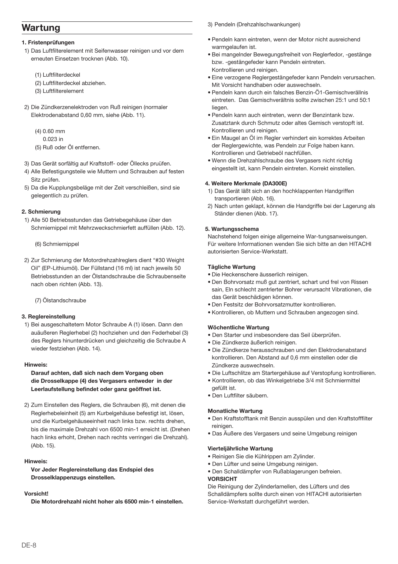# Wartung

#### 1. Fristenprüfungen

- 1) Das Luftfilterelement mit Seifenwasser reinigen und vor dem erneuten Einsetzen trocknen (Abb. 10).
	- (1) Luftfilterdeckel
	- (2) Luftfilterdeckel abziehen.
	- (3) Luftfilterelement
- 2) Die Zündkerzenelektroden von Ruß reinigen (normaler Elektrodenabstand 0,60 mm, siehe (Abb. 11).
	- $(4)$  0.60 mm
	- $0.023$  in
	- (5) Ruß oder Öl entfernen
- 3) Das Gerät sorfältig auf Kraftstoff- oder Öllecks pruüfen.
- 4) Alle Befestigungsteile wie Muttern und Schrauben auf festen Sitz prüfen.
- 5) Da die Kupplungsbeläge mit der Zeit verschleißen, sind sie gelegentlich zu prüfen.

#### 2. Schmierung

- 1) Alle 50 Betriebsstunden das Getriebegehäuse über den Schmiernippel mit Mehrzweckschmierfett auffüllen (Abb. 12).
	- (6) Schmiemippel
- 2) Zur Schmierung der Motordrehzahlreglers dient "#30 Weight Oil" (EP-Lithiumöl). Der Füllstand (16 ml) ist nach jeweils 50 Betriebsstunden an der Ölstandschraube die Schraubenseite nach oben richten (Abb. 13).

(7) Ölstandschraube

#### 3. Realereinstellung

1) Bei ausgeschaltetem Motor Schraube A (1) lösen. Dann den auäußeren Reglerhebel (2) hochziehen und den Federhebel (3) des Realers hinunterdrücken und aleichzeitig die Schraube A wieder festziehen (Abb. 14).

#### Hinweis:

#### Darauf achten, daß sich nach dem Vorgang oben die Drosselkappe (4) des Vergasers entweder in der Leerlaufstellung befindet oder ganz geöffnet ist.

2) Zum Einstellen des Reglers, die Schrauben (6), mit denen die Reglerhebeleinheit (5) am Kurbelgehäuse befestigt ist, lösen, und die Kurbelgehäuseeinheit nach links bzw. rechts drehen. bis die maximale Drehzahl von 6500 min-1 erreicht ist. (Drehen hach links erhoht, Drehen nach rechts verringeri die Drehzahl). (Abb. 15).

#### Hinweis:

Vor Jeder Reglereinstellung das Endspiel des Drosselklappenzugs einstellen.

#### *Morejohtl*

Die Motordrehzahl nicht hoher als 6500 min-1 einstellen

3) Pendeln (Drehzahlschwankungen)

- · Pendeln kann eintreten, wenn der Motor nicht ausreichend warmgelaufen ist.
- · Bei mangelnder Bewegungsfreiheit von Reglerfedor, -gestänge bzw. - gestängefeder kann Pendeln eintreten. Kontrollieren und reinigen.
- · Eine verzogene Reglergestängefeder kann Pendeln verursachen. Mit Vorsicht handhaben oder auswechseln.
- · Pendeln kann durch ein falsches Benzin-Ö1-Gemischverällnis eintreten. Das Gemischverältnis sollte zwischen 25:1 und 50:1 liegen
- · Pendeln kann auch eintreten, wenn der Benzintank bzw. Zusatztank durch Schmutz oder altes Gemisch verstopft ist. Kontrollieren und reinigen
- · Ein Maugel an Öl im Regler verhindert ein korrektes Arbeiten der Reglergewichte, was Pendeln zur Folge haben kann. Kontrollieren und Getriebeöl nachfüllen
- · Wenn die Drehzahlschraube des Vergasers nicht richtig eingestellt ist, kann Pendeln eintreten. Korrekt einstellen.

#### 4. Weitere Merkmale (DA300E)

- 1) Das Gerät läßt sich an den hochklappenten Handgriffen transportieren (Abb. 16).
- 2) Nach unten geklapt, können die Handgriffe bei der Lagerung als Ständer dienen (Abb. 17).

#### 5. Wartungsschema

Nachstehend folgen einige allgemeine War-tungsanweisungen. Für weitere Informationen wenden Sie sich bitte an den HITACHI autorisierten Service-Werkstatt.

#### Tägliche Wartung

- · Die Heckenschere äusserlich reinigen.
- . Den Bohrvorsatz muß gut zentriert, schart und frel von Rissen sain, Eln schlecht zentrlerter Bohrer verursacht Vibrationen, die das Gerät beschädigen können.
- · Den Festsitz der Bohrvorsatzmutter kontrollieren.
- · Kontrollieren, ob Muttern und Schrauben angezogen sind.

#### Wöchentliche Wartung

- · Den Starter und insbesondere das Seil überprüfen.
- · Die Zündkerze äußerlich reinigen.
- · Die Zündkerze herausschrauhen und den Elektrodenabstand kontrollieren. Den Abstand auf 0.6 mm einstellen oder die Zündkerze auswechseln.
- · Die Luftschlitze am Startergehäuse auf Verstopfung kontrollieren.
- · Kontrollieren, ob das Winkelgetriebe 3/4 mit Schmiermittel tet tllüten
- · Den Luftfilter säubern.

#### **Monatliche Wartung**

- · Den Kraftstofftank mit Benzin ausspülen und den Kraftstofffilter reinigen.
- · Das Äußere des Vergasers und seine Umgebung reinigen

#### Vierteliährliche Wartung

- · Reinigen Sie die Kühlrippen am Zylinder.
- · Den Lüfter und seine Umgebung reinigen.
- · Den Schalldämpfer von Rußablagerungen befreien.

#### VORSICHT

Die Reinigung der Zylinderlamellen, des Lüfters und des Schalldämpfers sollte durch einen von HITACHI autorisierten Service-Werkstatt durchgeführt werden.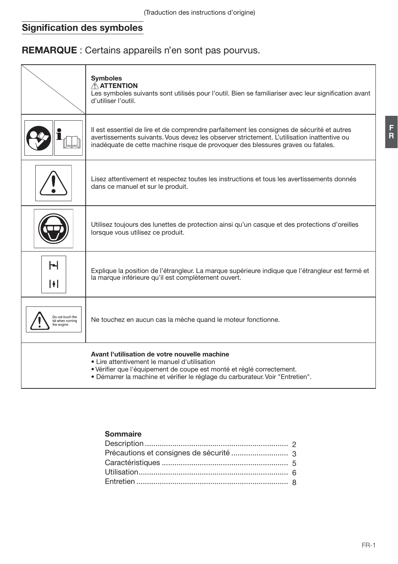# Signification des symboles

# REMARQUE : Certains appareils n'en sont pas pourvus.

|                                                    | <b>Symboles</b><br>$\triangle$ ATTENTION<br>Les symboles suivants sont utilisés pour l'outil. Bien se familiariser avec leur signification avant<br>d'utiliser l'outil.                                                                                                      |
|----------------------------------------------------|------------------------------------------------------------------------------------------------------------------------------------------------------------------------------------------------------------------------------------------------------------------------------|
|                                                    | Il est essentiel de lire et de comprendre parfaitement les consignes de sécurité et autres<br>avertissements suivants. Vous devez les observer strictement. L'utilisation inattentive ou<br>inadéquate de cette machine risque de provoquer des blessures graves ou fatales. |
|                                                    | Lisez attentivement et respectez toutes les instructions et tous les avertissements donnés<br>dans ce manuel et sur le produit.                                                                                                                                              |
|                                                    | Utilisez toujours des lunettes de protection ainsi qu'un casque et des protections d'oreilles<br>lorsque vous utilisez ce produit.                                                                                                                                           |
| Н<br>H                                             | Explique la position de l'étrangleur. La marque supérieure indique que l'étrangleur est fermé et<br>la marque inférieure qu'il est complètement ouvert.                                                                                                                      |
| Do not touch the<br>bit when running<br>he engine. | Ne touchez en aucun cas la mèche quand le moteur fonctionne.                                                                                                                                                                                                                 |
|                                                    | Avant l'utilisation de votre nouvelle machine<br>• Lire attentivement le manuel d'utilisation<br>• Vérifier que l'équipement de coupe est monté et réglé correctement.<br>. Démarrer la machine et vérifier le réglage du carburateur. Voir "Entretien".                     |

# Sommaire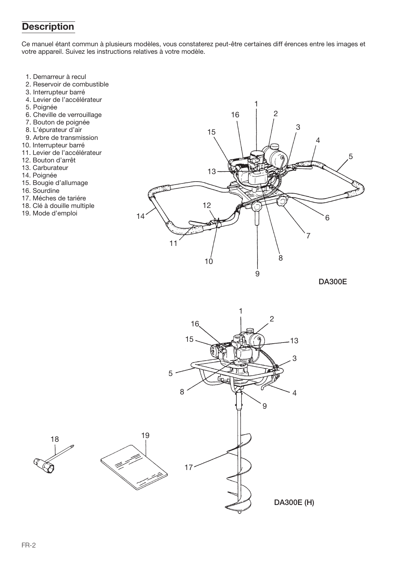# **Description**

Ce manuel étant commun à plusieurs modèles, vous constaterez peut-être certaines diff érences entre les images et votre appareil. Suivez les instructions relatives à votre modèle.

- 1. Demarreur à recul
- 2. Reservoir de combustible
- 3. Interrupteur barré
- 4. Levier de l'accélérateur
- 5. Poignée
- 6. Cheville de verrouillage
- 7. Bouton de poignée
- 8. L'épurateur d'air
- 9. Arbre de transmission
- 10. Interrupteur barré
- 11. Levier de l'accélérateur
- 12. Bouton d'arrêt
- 13. Carburateur
- 14. Poianée
- 15. Bougie d'allumage
- 16. Sourdine
- 17 Méches de tariére
- 18. Clé à douille multiple
- 19. Mode d'emploi



**DA300E** 

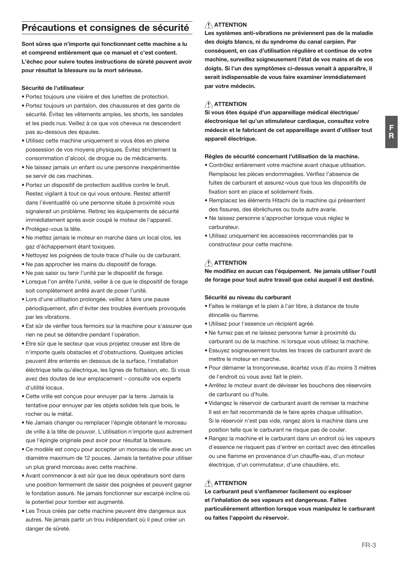# Précautions et consignes de sécurité

Sont sûres que n'importe qui fonctionnant cette machine a lu et comprend entièrement que ce manuel et c'est content. L'échec pour suivre toutes instructions de sûreté peuvent avoir pour résultat la blessure ou la mort sérieuse.

#### Sécurité de l'utilisateur

- · Portez toujours une visière et des lunettes de protection.
- · Portez toujours un pantalon, des chaussures et des gants de sécurité. Évitez les vêtements amples, les shorts, les sandales et les pieds nus. Veillez à ce que vos cheveux ne descendent pas au-dessous des épaules.
- · Utilisez cette machine uniquement si vous êtes en pleine possession de vos moyens physiques. Évitez strictement la consommation d'alcool, de droque ou de médicaments.
- Ne laissez jamais un enfant ou une personne inexpérimentée se servir de ces machines.
- · Portez un dispositif de protection auditive contre le bruit. Restez vigilant à tout ce qui vous entoure. Restez attentif dans l'éventualité où une personne située à proximité vous signalerait un problème. Retirez les équipements de sécurité immédiatement après avoir coupé le moteur de l'appareil.
- · Protégez-vous la tête.
- · Ne mettez jamais le moteur en marche dans un local clos, les gaz d'échappement étant toxiques.
- · Nettovez les poignées de toute trace d'huile ou de carburant.
- . Ne pas approcher les mains du dispositif de forage.
- . Ne pas saisir ou tenir l'unité par le dispositif de forage.
- Lorsque l'on arrête l'unité, veiller à ce que le dispositif de forage soit complètement arrêté avant de poser l'unité.
- Lors d'une utilisation prolongée, veillez à faire une pause périodiquement, afin d'éviter des troubles éventuels provoqués par les vibrations.
- · Est sûr de vérifier tous fermoirs sur la machine pour s'assurer que rien ne peut se détendre pendant l'opération.
- · Etre sûr que le secteur que vous projetez creuser est libre de n'importe quels obstacles et d'obstructions. Quelques articles peuvent être enterrés en dessous de la surface. l'installation éléctrique telle qu'électrique, les lignes de flottaison, etc. Si vous avez des doutes de leur emplacement - consulte vos experts d'utilité locaux
- · Cette vrille est conçue pour ennuyer par la terre. Jamais la tentative pour ennuver par les objets solides tels que bois. le rocher ou le métal.
- · Ne Jamais changer ou remplacer l'épingle obtenant le morceau de vrille à la tête de pouvoir. L'utilisation n'importe quoi autrement que l'épingle originale peut avoir pour résultat la blessure.
- Ce modèle est concu pour accepter un morceau de vrille avec un diamètre maximum de 12 pouces. Jamais la tentative pour utiliser un plus grand morceau avec cette machine.
- · Avant commencer à est sûr que les deux opérateurs sont dans une position fermement de saisir des poignées et peuvent gagner le fondation assuré. Ne jamais fonctionner sur escarpé incline où le potentiel pour tomber est augmenté.
- Les Trous créés par cette machine peuvent être dangereux aux autres. Ne jamais partir un trou indépendant où il peut créer un danger de sûreté.

# $\hat{A}$  ATTENTION

Les systèmes anti-vibrations ne préviennent pas de la maladie des doigts blancs, ni du syndrome du canal carpien. Par conséquent, en cas d'utilisation régulière et continue de votre machine, surveillez soigneusement l'état de vos mains et de vos doigts. Si l'un des symptômes ci-dessus venait à apparaître, il serait indispensable de vous faire examiner immédiatement par votre médecin.

### $\hat{N}$  ATTENTION

Si vous êtes équipé d'un appareillage médical électrique/ électronique tel qu'un stimulateur cardiaque, consultez votre médecin et le fabricant de cet appareillage avant d'utiliser tout appareil électrique.

#### Règles de sécurité concernant l'utilisation de la machine.

- Contrôlez entièrement votre machine avant chaque utilisation. Remplacez les pièces endommagées. Vérifiez l'absence de fuites de carburant et assurez-vous que tous les dispositifs de fixation sont en place et solidement fixés.
- · Remplacez les éléments Hitachi de la machine qui présentent des fissures, des ébréchures ou toute autre avarie.
- · Ne laissez personne s'approcher lorsque vous réglez le carburateur
- · Utilisez uniquement les accessoires recommandés par le constructeur pour cette machine.

### $\hat{A}$  ATTENTION

Ne modifiez en aucun cas l'équipement. Ne jamais utiliser l'outil de forage pour tout autre travail que celui auquel il est destiné.

#### Sécurité au niveau du carburant

- · Faites le mélange et le plein à l'air libre, à distance de toute étincelle ou flamme
- · Utilisez pour l'essence un récipient agréé.
- · Ne fumez pas et ne laissez personne fumer à proximité du carburant ou de la machine. ni lorsque vous utilisez la machine.
- · Essuvez soigneusement toutes les traces de carburant avant de mettre le moteur en marche
- · Pour démarrer la tronçonneuse, écartez vous d'au moins 3 mètres de l'endroit où vous avez fait le plein.
- Arrêtez le moteur avant de dévisser les bouchons des réservoirs de carburant ou d'huile
- · Vidangez le réservoir de carburant avant de remiser la machine Il est en fait recommandé de le faire après chaque utilisation. Si le réservoir n'est pas vide, rangez alors la machine dans une position telle que le carburant ne risque pas de couler.
- · Rangez la machine et le carburant dans un endroit où les vapeurs d'essence ne risquent pas d'entrer en contact avec des étincelles ou une flamme en provenance d'un chauffe-eau, d'un moteur électrique d'un commutateur d'une chaudière etc.

# ATTENTION

Le carburant peut s'enflammer facilement ou exploser et l'inhalation de ses vapeurs est dangereuse. Faites particulièrement attention lorsque vous manipulez le carburant ou faites l'appoint du réservoir.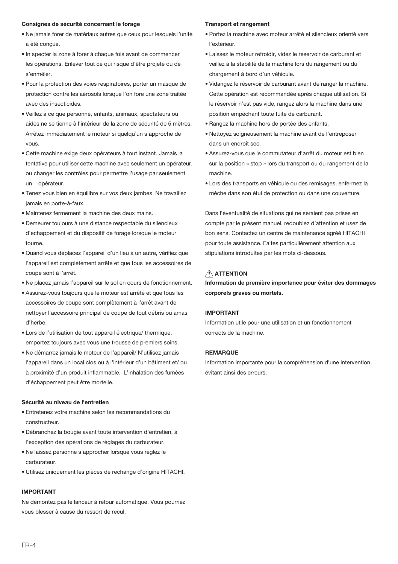#### Consignes de sécurité concernant le forage

- · Ne jamais forer de matériaux autres que ceux pour lesquels l'unité a été concue.
- · In specter la zone à forer à chaque fois avant de commencer les opérations. Enlever tout ce qui risque d'être projeté ou de s'enmêler
- · Pour la protection des voies respiratoires, porter un masque de protection contre les aérosols lorsque l'on fore une zone traitée avec des insecticides.
- · Veillez à ce que personne, enfants, animaux, spectateurs ou aides ne se tienne à l'intérieur de la zone de sécurité de 5 mètres. Arrêtez immédiatement le moteur si quelqu'un s'approche de  $210M$
- · Cette machine exige deux opérateurs à tout instant. Jamais la tentative pour utiliser cette machine avec seulement un opérateur, ou changer les contrôles pour permettre l'usage par seulement un opérateur.
- · Tenez vous bien en équilibre sur vos deux jambes. Ne travaillez iamais en porte-à-faux.
- · Maintenez fermement la machine des deux mains.
- · Demeurer toujours à une distance respectable du silencieux d'echappement et du dispositif de forage lorsque le moteur tourne
- · Quand vous déplacez l'appareil d'un lieu à un autre, vérifiez que l'appareil est complètement arrêté et que tous les accessoires de coupe sont à l'arrêt.
- . Ne placez jamais l'appareil sur le sol en cours de fonctionnement.
- · Assurez-vous toujours que le moteur est arrêté et que tous les accessoires de coupe sont complètement à l'arrêt avant de nettover l'accessoire principal de coupe de tout débris ou amas d'herbe.
- · Lors de l'utilisation de tout appareil électrique/ thermique, emportez toujours avec yous une trousse de premiers soins.
- · Ne démarrez jamais le moteur de l'appareil/ N'utilisez jamais l'appareil dans un local clos ou à l'intérieur d'un bâtiment et/ ou à proximité d'un produit inflammable. L'inhalation des fumées d'échappement peut être mortelle.

#### Sécurité au niveau de l'entretien

- · Entretenez votre machine selon les recommandations du constructour
- · Débranchez la bougie avant toute intervention d'entretien, à l'exception des opérations de réglages du carburateur.
- Ne laissez personne s'approcher lorsque vous réglez le carburateur.
- · Utilisez uniquement les pièces de rechange d'origine HITACHI.

## **IMPORTANT**

Ne démontez pas le lanceur à retour automatique. Vous pourriez vous blesser à cause du ressort de recul

#### **Transport et rangement**

- · Portez la machine avec moteur arrêté et silencieux orienté vers l'extérieur
- · Laissez le moteur refroidir, videz le réservoir de carburant et veillez à la stabilité de la machine lors du rangement ou du chargement à bord d'un véhicule.
- · Vidangez le réservoir de carburant avant de ranger la machine. Cette opération est recommandée après chaque utilisation. Si le réservoir n'est pas vide, rangez alors la machine dans une position empêchant toute fuite de carburant.
- · Rangez la machine hors de portée des enfants.
- · Nettovez soigneusement la machine avant de l'entreposer dans un endroit sec.
- · Assurez-vous que le commutateur d'arrêt du moteur est bien sur la position « stop » lors du transport ou du rangement de la machine.
- · Lors des transports en véhicule ou des remisages, enfermez la mèche dans son étui de protection ou dans une couverture.

Dans l'éventualité de situations qui ne seraient pas prises en compte par le présent manuel, redoublez d'attention et usez de bon sens. Contactez un centre de maintenance agréé HITACHI pour toute assistance. Faites particulièrement attention aux stipulations introduites par les mots ci-dessous.

# $\bigwedge$  ATTENTION

Information de première importance pour éviter des dommages corporels graves ou mortels.

#### **IMPORTANT**

Information utile pour une utilisation et un fonctionnement corrects de la machine

#### **REMARQUE**

Information importante pour la compréhension d'une intervention, évitant ainsi des erreurs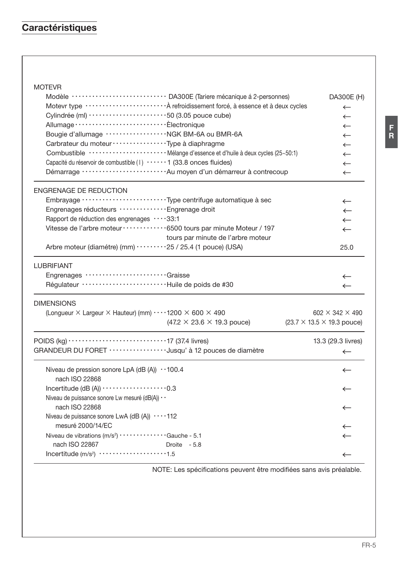# Caractéristiques

# **MOTEVR**

|                                                                                                     | Modèle ···························· DA300E (Tariere mécanique á 2-personnes)              | DA300E (H)                              |
|-----------------------------------------------------------------------------------------------------|-------------------------------------------------------------------------------------------|-----------------------------------------|
|                                                                                                     | Motevr type ························· A refroidissement forcé, à essence et à deux cycles | $\leftarrow$                            |
| Cylindrée (ml) ·······················50 (3.05 pouce cube)                                          |                                                                                           | $\leftarrow$                            |
|                                                                                                     |                                                                                           | $\leftarrow$                            |
| Bougie d'allumage ······················ NGK BM-6A ou BMR-6A                                        |                                                                                           | $\leftarrow$                            |
| Carbrateur du moteur · · · · · · · · · · · · · · · · · Type à diaphragme                            |                                                                                           | $\leftarrow$                            |
|                                                                                                     |                                                                                           | $\leftarrow$                            |
| Capacité du réservoir de combustible (1) ······ 1 (33.8 onces fluides)                              |                                                                                           | $\leftarrow$                            |
|                                                                                                     | Démarrage ··························· Au moyen d'un démarreur à contrecoup                | $\leftarrow$                            |
| <b>ENGRENAGE DE REDUCTION</b>                                                                       |                                                                                           |                                         |
|                                                                                                     |                                                                                           | $\leftarrow$                            |
| Engrenages réducteurs ················ Engrenage droit                                              |                                                                                           | $\leftarrow$                            |
| Rapport de réduction des engrenages 33:1                                                            |                                                                                           | $\leftarrow$                            |
| Vitesse de l'arbre moteur ············· 6500 tours par minute Moteur / 197                          |                                                                                           | $\leftarrow$                            |
|                                                                                                     | tours par minute de l'arbre moteur                                                        |                                         |
| Arbre moteur (diamétre) (mm) ·········25 / 25.4 (1 pouce) (USA)                                     |                                                                                           | 25.0                                    |
| <b>LUBRIFIANT</b>                                                                                   |                                                                                           |                                         |
| Engrenages Graisse                                                                                  |                                                                                           | $\leftarrow$                            |
| Régulateur ·····························Huile de poids de #30                                       |                                                                                           | $\leftarrow$                            |
| <b>DIMENSIONS</b>                                                                                   |                                                                                           |                                         |
| (Longueur X Largeur X Hauteur) (mm) $\cdots$ 1200 X 600 X 490                                       |                                                                                           | 602 $\times$ 342 $\times$ 490           |
|                                                                                                     | $(47.2 \times 23.6 \times 19.3$ pouce)                                                    | $(23.7 \times 13.5 \times 19.3)$ pouce) |
| POIDS (kg) $\cdots$ $\cdots$ $\cdots$ $\cdots$ $\cdots$ $\cdots$ $\cdots$ $\cdots$ 17 (37.4 livres) |                                                                                           | 13.3 (29.3 livres)                      |
| GRANDEUR DU FORET ·················Jusqu' à 12 pouces de diamètre                                   |                                                                                           | $\leftarrow$                            |
| Niveau de pression sonore LpA (dB (A)) $\cdot$ 100.4                                                |                                                                                           | $\leftarrow$                            |
| nach ISO 22868                                                                                      |                                                                                           |                                         |
| Incertitude (dB $(A)$ ) $\cdots$ $\cdots$ $\cdots$ $\cdots$ $\cdots$ $\cdots$ 0.3                   |                                                                                           | $\leftarrow$                            |
| Niveau de puissance sonore Lw mesuré (dB(A)) · ·                                                    |                                                                                           |                                         |
| nach ISO 22868                                                                                      |                                                                                           | $\leftarrow$                            |
| Niveau de puissance sonore LwA (dB (A)) 112                                                         |                                                                                           |                                         |
| mesuré 2000/14/EC                                                                                   |                                                                                           | $\leftarrow$                            |
| Niveau de vibrations (m/s <sup>2</sup> ) · · · · · · · · · · · · · · · Gauche - 5.1                 |                                                                                           | $\leftarrow$                            |
| nach ISO 22867                                                                                      | Droite - 5.8                                                                              |                                         |
| Incertitude $(m/s^2)$ 1.5                                                                           |                                                                                           | $\leftarrow$                            |

NOTE: Les spécifications peuvent être modifiées sans avis préalable.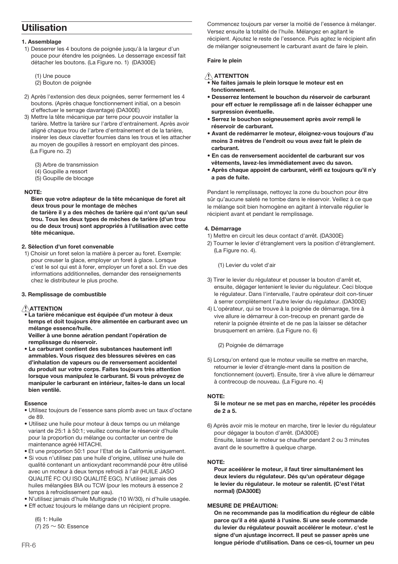# Utilisation

#### 1 Assemblane

- 1) Desserrer les 4 boutons de poignée jusqu'à la largeur d'un pouce pour étendre les poignées. Le desserrage excessif fait détacher les boutons. (La Figure no. 1) (DA300E)
	- (1) Une pouce
	- (2) Bouton de poignée
- 2) Après l'extension des deux poignées, serrer fermement les 4 boutons. (Après chaque fonctionnement initial, on a besoin d'effectuer le serrage davantage) (DA300E)
- 3) Mettre la tête mécanique par terre pour pouvoir installer la tarière. Mettre la tarière sur l'arbre d'entrainement. Après avoir aligné chaque trou de l'arbre d'entrainement et de la tarière. insérer les deux clavetter foumies dans les trous et les attacher au moyen de goupilles à ressort en employant des pinces. (La Figure no. 2)
	- (3) Arbre de transmission
	- $(4)$  Goupille a ressort
	- (5) Goupille de blocage

#### NOTE:

Bien que votre adapteur de la tête mécanique de foret ait deux trous pour le montage de mèches

de tarière il y a des mèches de tarière qui n'ont qu'un seul trou. Tous les deux types de mèches de tarière (d'un trou ou de deux trous) sont appropriés à l'utilisation avec cette tête mécanique

#### 2. Sèlection d'un foret convenable

1) Choisir un foret selon la matière à percer au foret. Exemple: pour creuser la glace, employer un foret à glace. Lorsque c'est le sol qui est à forer, employer un foret a sol. En vue des informations additionnelles, demander des renseignements chez le distributeur le plus proche.

#### 3. Remplissage de combustible

## ATTENTION

La tarière mécanique est équipée d'un moteur à deux temps et doit toujours être alimentée en carburant avec un mélange essence/huile.

Veiller à une bonne aération pendant l'opération de remplissage du réservoir.

. Le carburant contient des substances hautement infl ammables. Vous risquez des blessures sévères en cas d'inhalation de vapeurs ou de renversement accidentel du produit sur votre corps. Faites toujours très attention lorsque vous manipulez le carburant. Si vous prévoyez de manipuler le carburant en intérieur, faites-le dans un local bien ventilé.

#### Essence

- · Utilisez toujours de l'essence sans plomb avec un taux d'octane de 89.
- · Utilisez une huile pour moteur à deux temps ou un mélange variant de 25:1 à 50:1; veuillez consulter le réservoir d'huile pour la proportion du mélange ou contacter un centre de maintenance agréé HITACHI.
- . Et une proportion 50:1 pour l'Etat de la Californie uniquement.
- · Si vous n'utilisez pas une huile d'origine, utilisez une huile de qualité contenant un antioxydant recommandé pour être utilisé avec un moteur à deux temps refroidi à l'air (HUILE JASO QUALITÉ FC OU ISO QUALITÉ EGC). N'utilisez jamais des huiles mélangées BIA ou TCW (pour les moteurs à essence 2 temps à refroidissement par eau).
- · N'utilisez jamais d'huile Multigrade (10 W/30). ni d'huile usagée.
- · Eff ectuez toujours le mélange dans un récipient propre.

 $(6)$  1: Huile

(7) 25  $\sim$  50: Essence

Commencez toujours par verser la moitié de l'essence à mélanger. Versez ensuite la totalité de l'huile. Mélangez en agitant le récipient. Ajoutez le reste de l'essence. Puis agitez le récipient afin de mélanger soigneusement le carburant avant de faire le plein.

#### Faire le plein

## ATTENTTON

- Ne faites jamais le plein lorsque le moteur est en fonctionnament
- · Desserrez lentement le bouchon du réservoir de carburant pour eff ectuer le remplissage afi n de laisser échapper une surpression éventuelle.
- · Serrez le bouchon soigneusement après avoir rempli le réservoir de carburant.
- · Avant de redémarrer le moteur, éloignez-vous toujours d'au moins 3 mètres de l'endroit ou vous avez fait le plein de carburant.
- . En cas de renversement accidentel de carburant sur vos vêtements, lavez-les immédiatement avec du savon.
- Après chaque appoint de carburant, vérifi ez toujours qu'il n'y a pas de fuite.

Pendant le remplissage, nettovez la zone du bouchon pour être sûr qu'aucune saleté ne tombe dans le réservoir. Veillez à ce que le mélange soit bien homogène en agitant à intervalle régulier le récipient avant et pendant le remplissage.

#### 4. Démarrage

- 1) Mettre en circuit les deux contact d'arrêt. (DA300E)
- 2) Tourner le levier d'étranglement vers la position d'étranglement.  $(1 a Figure no 4)$

(1) Levier du volet d'air

- 3) Tirer le levier du réqulateur et pousser la bouton d'arrêt et, ensuite, dégager lentenient le levier du régulateur. Ceci bloque le régulateur. Dans l'intervalle, l'autre opérateur doit con-tinuer à serrer complètement l'autre levier du régulateur. (DA300E)
- 4) L'opérateur, qui se trouve à la poignée de démarrage, tire à vive allure ie démarreur à con-trecoup en prenant garde de retenir la poignée étreinte et de ne pas la laisser se détacher brusquement en arrière. (La Figure no. 6)

(2) Poignée de démarrage

5) Lorsqu'on entend que le moteur veuille se mettre en marche. retourner ie levier d'étrangle-ment dans la position de fonctionnement (ouvert). Ensuite, tirer à vive allure le démarreur à contrecoup de nouveau. (La Figure no. 4)

#### NOTE-

Si le moteur ne se met pas en marche, répéter les procédés  $de9a5$ 

6) Après avoir mis le moteur en marche, tirer le levier du réqulateur pour dégager la bouton d'arrêt. (DA300E) Ensuite. laisser le moteur se chauffer pendant 2 ou 3 minutes avant de le soumettre à quelque charge.

#### NOTE-

Pour aceélérer le moteur, il faut tirer simultanément les deux leviers du régulateur. Dés qu'un opérateur dégage le levier du régulateur. le moteur se ralentit. (C'est l'état normal) (DA300E)

#### **MESURE DE PRÉAUTION:**

On ne recommande pas la modification du régleur de câble parce qu'il a été aiusté à l'usine. Si une seule commande du levier du régulateur pouvait accélérer le moteur. c'est le signe d'un ajustage incorrect. Il peut se passer après une longue période d'utilisation. Dans ce ces-ci, tourner un peu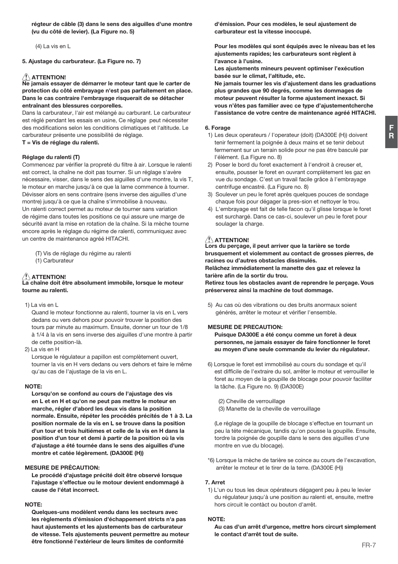F  $\ddot{\mathbf{R}}$ 

régteur de câble (3) dans le sens des aiguilles d'une montre (vu du côté de levier). (La Figure no. 5)

 $(4)$  La vis en L

5. Ajustage du carburateur. (La Figure no. 7)

# $\Lambda$  ATTENTION!

we jamais essayer de démarrer le moteur tant que le carter de protection du côté embrayage n'est pas parfaitement en place. Dans le cas contraire l'embrayage risquerait de se détacher entraînant des blessures corporelles.

Dans la carburateur. L'air est mélangé au carburant. Le carburateur est réglé pendant les essais en usine, Ce réglage peut nécessiter des modifications selon les conditions climatiques et l'altitude. Le carburateur présente une possibilité de réglage.

#### T = Vis de réglage du ralenti.

#### Réglage du ralenti (T)

Commencez par vérifier la propreté du filtre à air. Lorsque le ralenti est correct, la chaîne ne doit pas tourner. Si un réglage s'avère nécessaire, visser, dans le sens des aiguilles d'une montre, la vis T, le moteur en marche jusqu'à ce que la lame commence à tourner. Dévisser alors en sens contraire (sens inverse des aiguilles d'une montre) jusqu'à ce que la chaîne s'immobilise à nouveau. Un ralenti correct permet au moteur de tourner sans variation de régime dans toutes les positions ce qui assure une marge de sécurité avant la mise en rotation de la chaîne. Si la mèche tourne encore après le réglage du régime de ralenti, communiquez avec un centre de maintenance agréé HITACHI.

(T) Vis de réglage du régime au ralenti (1) Carburateur

# ATTENTION!

#### a chaîne doit être absolument immobile, lorsque le moteur tourne au ralenti.

 $1$ ) I a vis en I

Quand le moteur fonctionne au ralenti, tourner la vis en L vers dedans ou vers dehors pour pouvoir trouver la position des tours par minute au maximum. Ensuite, donner un tour de 1/8 à 1/4 à la vis en sens inverse des aiquilles d'une montre à partir de cette position-là.

2) La vis en H

Lorsque le réquiateur a papillon est complètement ouvert, tourner la vis en H vers dedans ou vers dehors et faire le même qu'au cas de l'ajustage de la vis en L.

#### NOTE-

Lorsau'on se confond au cours de l'aiustage des vis en L et en H et qu'on ne peut pas mettre le moteur en marche, régler d'abord les deux vis dans la position normale. Ensuite, répéter les procédés précités de 1 à 3. La position normale de la vis en L se trouve dans la position d'un tour et trois huitiémes et celle de la vis en H dans la position d'un tour et demi à partir de la position où la vis d'ajustage a été tournée dans le sens des aiguilles d'une montre et catée légèrement. (DA300E (H))

#### **MESURE DE PRÉCAUTION:**

Le procédé d'ajustage précité doit être observé lorsque l'ajustage s'effectue ou le motour devient endommagé à cause de l'état incorrect.

### NOTE:

Quelques-uns modèlent vendu dans les secteurs avec les règlements d'émission d'échappement stricts n'a pas haut ajustements et les ajustements bas de carburateur de vitesse. Tels ajustements peuvent permettre au moteur être fonctionné l'extérieur de leurs limites de conformité

d'émission. Pour ces modèles, le seul ajustement de carburateur est la vitesse inoccupé.

Pour les modèles qui sont équipés avec le niveau bas et les ajustements rapides; les carburateurs sont règlent à l'avance à l'usine

Les aiustements mineurs peuvent optimiser l'exécution basée sur le climat, l'altitude, etc.

Ne iamais tourner les vis d'ajustement dans les graduations plus grandes que 90 degrés, comme les dommages de moteur peuvent résulter la forme aiustement inexact. Si vous n'êtes pas familier avec ce type d'aiustementcherche l'assistance de votre centre de maintenance agréé HITACHI.

#### 6. Forage

- 1) Les deux operateurs / l'operateur (doit) (DA300E (H)) doivent tenir fermement la poignée à deux mains et se tenir debout fermement sur un terrain solide pour ne pas être basculé par l'élément. (La Figure no. 8)
- 2) Poser le bord du foret exactement à l'endroit à creuser et, ensuite, pousser le foret en ouvrant complètement les gaz en vue du sondage. C'est un travail facile grâce à l'embrayage centrifuge encastré. (La Figure no. 8)
- 3) Soulever un peu le foret après quelques pouces de sondage chaque fois pour dégager la pres-sion et nettoyer le trou.
- 4) L'embrayage est fait de telle facon qu'il glisse lorsque le foret est surchargé. Dans ce cas-ci, soulever un peu le foret pour soulager la charge.

# $\left\langle \right\langle \right\rangle$  attention!

Lors du percage, il peut arriver que la tarière se torde brusquement et violemment au contact de grosses pierres, de racines ou d'autres obstacles dissimulés. Relâchez immédiatement la manette des gaz et relevez la tarière afin de la sortir du trou.

Retirez tous les obstacles avant de reprendre le perçage. Vous préserverez ainsi la machine de tout dommage.

5) Au cas où des vibrations ou des bruits anormaux soient générés, arrêter le moteur et vérifier l'ensemble.

#### **MESURE DE PRECAUTION:**

Puisque DA300E a été conçu comme un foret à deux personnes, ne jamais essaver de faire fonctionner le foret au moyen d'une seule commande du levier du régulateur.

- 6) Lorsque le foret est immobilisé au cours du sondage et qu'il est difficile de l'extraire du sol, arrêter le moteur et verrouiller le foret au moyen de la goupille de blocage pour pouvoir faciliter la tâche. (La Figure no. 9) (DA300E)
	- (2) Cheville de verrouillage
	- (3) Manette de la cheville de verrouillage

(Le réglage de la goupille de blocage s'effectue en tournant un peu la téte mécanique, tandis qu'on pousse la goupille. Ensuite, tordre la poignée de goupille dans le sens des aiguilles d'une montre en vue du blocage).

\*6) Lorsque la mèche de tarière se coince au cours de l'excavation, arrêter le moteur et le tirer de la terre. (DA300E (H))

#### 7 Arret

1) L'un ou tous les deux opérateurs dégagent peu à peu le levier du réqulateur jusqu'à une position au ralenti et, ensuite, mettre hors circuit le contact ou bouton d'arrêt

#### NOTE:

Au cas d'un arrêt d'urgence, mettre hors circurt simplement le contact d'arrêt tout de suite.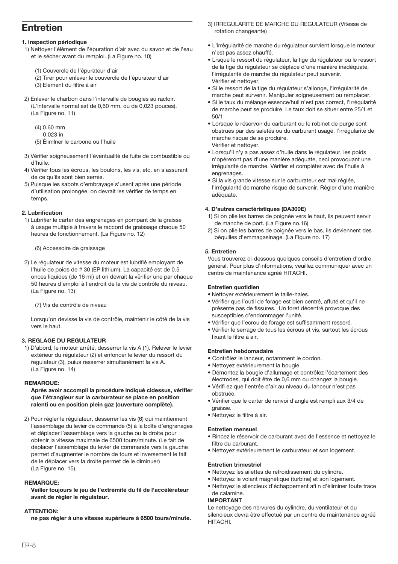# **Entretien**

### 1. Inspection périodique

- 1) Nettover l'élément de l'épuration d'air avec du sayon et de l'eau et le sécher avant du remploi. (La Figure no. 10)
	- (1) Couvercle de l'épurateur d'air
	- (2) Tirer pour enlever le couvercle de l'épurateur d'air
	- (3) Elément du filtre à air
- 2) Enlever le charbon dans l'intervalle de bougies au racloir. (L'intervalle normal est de 0.60 mm, ou de 0.023 pouces).  $\overline{1}$  a Figure no 11)
	- $(4)$  0.60 mm
		- $0.023$  in

(5) Éliminer le carbone ou l'huile

- 3) Vérifier soigneusement l'éventualité de fuite de combustible ou d'huile
- 4) Vérifier tous les écrous les boulons, les vis, etc. en s'assurant de ce qu'ils sont bien serrés
- 5) Puisque les sabots d'embrayage s'usent après une période d'utilisation prolongée, on devrait les vérifier de temps en temns

#### 2. Lubrification

1) Lubrifier le carter des engrenages en pompant de la graisse à usage multiple à travers le raccord de graissage chaque 50 heures de fonctionnement. (La Figure no. 12)

(6) Accessoire de graissage

2) Le réqulateur de vitesse du moteur est lubrifié employant de l'huile de poids de # 30 (EP lithium). La capacité est de 0.5 onces liquides (de 16 ml) et on devrait la verifier une par chaque 50 heures d'emploi à l'endroit de la vis de contrôle du niveau. (La Figure no. 13)

(7) Vis de contrôle de niveau

Lorsau'on devisse la vis de contrôle, maintenir le côté de la vis vere le haut

#### **3. REGLAGE DU REGULATEUR**

1) D'abord, le moteur arrété, desserrer la vis A (1). Relever le levier extérieur du régulateur (2) et enfoncer le levier du ressort du requiateur (3), puius resserrer simultanément la vis A. (La Figure no. 14)

#### **REMARQUE:**

Après avoir accompli la procédure indiqué cidessus, vérifier que l'étrangleur sur la carburateur se place en position ralenti ou en position plein gaz (ouverture complète).

2) Pour régler le régulateur, desserrer les vis (6) qui maintiennent l'assemblage du levier de commande (5) à la boîte d'engranages et déplacer l'assemblage vers la gauche ou la droite pour obtenir la vitesse maximale de 6500 tours/minute. (Le fait de déplacer l'assemblage du levier de commande vers la gauche permet d'augmenter le nombre de tours et inversement le fait de le déplacer vers la droite permet de le diminuer) (La Figure no. 15).

#### **REMARQUE:**

Veiller toujours le jeu de l'extrémité du fil de l'accélérateur avant de régler le régulateur.

#### **ATTENTION:**

ne pas régler à une vitesse supérieure à 6500 tours/minute.

- 3) IRREGULARITE DE MARCHE DU REGULATEUR (Vitesse de rotation changeante)
- · L'irrégularité de marche du régulateur survient lorsque le moteur n'est pas assez chauffé.
- · Lrsque le ressort du réquiateur, la tige du réquiateur ou le ressort de la tige du régulateur se déplace d'une manière inadéquate, l'irrégularité de marche du régulateur peut survenir. Vérifier et nettover.
- · Si le ressort de la tige du régulateur s'allonge, l'irrégularité de marche peut survenir. Manipuler soigneusement ou remplacer.
- · Si le taux du mélange essence/huil n'est pas correct, l'irrégularité de marche peut se produire. Le taux doit se situer entre 25/1 et  $50/1$
- · Lorsque le réservoir du carburant ou le robinet de purge sont obstrués par des saletés ou du carburant usagé, l'irrégularité de marche risque de se produire. Vérifier et nettover.
- · Lorsqu'il n'y a pas assez d'huile dans le régulateur, les poids n'opéreront pas d'une manière adéquate, ceci provoquant une irrégularité de marche. Vérifier et compléter avec de l'huile à engrenages.
- · Si la vis grande vitesse sur le carburateur est mal réglée, l'irrégularité de marche risque de survenir. Régler d'une manière adéquate.

#### 4. D'autres caractéristiques (DA300E)

- 1) Si on plie les barres de poignée vers le haut, ils peuvent servir de manche de port. (La Figure no.16)
- 2) Si on plie les barres de poignée vers le bas, ils deviennent des béquilles d'emmagasinage. (La Figure no. 17)

#### 5. Entretien

Vous trouverez ci-dessous quelques conseils d'entretien d'ordre général. Pour plus d'informations, veuillez communiquer avec un centre de maintenance agréé HITACHI.

#### Entretien quotidien

- · Nettoyer extérieurement le taille-haies.
- · Vérifier que l'outil de forage est bien centré, affuté et qu'il ne présente pas de fissures. Un foret décentré provoque des susceptibles d'endommager l'unité.
- · Vérifier que l'ecrou de forage est suffisamment resseré.
- · Vérifier le serrage de tous les écrous et vis, surtout les écrous fixant le filtre à air

#### Entretien hebdomadaire

- · Contrôlez le lanceur, notamment le cordon.
- · Nettovez extérieurement la bougie.
- · Démontez la bougie d'allumage et contrôlez l'écartement des électrodes, qui doit être de 0,6 mm ou changez la bougie.
- · Vérifi ez que l'entrée d'air au niveau du lanceur n'est pas obetruée
- · Vérifier que le carter de renvoi d'angle est rempli aux 3/4 de araicea
- · Nettovez le filtre à air.

### **Entretien mensuel**

- · Rincez le réservoir de carburant avec de l'essence et nettoyez le filtre du carburant
- Nettovez extérieurement le carburateur et son logement.

### **Entretien trimestriel**

- · Nettovez les ailettes de refroidissement du cylindre.
- · Nettovez le volant magnétique (turbine) et son logement.
- · Nettovez le silencieux d'échappement afi n d'éliminer toute trace de calamine

### **IMPORTANT**

Le nettovage des nervures du cylindre, du ventilateur et du silencieux devra être effectué par un centre de maintenance agréé **HITACHL**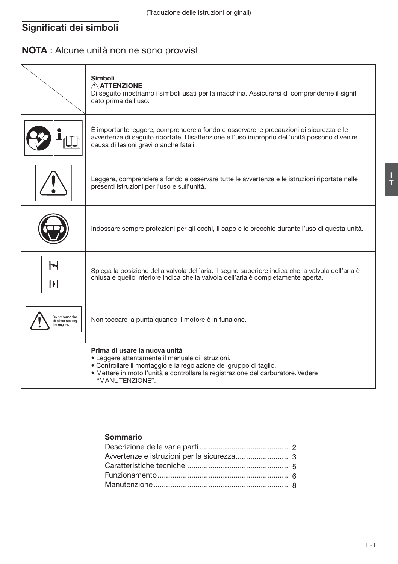# Significati dei simboli

# NOTA : Alcune unità non ne sono provvist

|                                                    | Simboli<br>A ATTENZIONE<br>Di seguito mostriamo i simboli usati per la macchina. Assicurarsi di comprenderne il signifi<br>cato prima dell'uso.                                                                                                               |
|----------------------------------------------------|---------------------------------------------------------------------------------------------------------------------------------------------------------------------------------------------------------------------------------------------------------------|
|                                                    | È importante leggere, comprendere a fondo e osservare le precauzioni di sicurezza e le<br>avvertenze di seguito riportate. Disattenzione e l'uso improprio dell'unità possono divenire<br>causa di lesioni gravi o anche fatali.                              |
|                                                    | Leggere, comprendere a fondo e osservare tutte le avvertenze e le istruzioni riportate nelle<br>presenti istruzioni per l'uso e sull'unità.                                                                                                                   |
|                                                    | Indossare sempre protezioni per gli occhi, il capo e le orecchie durante l'uso di questa unità.                                                                                                                                                               |
| Н<br>H                                             | Spiega la posizione della valvola dell'aria. Il segno superiore indica che la valvola dell'aria è<br>chiusa e quello inferiore indica che la valvola dell'aria è completamente aperta.                                                                        |
| Do not touch the<br>bit when running<br>he engine. | Non toccare la punta quando il motore è in funaione.                                                                                                                                                                                                          |
|                                                    | Prima di usare la nuova unità<br>• Leggere attentamente il manuale di istruzioni.<br>• Controllare il montaggio e la regolazione del gruppo di taglio.<br>· Mettere in moto l'unità e controllare la registrazione del carburatore. Vedere<br>"MANUTENZIONE". |

# Sommario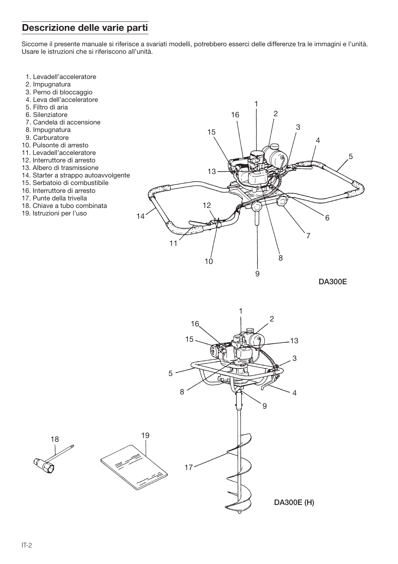# Descrizione delle varie parti

Siccome il presente manuale si riferisce a svariati modelli, potrebbero esserci delle differenze tra le immagini e l'unità. Usare le istruzioni che si riferiscono all'unità.

- 1. Levadell'acceleratore
- 2. Impugnatura
- 3. Perno di bloccaggio
- 4. Leva dell'acceleratore
- 5. Filtro di aria
- 6. Silenziatore
- 7. Candela di accensione
- 8. Impugnatura
- 9. Carburatore
- 10. Pulsonte di arresto
- 11. Levadell'acceleratore
- 12. Interruttore di arresto
- 13. Albero di trasmissione
- 14. Starter a strappo autoavvolgente
- 15. Serbatoio di combustibile
- 16. Interruttore di arresto
- 17. Punte della trivella
- 18. Chiave a tubo combinata
- 19. Istruzioni per l'uso



**DA300E** 

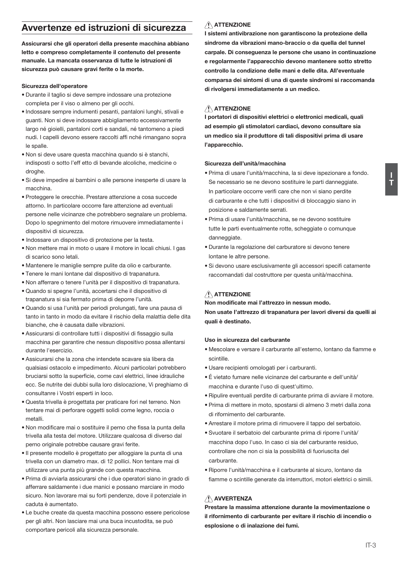# Avvertenze ed istruzioni di sicurezza

Assicurarsi che gli operatori della presente macchina abbiano letto e compreso completamente il contenuto del presente manuale. La mancata osservanza di tutte le istruzioni di sicurezza può causare gravi ferite o la morte.

#### Sicurezza dell'operatore

- · Durante il taglio si deve sempre indossare una protezione completa per il viso o almeno per gli occhi.
- · Indossare sempre indumenti pesanti, pantaloni lunghi, stivali e quanti. Non si deve indossare abbigliamento eccessivamente largo né gioielli, pantaloni corti e sandali, né tantomeno a piedi nudi. I capelli devono essere raccolti affi nché rimangano sopra le englle
- . Non si deve usare questa macchina quando si è stanchi indisposti o sotto l'eff etto di bevande alcoliche, medicine o droghe
- · Si deve impedire ai bambini o alle persone inesperte di usare la macchina
- · Proteggere le orecchie. Prestare attenzione a cosa succede attorno. In particolare occorre fare attenzione ad eventuali persone nelle vicinanze che potrebbero segnalare un problema. Dopo lo spegnimento del motore rimuovere immediatamente i dispositivi di sicurezza
- · Indossare un dispositivo di protezione per la testa.
- . Non mettere mai in moto o usare il motore in locali chiusi. I gas di scarico sono letali
- · Mantenere le maniglie sempre pulite da olio e carburante.
- · Tenere le mani lontane dal dispositivo di trapanatura.
- . Non afferrare o tenere l'unità per il dispositivo di trananatura
- · Quando si spegne l'unità, accertarsi che il dispositivo di trananatura si sia fermato prima di denorre l'unità
- · Quando si usa l'unità per periodi prolungati, fare una pausa di tanto in tanto in modo da evitare il rischio della malattia delle dita bianche, che è causata dalle vibrazioni.
- · Assicurarsi di controllare tutti i dispositivi di fissaggio sulla macchina per garantire che nessun dispositivo possa allentarsi durante l'esercizio
- · Assicurarsi che la zona che intendete scavare sia libera da qualsiasi ostacolo e impedimento. Alcuni particolari potrebbero bruciarsi sotto la superficie, come cavi elettrici, linee idrauliche ecc. Se nutrite dei dubbi sulla loro dislocazione, Vi preghiamo di consultanre i Vostri esperti in loco.
- · Questa trivella è progettata per praticare fori nel terreno. Non tentare mai di perforare oggetti solidi come legno, roccia o metalli
- · Non modificare mai o sostituire il perno che fissa la punta della trivella alla testa del motore. Utilizzare qualcosa di diverso dal perno originale potrebbe causare gravi ferite.
- · Il presente modello è progettato per alloggiare la punta di una trivella con un diametro max. di 12 pollici. Non tentare mai di utilizzare una punta più grande con questa macchina.
- · Prima di avviarla assicurarsi che i due operatori siano in grado di afferrare saldamente i due manici e possano marciare in modo sicuro. Non lavorare mai su forti pendenze, dove il potenziale in caduta è aumentato
- · Le buche create da questa macchina possono essere pericolose per gli altri. Non lasciare mai una buca incustodita, se può comportare pericoli alla sicurezza personale.

# A ATTENZIONE

I sistemi antivibrazione non garantiscono la protezione della sindrome da vibrazioni mano-braccio o da quella del tunnel carpale. Di conseguenza le persone che usano in continuazione e regolarmente l'annarecchio devono mantenere sotto stretto controllo la condizione delle mani e delle dita. All'eventuale comparsa dei sintomi di una di queste sindromi si raccomanda di rivolgersi immediatamente a un medico.

### $\bigwedge$  ATTENZIONE

I portatori di dispositivi elettrici o elettronici medicali, quali ad esempio gli stimolatori cardiaci, devono consultare sia un medico sia il produttore di tali dispositivi prima di usare l'apparecchio.

#### Sicurezza dell'unità/macchina

- · Prima di usare l'unità/macchina, la si deve ispezionare a fondo. Se necessario se ne devono sostituire le parti danneggiate. In particolare occorre verifi care che non vi siano perdite di carburante e che tutti i dispositivi di bloccaggio siano in posizione e saldamente serrati.
- · Prima di usare l'unità/macchina, se ne devono sostituire tutte le parti eventualmente rotte, scheggiate o comunque danneggiate.
- · Durante la regolazione del carburatore si devono tenere lontane le altre persone.
- · Si devono usare esclusivamente gli accessori specifi catamente raccomandati dal costruttore per questa unità/macchina.

# A ATTENZIONE

Non modificate mai l'attrezzo in nessun modo.

Non usate l'attrezzo di trapanatura per lavori diversi da quelli ai quali è destinato.

#### Uso in sicurezza del carburante

- · Mescolare e versare il carburante all'esterno, lontano da fiamme e scintille.
- · Usare recipienti omologati per i carburanti.
- · É vietato fumare nelle vicinanze del carburante e dell'unità/ macchina e durante l'uso di quest'ultimo.
- · Ripulire eventuali perdite di carburante prima di avviare il motore.
- · Prima di mettere in moto, spostarsi di almeno 3 metri dalla zona di rifornimento del carburante.
- Arrestare il motore prima di rimuovere il tappo del serbatoio.
- · Syuotare il serbatoio del carburante prima di riporre l'unità/ macchina dopo l'uso. In caso ci sia del carburante residuo. controllare che non ci sia la possibilità di fuoriuscita del carburante
- · Binorre l'unità/macchina e il carburante al sicuro Jontano da fiamme o scintille generate da interruttori, motori elettrici o simili.

# A AVVERTENZA

Prestare la massima attenzione durante la movimentazione o il rifornimento di carburante per evitare il rischio di incendio o esplosione o di inalazione dei fumi.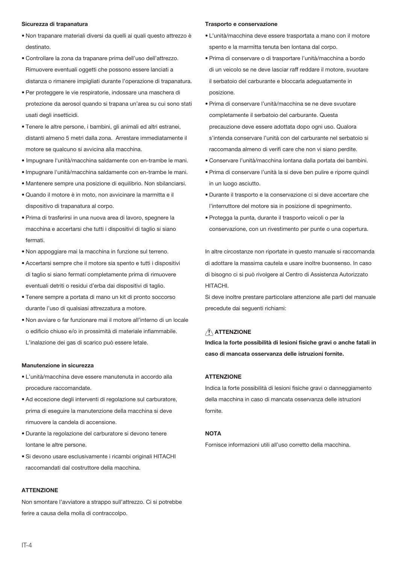#### Sicurezza di trapanatura

- · Non trapanare materiali diversi da quelli ai quali questo attrezzo è destinato
- · Controllare la zona da trapanare prima dell'uso dell'attrezzo. Rimuovere eventuali oggetti che possono essere lanciati a distanza o rimanere impigliati durante l'operazione di trapanatura.
- · Per proteggere le vie respiratorie, indossare una maschera di protezione da aerosol quando si trapana un'area su cui sono stati usati degli insetticidi.
- · Tenere le altre persone, i bambini, gli animali ed altri estranei, distanti almeno 5 metri dalla zona. Arrestare immediatamente il motore se qualcuno si avvicina alla macchina.
- · Impugnare l'unità/macchina saldamente con en-trambe le mani.
- · Impugnare l'unità/macchina saldamente con en-trambe le mani.
- · Mantenere sempre una posizione di equilibrio. Non sbilanciarsi.
- · Quando il motore è in moto, non avvicinare la marmitta e il dispositivo di trapanatura al corpo.
- · Prima di trasferirsi in una nuova area di lavoro, spegnere la macchina e accertarsi che tutti i dispositivi di taglio si siano fermati
- · Non appoggiare mai la macchina in funzione sul terreno.
- · Accertarsi sempre che il motore sia spento e tutti i dispositivi di taglio si siano fermati completamente prima di rimuovere eventuali detriti o residui d'erba dai dispositivi di taglio.
- · Tenere sempre a portata di mano un kit di pronto soccorso durante l'uso di qualsiasi attrezzatura a motore.
- . Non avviare o far funzionare mai il motore all'interno di un locale o edificio chiuso e/o in prossimità di materiale infiammabile. L'inalazione dei gas di scarico può essere letale.

#### Manutenzione in sicurezza

- · L'unità/macchina deve essere manutenuta in accordo alla procedure raccomandate.
- · Ad eccezione degli interventi di regolazione sul carburatore, prima di eseguire la manutenzione della macchina si deve rimunyara la candala di acconsiona
- · Durante la regolazione del carburatore si devono tenere lontane le altre persone.
- · Si devono usare esclusivamente i ricambi originali HITACHI raccomandati dal costruttore della macchina

#### **ATTENZIONE**

Non smontare l'avviatore a strappo sull'attrezzo. Ci si potrebbe ferire a causa della molla di contraccolpo.

#### Trasporto e conservazione

- · L'unità/macchina deve essere trasportata a mano con il motore spento e la marmitta tenuta ben lontana dal corpo.
- · Prima di conservare o di trasportare l'unità/macchina a bordo di un veicolo se ne deve lasciar raff reddare il motore, svuotare il serbatoio del carburante e bloccarla adequatamente in posizione.
- · Prima di conservare l'unità/macchina se ne deve syuotare completamente il serbatoio del carburante. Questa precauzione deve essere adottata dopo ogni uso. Qualora s'intenda conservare l'unità con del carburante nel serbatoio si raccomanda almeno di verifi care che non vi siano perdite.
- · Conservare l'unità/macchina lontana dalla portata dei bambini.
- · Prima di conservare l'unità la si deve ben pulire e riporre quindi in un luogo asciutto.
- · Durante il trasporto e la conservazione ci si deve accertare che l'interruttore del motore sia in posizione di spegnimento.
- · Protegga la punta, durante il trasporto veicoli o per la conservazione, con un rivestimento per punte o una copertura.

In altre circostanze non riportate in questo manuale si raccomanda di adottare la massima cautela e usare inoltre buonsenso. In caso di bisogno ci si può rivolgere al Centro di Assistenza Autorizzato HITACHI.

Si deve inoltre prestare particolare attenzione alle parti del manuale precedute dai sequenti richiami:

# A ATTENZIONE

Indica la forte possibilità di lesioni fisiche gravi o anche fatali in caso di mancata osservanza delle istruzioni fornite.

#### **ATTENZIONE**

Indica la forte possibilità di lesioni fisiche gravi o danneggiamento della macchina in caso di mancata osservanza delle istruzioni fornite

#### **NOTA**

Fornisce informazioni utili all'uso corretto della macchina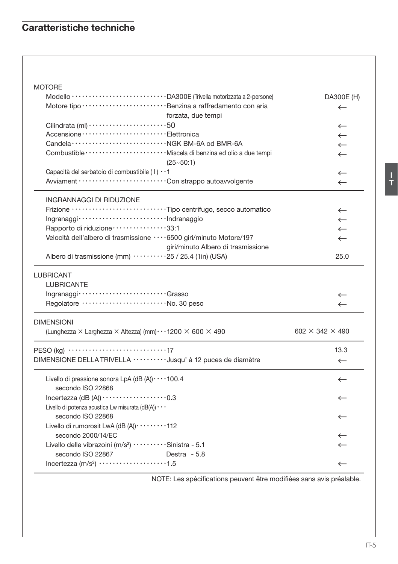# Caratteristiche techniche

# **MOTORE**

|                                                                                              | DA300E (H)                    |
|----------------------------------------------------------------------------------------------|-------------------------------|
|                                                                                              | $\leftarrow$                  |
| forzata, due tempi                                                                           |                               |
|                                                                                              | $\leftarrow$                  |
|                                                                                              | $\leftarrow$                  |
|                                                                                              | $\leftarrow$                  |
| $(25 - 50:1)$                                                                                | $\leftarrow$                  |
| Capacità del serbatoio di combustibile (1) · · 1                                             | $\leftarrow$                  |
|                                                                                              | $\leftarrow$                  |
| <b>INGRANNAGGI DI RIDUZIONE</b>                                                              |                               |
| Frizione ······························Tipo centrifugo, secco automatico                     | $\leftarrow$                  |
|                                                                                              | $\leftarrow$                  |
| Rapporto di riduzione ················33:1                                                   | $\leftarrow$                  |
| Velocità dell'albero di trasmissione ····6500 giri/minuto Motore/197                         | $\leftarrow$                  |
| giri/minuto Albero di trasmissione                                                           |                               |
| Albero di trasmissione (mm) 25 / 25.4 (1in) (USA)                                            | 25.0                          |
| <b>LUBRICANT</b>                                                                             |                               |
| <b>LUBRICANTE</b>                                                                            |                               |
| Ingranaggi ·································Grasso                                           | $\leftarrow$                  |
| Regolatore  No. 30 peso                                                                      | $\leftarrow$                  |
| <b>DIMENSIONI</b>                                                                            |                               |
| (Lunghezza $\times$ Larghezza $\times$ Altezza) (mm) $\cdots$ 1200 $\times$ 600 $\times$ 490 | 602 $\times$ 342 $\times$ 490 |
|                                                                                              | 13.3                          |
| DIMENSIONE DELLA TRIVELLA ··········Jusqu' à 12 puces de diamètre                            | $\leftarrow$                  |
| Livello di pressione sonora LpA (dB (A)) $\cdots$ 100.4<br>secondo ISO 22868                 | $\leftarrow$                  |
| Incertezza (dB $(A)$ ) $\cdots$ $\cdots$ $\cdots$ $\cdots$ $\cdots$ $\cdots$ 0.3             | $\leftarrow$                  |
| Livello di potenza acustica Lw misurata (dB(A)) $\cdots$                                     |                               |
| secondo ISO 22868                                                                            | $\leftarrow$                  |
| Livello di rumorosit LwA (dB (A)) · · · · · · · · · 112                                      |                               |
| secondo 2000/14/EC                                                                           | $\leftarrow$                  |
| Livello delle vibrazoini (m/s <sup>2</sup> ) ··········Sinistra - 5.1                        | $\leftarrow$                  |
| secondo ISO 22867<br>Destra - 5.8                                                            |                               |
|                                                                                              | $\leftarrow$                  |

NOTE: Les spécifications peuvent être modifiées sans avis préalable.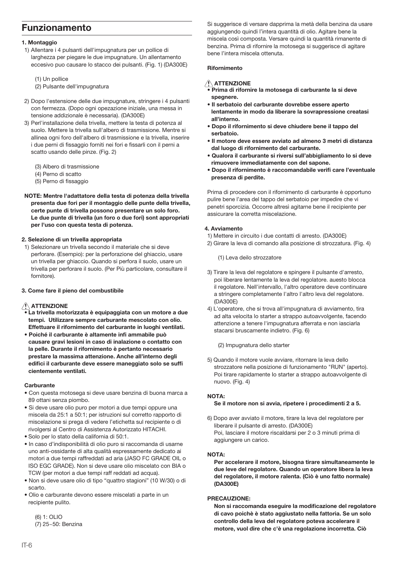# **Funzionamento**

#### 1. Montaggio

- 1) Allentare i 4 pulsanti dell'impugnatura per un pollice di larghezza per piegare le due impugnature. Un allentamento eccesivo puo causare lo stacco dei pulsanti. (Fig. 1) (DA300E)
	- (1) Un pollice
	- (2) Pulsante dell'impugnatura
- 2) Dopo l'estensione delle due impugnature, stringere i 4 pulsanti con fermezza. (Dopo ogni opezazione iniziale, una messa in tensione addizionale è necessaria). (DA300E)
- 3) Perl'installazione della trivella, mettere la testa di potenza al suolo. Mettere la trivella sull'albero di trasmissione. Mentre si allinea ogni foro dell'albero di trasmissione e la trivella, inserire i due perni di fissaggio forniti nei fori e fissarli con il perni a scatto usando delle pinze. (Fig. 2)
	- (3) Albero di trasmissione
	- (4) Perno di scatto
	- (5) Perno di fissaggio
- NOTE: Mentre l'adattatore della testa di potenza della trivella presenta due fori per il montaggio delle punte della trivella. certe punte di trivella possono presentare un solo foro. Le due punte di trivella (un foro o due fori) sont appropriati per l'uso con questa testa di potenza.

#### 2. Selezione di un trivella appropriata

- 1) Selezionare un trivella secondo il materiale che si deve perforare. (Esempio): per la perforazione del ghiaccio, usare un trivella per ghiaccio. Quando si perfora il suolo, usare un trivella per perforare il suolo. (Per Più particolare, consultare il fornitore).
- 3. Come fare il pieno del combustibile

### ATTENZIONE

- La trivella motorizzata è equipaggiata con un motore a due tempi. Utilizzare sempre carburante mescolato con olio. Effettuare il rifornimento del carburante in luoghi ventilati.
- · Poiché il carburante è altamente infi ammabile può causare gravi lesioni in caso di inalazione o contatto con la pelle. Durante il rifornimento è pertanto necessario prestare la massima attenzione. Anche all'interno degli edifici il carburante deve essere maneggiato solo se suffi cientemente ventilati.

#### Carburante

- · Con questa motosega si deve usare benzina di buona marca a 89 ottani senza piombo.
- · Si deve usare olio puro per motori a due tempi oppure una miscela da 25:1 a 50:1; per istruzioni sul corretto rapporto di miscelazione si prega di vedere l'etichetta sul recipiente o di rivolgersi al Centro di Assistenza Autorizzato HITACHI.
- · Solo per lo stato della california di 50:1.
- · In caso d'indisponibilità di olio puro si raccomanda di usarne uno anti-ossidante di alta qualità espressamente dedicato ai motori a due tempi raffreddati ad aria (JASO FC GRADE OIL o ISO EGC GRADE). Non si deve usare olio miscelato con BIA o TCW (per motori a due tempi raff reddati ad acqua).
- · Non si deve usare olio di tipo "quattro stagioni" (10 W/30) o di ecarto
- · Olio e carburante devono essere miscelati a parte in un recipiente pulito.

(6) 1: OLIO (7) 25~50: Benzina Si suggerisce di versare dapprima la metà della benzina da usare aggiungendo quindi l'intera quantità di olio. Agitare bene la miscela così composta. Versare quindi la quantità rimanente di benzina. Prima di rifornire la motosega si suggerisce di agitare bene l'intera miscela ottenuta.

#### Rifornimento

### A ATTENZIONE

- Prima di rifornire la motosega di carburante la si deve spegnere.
- · Il serbatoio del carburante dovrebbe essere aperto lentamente in modo da liberare la sovrapressione creatasi all'interno.
- · Dopo il rifornimento si deve chiudere bene il tappo del serhatojo
- · Il motore deve essere avviato ad almeno 3 metri di distanza dal luogo di rifornimento del carburante.
- . Qualora il carburante si riversi sull'abbigliamento lo si deve rimuovere immediatamente con del sapone.
- · Dopo il rifornimento è raccomandabile verifi care l'eventuale presenza di perdite.

Prima di procedere con il rifornimento di carburante è opportuno pulire bene l'area del tappo del serbatoio per impedire che vi penetri sporcizia. Occorre altresì agitarne bene il recipiente per assicurare la corretta miscelazione.

#### 4. Avviamento

- 1) Mettere in circuito i due contatti di arresto. (DA300E)
- 2) Girare la leva di comando alla posizione di strozzatura. (Fig. 4)

(1) Leva deilo strozzatore

- 3) Tirare la leva del regolatore e spingere il pulsante d'arresto. poi liberare lentamente la leva del regolatore. auesto blocca il regolatore. Nell'intervallo, l'altro operatore deve continuare a stringere completamente l'altro l'altro leva del regolatore.  $(DA300F)$
- 4) L'operatore, che si trova all'impugnatura di avviamento, tira ad alta velocita lo starter a strappo autoavvolgente, facendo attenzione a tenere l'impugnatura afterrata e non iasciarla stacarsi bruscamente indietro. (Fig. 6)

(2) Impugnatura dello starter

5) Quando il motore vuole avviare, ritornare la leva dello strozzatore nella posizione di funzionamento "RUN" (aperto). Poi tirare rapidamente lo starter a strappo autoavvolgente di nuovo. (Fig. 4)

#### NOTA-

#### Se il motore non si avvia, ripetere i procedimenti 2 a 5.

6) Dopo aver avviato il motore, tirare la leva del regolatore per liberare il pulsante di arresto. (DA300E) Poi, lasciare il motore riscaldarsi per 2 o 3 minuti prima di aggiungere un carico.

#### NOTA:

Per accelerare il motore, bisogna tirare simultaneamente le due leve del regolatore. Quando un operatore libera la leva del regolatore, il motore ralenta. (Ciò è uno fatto normale)  $(DA300E)$ 

#### PRECAUZIONE:

Non si raccomanda eseguire la modificazione del regolatore di cavo poichè è stato aggiustato nella fattoria. Se un solo controllo della leva del regolatore poteva accelerare il motore, vuol dire che c'è una regolazione incorretta. Ciò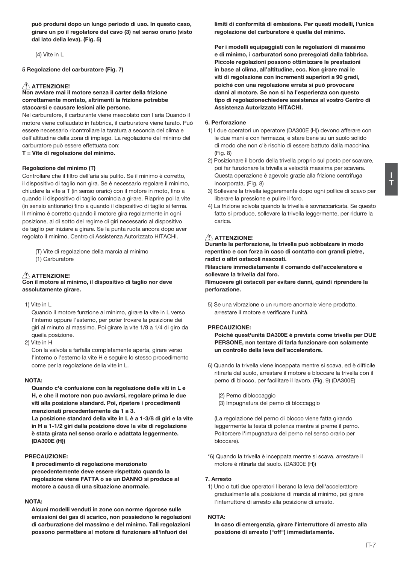può prodursi dopo un lungo periodo di uso. In questo caso, girare un po il regolatore del cavo (3) nel senso orario (visto dal lato della leva), (Fig. 5)

(4) Vite in L

5 Regolazione del carburatore (Fig. 7)

#### $\triangle$  attenzione!

Non avviare mai il motore senza il carter della frizione correttamente montato, altrimenti la frizione potrebbe staccarsi e causare lesioni alle persone.

Nel carburatore, il carburante viene mescolato con l'aria Quando il motore viene collaudato in fabbrica. il carburatore viene tarato. Può essere necessario ricontrollare la taratura a seconda del clima e dell'altitudine della zona di impiego. La regolazione del minimo del carburatore può essere effettuata con:

T = Vite di regolazione del minimo.

#### Regolazione del minimo (T)

Controllare che il filtro dell'aria sia pulito. Se il minimo è corretto. il dispositivo di taglio non gira. Se è necessario regolare il minimo, chiudere la vite a T (in senso orario) con il motore in moto, fino a quando il dispositivo di taglio comincia a girare. Riaprire poi la vite (in sensio antiorario) fino a quando il dispositivo di taglio si ferma. Il minimo è corretto quando il motore gira regolarmente in ogni posizione, al di sotto del regime di giri necessario al dispositivo de taqlio per iniziare a girare. Se la punta ruota ancora dopo aver regolato il minimo, Centro di Assistenza Autorizzato HITACHI.

(T) Vite di regolazione della marcia al minimo (1) Carburatore

### ATTENZIONE!

#### Con il motore al minimo, il dispositivo di taglio nor deve assolutamente girare.

1) Vite in L

Quando il motore funzione al minimo, girare la vite in L verso l'interno oppure l'esterno, per poter trovare la posizione dei giri al minuto al massimo. Poi girare la vite 1/8 a 1/4 di giro da queila posizione.

2) Vite in H

Con la valvola a farfalla completamente aperta, girare verso l'interno o l'esterno la vite H e seguire lo stesso procedimento come per la regolazione della vite in L.

#### NOTA-

Quando c'è confusione con la regolazione delle viti in L e H, e che il motore non puo avviarsi, regolare prima le due viti alla posizione standard. Poi, ripetere i procedimenti menzionati precedentemente da 1 a 3.

La posizione standard della vite in L è a 1-3/8 di giri e la vite in H a 1-1/2 giri dalla posizione dove la vite di regolazione è stata girata nel senso orario e adattata leggermente. (DA300E (H))

#### PRECAUZIONE:

Il procedimento di regolazione menzionato precedentemente deve essere rispettato quando la regolazione viene FATTA o se un DANNO si produce al motore a causa di una situazione anormale.

#### NOTA-

Alcuni modelli venduti in zone con norme rigorose sulle emissioni dei gas di scarico, non possiedono le regolazioni di carburazione del massimo e del minimo. Tali regolazioni possono permettere al motore di funzionare all'infuori dei

limiti di conformità di emissione. Per questi modelli, l'unica regolazione del carburatore è quella del minimo.

Per i modelli equipaggiati con le regolazioni di massimo e di minimo, i carburatori sono preregolati dalla fabbrica. Piccole regolazioni possono ottimizzare le prestazioni in base al clima, all'altitudine, ecc. Non girare mai le viti di regolazione con incrementi superiori a 90 gradi. poiché con una regolazione errata si può provocare danni al motore. Se non si ha l'esperienza con questo tipo di regolazionechiedere assistenza al vostro Centro di Assistenza Autorizzato HITACHI.

#### 6. Perforazione

- 1) I due operatori un operatore (DA300E (H)) devono afferare con le due mani e con fermezza, e stare bene su un suolo solido di modo che non c'è rischio di essere battuto dalla macchina.  $(Fia, 8)$
- 2) Posizionare il bordo della trivella proprio sul posto per scavare, poi far funzionare la trivella a velocità massima per scavera. Questa operazione è agevole grazie alla frizione centrifuga incorporata. (Fig. 8)
- 3) Sollevare la trivella ieggeremente dopo ogni pollice di scavo per liberare la pressione e pulire il foro.
- 4) La frizione scivola quando la trivella è sovraccaricata. Se questo fatto si produce, sollevare la trivella leggermente, per ridurre la  $\sim$

#### $\triangle$  attenzione!

Durante la perforazione, la trivella può sobbalzare in modo repentino e con forza in caso di contatto con grandi pietre. radici o altri ostacoli nascosti.

Rilasciare immediatamente il comando dell'acceleratore e sollevare la trivella dal foro.

Rimuovere gli ostacoli per evitare danni, quindi riprendere la perforazione.

5) Se una vibrazione o un rumore anormale viene prodotto. arrestare il motore e verificare l'unità.

#### **PRECAUZIONE:**

Poichè quest'unità DA300E è prevista come trivella per DUE PERSONE, non tentare di farla funzionare con solamente un controllo della leva dell'acceleratore.

6) Quando la trivella viene inceppata mentre si scava, ed è difticile ritirarla dal suolo, arrestare il motore e bloccare la trivella con il perno di blocco, per facilitare il lavoro. (Fig. 9) (DA300E)

(2) Perno dibloccaggio (3) Impugnatura del perno di bloccaggio

(La regolazione del perno di blocco viene fatta girando leggermente la testa di potenza mentre si preme il perno. Poitorcere l'impugnatura del perno nel senso orario per bloccare).

\*6) Quando la trivella è inceppata mentre si scava, arrestare il motore é ritirarla dal suolo. (DA300E (H))

#### 7 Arrosto

1) Uno o tuti due operatori liberano la leva dell'acceleratore gradualmente alla posizione di marcia al minimo, poi girare l'interruttore di arresto alla posizione di arresto.

#### **NOTA:**

In caso di emergenzia, girare l'interruttore di arresto alla posizione di arresto ("off") immediatamente.

Ļ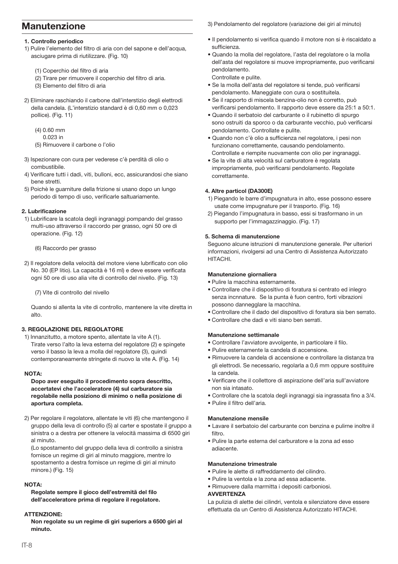# **Manutenzione**

#### 1. Controllo periodico

- 1) Pulire l'elemento del filtro di aria con del sapone e dell'acqua. asciugare prima di riutilizzare. (Fig. 10)
	- (1) Coperchio del filtro di aria
	- (2) Tirare per rimuovere il coperchio del filtro di aria.
	- (3) Elemento del filtro di aria
- 2) Eliminare raschiando il carbone dall'interstizio degli elettrodi della candela. (L'interstizio standard è di 0,60 mm o 0,023 pollice). (Fig. 11)
	- $(4) 0.60$  mm
	- 0.023 in
	- (5) Rimuovere il carbone o l'olio
- 3) Ispezionare con cura per vederese c'è perdità di olio o combustibile.
- 4) Verificare tutti i dadi, viti, bulloni, ecc, assicurandosi che siano hene stretti
- 5) Poichè le quarniture della frizione si usano dopo un lungo periodo di tempo di uso, verificarle saltuariamente.

#### 2 Lubrificazione

1) Lubrificare la scatola degli ingranaggi pompando del grasso multi-uso attraverso il raccordo per grasso, ogni 50 ore di operazione. (Fig. 12)

(6) Raccordo per grasso

2) Il regolatore della velocità del motore viene lubrificato con olio No. 30 (EP litio). La capacità è 16 ml) e deve essere verificata ogni 50 ore di uso alia vite di controllo del nivello. (Fig. 13)

(7) Vite di controllo del nivello

Quando si allenta la vite di controllo, mantenere la vite diretta in  $alt<sub>0</sub>$ 

#### 3. REGOLAZIONE DEL REGOLATORE

1) Innanzitutto, a motore spento, allentate la vite A (1). Tirate verso l'alto la leva esterna del regolatore (2) e spingete verso il basso la leva a molla del regolatore (3), quindi contemporaneamente stringete di nuovo la vite A. (Fig. 14)

#### NOTA-

#### Dopo aver eseguito il procedimento sopra descritto, accertatevi che l'acceleratore (4) sul carburatore sia regolabile nella posiziono di minimo o nella posizione di aportura completa.

2) Per regolare il regolatore, allentate le viti (6) che mantengono il gruppo della leva di controllo (5) al carter e spostate il gruppo a sinistra o a destra per ottenere la velocità massima di 6500 giri al minuto

(Lo spostamento del gruppo della leva di controllo a sinistra fornisce un regime di giri al minuto maggiore, mentre lo spostamento a destra fornisce un regime di giri al minuto minore.) (Fig. 15)

#### NOTA-

Regolate sempre il gioco dell'estremità del filo dell'acceleratore prima di regolare il regolatore.

#### **ATTENZIONE-**

Non regolate su un regime di giri superiors a 6500 giri al minuto

3) Pendolamento del regolatore (variazione dei giri al minuto)

- · Il pendolamento si verifica quando il motore non si è riscaldato a sufficienza
- · Quando la molla del regolatore, l'asta del regolatore o la molla dell'asta del regolatore si muove impropriamente, puo verificarsi nendolamento

Controllate e pulite.

- · Se la molla dell'asta del regolatore si tende, può verificarsi pendolamento. Maneggiate con cura o sostituitela.
- · Se il rapporto di miscela benzina-olio non è corretto, può verificarsi pendolamento. Il rapporto deve essere da 25:1 a 50:1
- · Quando il serbatojo del carburante o il rubinetto di spurgo sono ostruiti da sporco o da carburante vecchio, può verificarsi pendolamento. Controllate e pulite.
- · Quando non c'è olio a sufficienza nel regolatore, i pesi non funzionano correttamente, causando pendolamento. Controllate e riempite nuovamente con olio per ingranaggi.
- · Se la vite di alta velocità sul carburatore è regolata impropriamente, può verificarsi pendolamento. Regolate correttamente

#### 4. Altre particol (DA300E)

- 1) Piegando le barre d'impugnatura in alto, esse possono essere usate come impugnature per il trasporto. (Fig. 16)
- 2) Piegando l'impugnatura in basso, essi si trasformano in un supporto per l'immagazzinaggio, (Fig. 17)

#### 5. Schema di manutenzione

Seguono alcune istruzioni di manutenzione generale. Per ulteriori informazioni, rivolgersi ad una Centro di Assistenza Autorizzato HITACHI.

#### Manutenzione giornaliera

- · Pulire la macchina esternamente.
- Controllare che il dispositivo di foratura si centrato ed inlegro senza incnnature. Se la punta è fuon centro, forti vibrazioni possono dannegglare la macchina.
- · Controllare che il dado del dispositivo di foratura sia ben serrato.
- · Controllare che dadi e viti siano ben serrati.

#### Manutenzione settimanale

- · Controllare l'avviatore avvolgente, in particolare il filo.
- · Pulire esternamente la candela di accensione.
- · Rimuovere la candela di accensione e controllare la distanza tra gli elettrodi. Se necessario, regolarla a 0,6 mm oppure sostituire la candela
- · Verificare che il collettore di aspirazione dell'aria sull'avviatore non sia intasato.
- · Controllare che la scatola degli ingranaggi sia ingrassata fino a 3/4.
- · Pulire il filtro dell'aria.

#### Manutenzione mensile

- · Lavare il serbatoio del carburante con benzina e pulirne inoltre il filtro
- · Pulire la parte esterna del carburatore e la zona ad esso adiacente.

#### Manutenzione trimestrale

- · Pulire le alette di raffreddamento del cilindro.
- · Pulire la ventola e la zona ad essa adiacente.
- · Rimuovere dalla marmitta i depositi carboniosi.

#### **AVVERTENZA**

La pulizia di alette dei cilindri, ventola e silenziatore deve essere effettuata da un Centro di Assistenza Autorizzato HITACHI.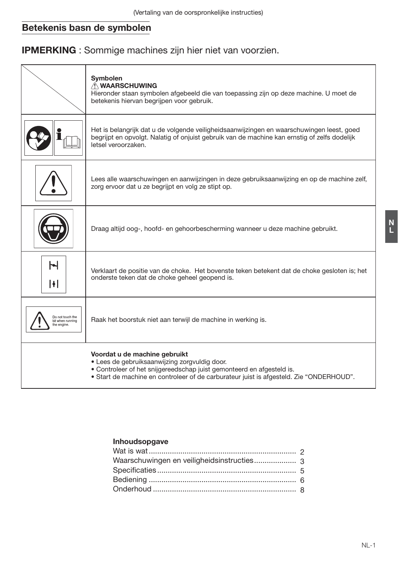# Betekenis basn de symbolen

# **IPMERKING**: Sommige machines zijn hier niet van voorzien.

|                                                    | Symbolen<br><b>A WAARSCHUWING</b><br>Hieronder staan symbolen afgebeeld die van toepassing zijn op deze machine. U moet de<br>betekenis hiervan begrijpen voor gebruik.                                                                            |
|----------------------------------------------------|----------------------------------------------------------------------------------------------------------------------------------------------------------------------------------------------------------------------------------------------------|
|                                                    | Het is belangrijk dat u de volgende veiligheidsaanwijzingen en waarschuwingen leest, goed<br>begrijpt en opvolgt. Nalatig of onjuist gebruik van de machine kan ernstig of zelfs dodelijk<br>letsel veroorzaken.                                   |
|                                                    | Lees alle waarschuwingen en aanwijzingen in deze gebruiksaanwijzing en op de machine zelf,<br>zorg ervoor dat u ze begrijpt en volg ze stipt op.                                                                                                   |
|                                                    | Draag altijd oog-, hoofd- en gehoorbescherming wanneer u deze machine gebruikt.                                                                                                                                                                    |
| ы<br>H                                             | Verklaart de positie van de choke. Het bovenste teken betekent dat de choke gesloten is; het<br>onderste teken dat de choke geheel geopend is.                                                                                                     |
| Do not touch the<br>bit when running<br>he engine. | Raak het boorstuk niet aan terwijl de machine in werking is.                                                                                                                                                                                       |
|                                                    | Voordat u de machine gebruikt<br>· Lees de gebruiksaanwijzing zorgvuldig door.<br>• Controleer of het snijgereedschap juist gemonteerd en afgesteld is.<br>• Start de machine en controleer of de carburateur juist is afgesteld. Zie "ONDERHOUD". |

# Inhoudsopgave

 $\begin{array}{c} N \\ L \end{array}$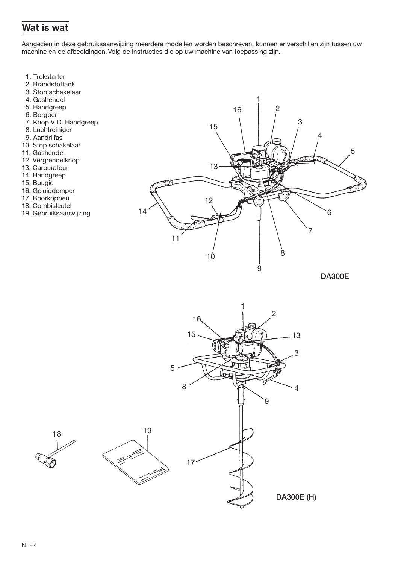# Wat is wat

Aangezien in deze gebruiksaanwijzing meerdere modellen worden beschreven, kunnen er verschillen zijn tussen uw machine en de afbeeldingen. Volg de instructies die op uw machine van toepassing zijn.

- 1. Trekstarter
- 2. Brandstoftank
- 3. Stop schakelaar
- 4. Gashendel
- 5. Handgreep
- 6. Borgpen
- 7. Knop V.D. Handgreep
- 8. Luchtreiniger
- 9. Aandrijfas
- 10. Stop schakelaar
- 11. Gashendel
- 12. Vergrendelknop
- 13. Carburateur
- 14. Handgreep
- 15. Bougie
- 16. Geluiddemper
- 17. Boorkoppen
- 18. Combisleutel
- 19. Gebruiksaanwijzing



**DA300E** 

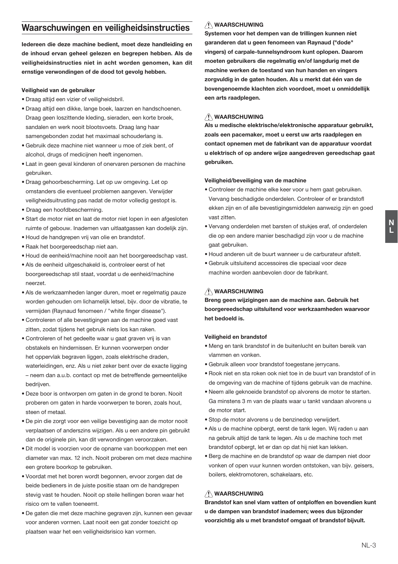# Waarschuwingen en veiligheidsinstructies

ledereen die deze machine bedient, moet deze handleiding en de inhoud ervan geheel gelezen en begrepen hebben. Als de veiligheidsinstructies niet in acht worden genomen, kan dit ernstige verwondingen of de dood tot gevolg hebben.

### Veiligheid van de gebruiker

- · Draaq altijd een vizier of veiligheidsbril.
- · Draag altijd een dikke, lange boek, laarzen en handschoenen. Draag geen loszittende kleding, sieraden, een korte broek, sandalen en werk nooit blootsvoets. Draag lang haar samengebonden zodat het maximaal schouderlang is.
- · Gebruik deze machine niet wanneer u moe of ziek bent, of alcohol drugs of medicijnen heeft ingenomen
- Laat in geen geval kinderen of onervaren personen de machine gebruiken
- · Draag gehoorbescherming. Let op uw omgeving. Let op omstanders die eventueel problemen aangeven. Verwijder veiligheidsuitrusting pas nadat de motor volledig gestopt is.
- · Draaq een hoofdbescherming.
- · Start de motor niet en laat de motor niet lopen in een afgesloten ruimte of gebouw. Inademen van uitlaatgassen kan dodelijk zijn.
- · Houd de handgrepen vrij van olie en brandstof.
- · Raak het boorgereedschap niet aan.
- . Houd de eenheid/machine nooit aan het boorgereedschap vast.
- · Als de eenheid uitgeschakeld is, controleer eerst of het boorgereedschap stil staat, voordat u de eenheid/machine neerzet.
- · Als de werkzaamheden langer duren, moet er regelmatig pauze worden gehouden om lichamelijk letsel, bijv. door de vibratie, te vermijden (Raynaud fenomeen / "white finger disease").
- Controleren of alle bevestigingen aan de machine goed vast zitten, zodat tijdens het gebruik niets los kan raken.
- Controleren of het gedeelte waar u gaat graven vrij is van obstakels en hindernissen. Er kunnen voorwernen onder het oppervlak begraven liggen, zoals elektrische draden, waterleidingen, enz. Als u niet zeker bent over de exacte ligging - neem dan a.u.b. contact op met de betreffende gemeentelijke bedrijven.
- · Deze boor is ontworpen om gaten in de grond te boren. Nooit proberen om gaten in harde voorwerpen te boren, zoals hout, steen of metaal.
- . De pin die zorgt voor een veilige bevestiging aan de motor nooit verplaatsen of anderszins wijzigen. Als u een andere pin gebruikt dan de originele pin, kan dit verwondingen veroorzaken.
- · Dit model is voorzien voor de opname van boorkoppen met een diameter van max. 12 inch. Nooit proberen om met deze machine een grotere boorkop te gebruiken.
- . Voordat met het boren wordt begonnen, ervoor zorgen dat de beide bedieners in de juiste positie staan om de handgrepen stevig vast te houden. Nooit op steile hellingen boren waar het risico om te vallen toeneemt.
- · De gaten die met deze machine gegraven zijn, kunnen een gevaar voor anderen vormen. Laat nooit een gat zonder toezicht op plaatsen waar het een veiligheidsrisico kan vormen.

# **NAARSCHUWING**

Systemen voor het dempen van de trillingen kunnen niet garanderen dat u geen fenomeen van Raynaud ("dode" vingers) of carpale-tunnelsyndroom kunt oplopen. Daarom moeten gebruikers die regelmatig en/of langdurig met de machine werken de toestand van hun handen en vingers zorgvuldig in de gaten houden. Als u merkt dat één van de bovengenoemde klachten zich voordoet, moet u onmiddellijk een arts raadplegen.

# A WAARSCHUWING

Als u medische elektrische/elektronische apparatuur gebruikt, zoals een pacemaker, moet u eerst uw arts raadplegen en contact opnemen met de fabrikant van de apparatuur voordat u elektrisch of op andere wijze aangedreven gereedschap gaat aebruiken.

### Veiligheid/beveiliging van de machine

- · Controleer de machine elke keer voor u hem gaat gebruiken. Vervang beschadigde onderdelen. Controleer of er brandstofl ekken zijn en of alle bevestigingsmiddelen aanwezig zijn en goed vast zitten.
- · Vervang onderdelen met barsten of stukjes eraf, of onderdelen die op een andere manier beschadigd zijn voor u de machine gaat gebruiken.
- · Houd anderen uit de buurt wanneer u de carburateur afstelt.
- · Gebruik uitsluitend accessoires die speciaal voor deze machine worden aanbevolen door de fabrikant.

# **N** WAARSCHUWING

Breng geen wijzigingen aan de machine aan. Gebruik het boorgereedschap uitsluitend voor werkzaamheden waarvoor het bedoeld is.

### Veiligheid en brandstof

- Meng en tank brandstof in de buitenlucht en buiten bereik van vlammen en vonken
- · Gebruik alleen voor brandstof toegestane jerrycans.
- . Rook niet en sta roken ook niet toe in de buurt van brandstof of in de omgeving van de machine of tijdens gebruik van de machine.
- · Neem alle geknoeide brandstof op alvorens de motor te starten. Ga minstens 3 m van de plaats waar u tankt vandaan alvorens u de motor start
- · Stop de motor alvorens u de benzinedop verwijdert.
- Als u de machine opbergt, eerst de tank legen. Wij raden u aan na gebruik altiid de tank te legen. Als u de machine toch met brandstof opbergt, let er dan op dat hij niet kan lekken.
- · Berg de machine en de brandstof op waar de dampen niet door vonken of open vuur kunnen worden ontstoken, van bijv. geisers, boilers, elektromotoren, schakelaars, etc.

# **NAARSCHUWING**

Brandstof kan snel vlam vatten of ontploffen en bovendien kunt u de dampen van brandstof inademen: wees dus bijzonder voorzichtig als u met brandstof omgaat of brandstof bijvult.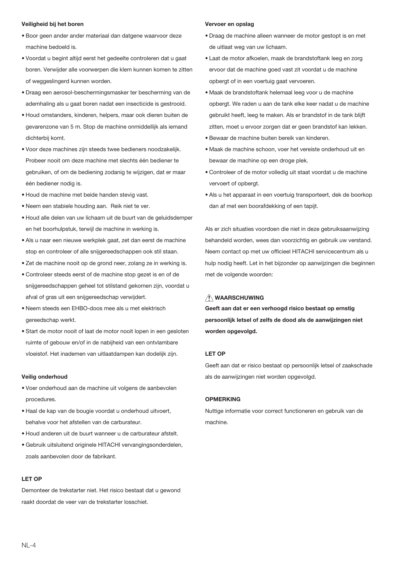#### Veiligheid bij het boren

- · Boor geen ander ander materiaal dan datgene waarvoor deze machine bedoeld is.
- · Voordat u begint altijd eerst het gedeelte controleren dat u gaat boren. Verwijder alle voorwerpen die klem kunnen komen te zitten of weggeslingerd kunnen worden.
- · Draag een aerosol-beschermingsmasker ter bescherming van de ademhaling als u gaat boren nadat een insecticide is gestrooid.
- · Houd omstanders, kinderen, helpers, maar ook dieren buiten de gevarenzone van 5 m. Stop de machine onmiddellijk als jemand dichterbij komt.
- · Voor deze machines zijn steeds twee bedieners noodzakelijk. Probeer nooit om deze machine met slechts één bediener te gebruiken, of om de bediening zodanig te wijzigen, dat er maar één bediener nodig is.
- · Houd de machine met beide handen stevig vast.
- . Neem een stabiele houding aan. Reik niet te ver.
- · Houd alle delen van uw lichaam uit de buurt van de geluidsdemper en het boorhulpstuk, terwijl de machine in werking is.
- · Als u naar een nieuwe werkplek gaat, zet dan eerst de machine stop en controleer of alle snijgereedschappen ook stil staan.
- · Zet de machine nooit op de grond neer, zolang ze in werking is.
- · Controleer steeds eerst of de machine stop gezet is en of de snijgereedschappen geheel tot stilstand gekomen zijn, voordat u afval of gras uit een snijgereedschap verwijdert.
- · Neem steeds een EHBO-doos mee als u met elektrisch gereedschap werkt.
- Start de motor nooit of laat de motor nooit lopen in een gesloten ruimte of gebouw en/of in de nabijheid van een ontvlambare vloeistof. Het inademen van uitlaatdampen kan dodelijk zijn.

#### Veilig onderhoud

- . Voer onderhoud aan de machine uit volgens de aanbevolen procedures.
- · Haal de kap van de bougie voordat u onderhoud uitvoert. hahalya yoor hat afetallan yan da carburataur
- . Houd anderen uit de buurt wanneer u de carburateur afstelt.
- · Gebruik uitsluitend originele HITACHI vervangingsonderdelen. zoals aanbevolen door de fabrikant.

### LET OP

Demonteer de trekstarter niet. Het risico bestaat dat u gewond raakt doordat de veer van de trekstarter losschiet

#### Vervoer en opslag

- · Draag de machine alleen wanneer de motor gestopt is en met de uitlaat weg van uw lichaam.
- · Laat de motor afkoelen, maak de brandstoftank leeg en zorg ervoor dat de machine goed vast zit voordat u de machine opbergt of in een voertuig gaat vervoeren.
- · Maak de brandstoftank helemaal leeg voor u de machine opbergt. We raden u aan de tank elke keer nadat u de machine gebruikt heeft, leeg te maken. Als er brandstof in de tank blijft zitten, moet u ervoor zorgen dat er geen brandstof kan lekken.
- · Bewaar de machine buiten bereik van kinderen.
- . Maak de machine schoon, voer het vereiste onderhoud uit en bewaar de machine op een droge plek.
- · Controleer of de motor volledig uit staat voordat u de machine vervoert of opbergt.
- · Als u het apparaat in een voertuig transporteert, dek de boorkop dan af met een boorafdekking of een tapijt.

Als er zich situaties voordoen die niet in deze gebruiksaanwijzing behandeld worden, wees dan voorzichtig en gebruik uw verstand. Neem contact op met uw officieel HITACHI servicecentrum als u hulp nodig heeft. Let in het bijzonder op aanwijzingen die beginnen met de volgende woorden:

# **NUMBER OF WAARSCHUWING**

Geeft aan dat er een verhoogd risico bestaat op ernstig persoonlijk letsel of zelfs de dood als de aanwijzingen niet worden opgevolgd.

### LET OP

Geeft aan dat er risico bestaat op persoonlijk letsel of zaakschade als de aanwijzingen niet worden opgevolgd.

### **OPMERKING**

Nuttige informatie voor correct functioneren en gebruik van de machine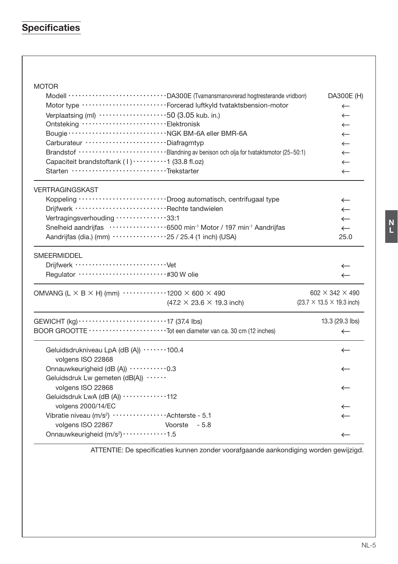# **Specificaties**

| <b>MOTOR</b>                                                                                          |                                               |
|-------------------------------------------------------------------------------------------------------|-----------------------------------------------|
| Modell ····························· DA300E (Tvamansmanovrerad hogtresterande vridborr)               | DA300E (H)                                    |
| Motor type ··························Forcerad luftkyld tvataktsbension-motor                          | $\leftarrow$                                  |
| Verplaatsing (ml) 50 (3.05 kub. in.)                                                                  | $\leftarrow$                                  |
| Ontsteking ······························Elektronisk                                                  | $\leftarrow$                                  |
|                                                                                                       | $\leftarrow$                                  |
| Carburateur ····························Diafragmtyp                                                   | $\leftarrow$                                  |
| Brandstof ···························Blandning av benison och olja for tvataktsmotor (25~50:1)        | $\leftarrow$                                  |
| Capaciteit brandstoftank (1)  1 (33.8 fl.oz)                                                          | $\leftarrow$                                  |
| Starten ································Trekstarter                                                   | $\leftarrow$                                  |
| <b>VERTRAGINGSKAST</b>                                                                                |                                               |
| Koppeling ····························· Droog automatisch, centrifugaal type                          | $\leftarrow$                                  |
| Driifwerk ·······························Rechte tandwielen                                            | $\leftarrow$                                  |
| Vertragingsverhouding 33:1                                                                            | $\leftarrow$                                  |
| Snelheid aandrijfas ··················6500 min <sup>-1</sup> Motor / 197 min <sup>-1</sup> Aandrijfas | $\leftarrow$                                  |
| Aandrijfas (dia.) (mm) ·················25 / 25.4 (1 inch) (USA)                                      | 25.0                                          |
| <b>SMEERMIDDEL</b>                                                                                    | $\leftarrow$<br>$\leftarrow$                  |
| OMVANG (L $\times$ B $\times$ H) (mm) $\cdots$ 1200 $\times$ 600 $\times$ 490                         | $602 \times 342 \times 490$                   |
| $(47.2 \times 23.6 \times 19.3 \text{ inch})$                                                         | $(23.7 \times 13.5 \times 19.3 \text{ inch})$ |
|                                                                                                       | 13.3 (29.3 lbs)                               |
|                                                                                                       | $\leftarrow$                                  |
| Geluidsdrukniveau LpA (dB (A)) ·······100.4<br>volgens ISO 22868                                      | $\leftarrow$                                  |
| Onnauwkeurigheid (dB (A)) ··········0.3                                                               | $\leftarrow$                                  |
| Geluidsdruk Lw gemeten (dB(A)) ······<br>volgens ISO 22868                                            | $\leftarrow$                                  |
| Geluidsdruk LwA (dB (A)) ············112                                                              |                                               |
| volgens 2000/14/EC                                                                                    | ←                                             |
| Vibratie niveau (m/s <sup>2</sup> ) ··················Achterste - 5.1                                 | $\leftarrow$                                  |
| volgens ISO 22867<br>Voorste - 5.8                                                                    |                                               |
| Onnauwkeurigheid (m/s <sup>2</sup> ) · · · · · · · · · · · · 1.5                                      | $\leftarrow$                                  |

ATTENTIE: De specificaties kunnen zonder voorafgaande aankondiging worden gewijzigd.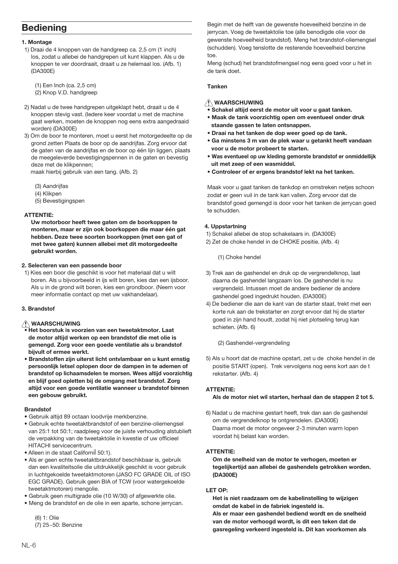# **Bediening**

### 1. Montage

1) Draai de 4 knoppen van de handgreep ca. 2,5 cm (1 inch) los, zodat u allebei de handgrepen uit kunt klappen. Als u de knoppen te ver doordraait, draait u ze helemaal los. (Afb. 1) (DA300E)

 $(1)$  Een Inch (ca. 2,5 cm) (2) Knop V.D. handgreep

- 2) Nadat u de twee handgrepen uitgeklapt hebt, draait u de 4 knoppen stevig vast. (ledere keer voordat u met de machine gaat werken, moeten de knoppen nog eens extra aangedraaid worden) (DA300E)
- 3) Om de boor te monteren, moet u eerst het motorgedeelte op de grond zetten Plaats de boor op de aandrijfas. Zorg ervoor dat de gaten van de aandrijfas en de boor op één lijn liggen, plaats de meegeleverde bevestigingspennen in de gaten en bevestig deze met de klikpennen;

maak hierbij gebruik van een tang. (Afb. 2)

- (3) Aandriifas
- (4) Kliknen
- (5) Bevestigingspen

### **ATTENTIE:**

Uw motorboor heeft twee gaten om de boorkoppen te monteren, maar er zijn ook boorkoppen die maar één gat hebben. Deze twee soorten boorkoppen (met een gat of met twee gaten) kunnen allebei met dit motorgedeelte aghruikt worden

### 2. Selecteren van een passende boor

1) Kies een boor die geschikt is voor het materiaal dat u wilt boren. Als u bijvoorbeeld in ijs wilt boren, kies dan een ijsboor. Als u in de grond wilt boren, kies een grondboor. (Neem voor meer informatie contact op met uw vakhandelaar).

## 3. Brandstof

# **NAARSCHUWING**

- Het boorstuk is voorzien van een tweetaktmotor. Laat de motor altijd werken op een brandstof die met olie is gemengd. Zorg voor een goede ventilatie als u brandstof bijvult of ermee werkt.
- · Brandstoffen zijn uiterst licht ontvlambaar en u kunt ernstig persoonlijk letsel oplopen door de dampen in te ademen of brandstof op lichaamsdelen te morsen. Wees altijd voorzichtig en blijf goed opletten bij de omgang met brandstof. Zorg altijd voor een goede ventilatie wanneer u brandstof binnen een gebouw gebruikt.

### **Rrandstof**

- · Gebruik altijd 89 octaan loodvrije merkbenzine.
- · Gebruik echte tweetaktbrandstof of een benzine-oliemengsel van 25:1 tot 50:1; raadpleeg voor de juiste verhouding alstublieft de verpakking van de tweetaktolie in kwestie of uw officieel HITACHI servicecentrum.
- · Alleen in de staat Californil 50:1).
- Als er geen echte tweetaktbrandstof beschikbaar is, gebruik dan een kwaliteitsolie die uitdrukkelijk geschikt is voor gebruik in luchtgekoelde tweetaktmotoren (JASO FC GRADE OIL of ISO EGC GRADE). Gebruik geen BIA of TCW (voor watergekoelde tweetaktmotoren) mengolie.
- · Gebruik geen multigrade olie (10 W/30) of afgewerkte olie.
- · Mena de brandstof en de olie in een aparte, schone ierrycan.

 $(6)$  1  $\cdot$  Olie (7) 25~50: Benzine Begin met de helft van de gewenste hoeveelheid benzine in de jerrycan. Voeg de tweetaktolie toe (alle benodigde olie voor de gewenste hoeveelheid brandstof). Meng het brandstof-oliemengsel (schudden). Voeg tenslotte de resterende hoeveelheid benzine  $t \cap \triangle$ 

Meng (schud) het brandstofmengsel nog eens goed voor u het in de tank doet

### Tanken

# A WAARSCHUWING

- .<br>• Schakel altiid eerst de motor uit voor u gaat tanken.
- . Maak de tank voorzichtig open om eventueel onder druk staande gassen te laten ontsnappen.
- · Draai na het tanken de dop weer goed op de tank.
- Ga minstens 3 m van de plek waar u getankt heeft vandaan voor u de motor probeert te starten.
- . Was eventueel op uw kleding gemorste brandstof er onmiddellijk uit met zeep of een wasmiddel.
- Controleer of er ergens brandstof lekt na het tanken.

Maak voor u gaat tanken de tankdop en omstreken netjes schoon zodat er geen vuil in de tank kan vallen. Zorg ervoor dat de brandstof goed gemengd is door voor het tanken de jerrycan goed te schudden.

### 4. Uppstartning

- 1) Schakel allebei de stop schakelaars in. (DA300E)
- 2) Zet de choke hendel in de CHOKE positie. (Afb. 4)

(1) Choke hendel

- 3) Trek aan de gashendel en druk op de vergrendelknop, laat daarna de gashendel langzaam los. De gashendel is nu vergrendeld. Intussen moet de andere bediener de andere gashendel goed ingedrukt houden. (DA300E)
- 4) De bediener die aan de kant van de starter staat, trekt met een korte ruk aan de trekstarter en zorgt ervoor dat hij de starter goed in zijn hand houdt, zodat hij niet plotseling terug kan schieten. (Afb. 6)

### (2) Gashendel-vergrendeling

5) Als u hoort dat de machine opstart, zet u de choke hendel in de positie START (open). Trek vervolgens nog eens kort aan de t rekstarter. (Afb. 4)

### **ATTENTIF-**

### Als de motor niet wil starten, herhaal dan de stappen 2 tot 5.

6) Nadat u de machine gestart heeft, trek dan aan de gashendel om de vergrendelknop te ontgrendelen. (DA300E) Daarna moet de motor ongeveer 2-3 minuten warm lopen voordat hij belast kan worden.

### **ATTENTIF-**

### Om de snelheid van de motor te verhogen, moeten er tegelijkertijd aan allebei de gashendels getrokken worden. (DA300E)

### LET OP:

Het is niet raadzaam om de kabelinstelling te wijzigen omdat de kabel in de fabriek ingesteld is. Als er maar een gashendel bediend wordt en de snelheid van de motor verhoogd wordt, is dit een teken dat de gasregeling verkeerd ingesteld is. Dit kan voorkomen als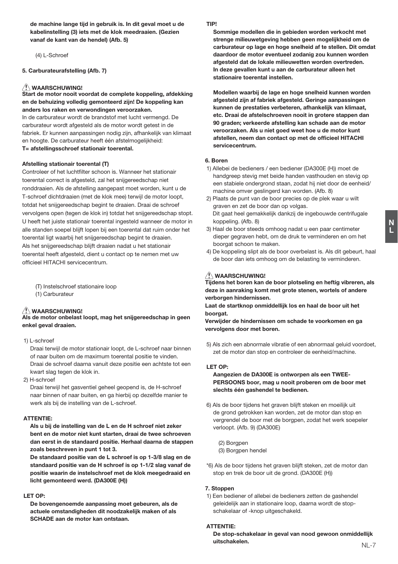de machine lange tijd in gebruik is. In dit geval moet u de kabelinstelling (3) jets met de klok meedraaien. (Gezien vanaf de kant van de hendel) (Afb. 5)

(4) L-Schroef

## 5. Carburateurafstelling (Afb. 7)

# <u>∕∱</u> WAARSCHUWING!<br>Start de motor nooit voordat de complete koppeling. afdekking en de behuizing volledig gemonteerd zijn! De konneling kan anders los raken en verwondingen veroorzaken.

In de carburateur wordt de brandstof met lucht vermengd. De carburateur wordt afgesteld als de motor wordt getest in de fabriek. Er kunnen aanpassingen nodig zijn, afhankelijk van klimaat en hoogte. De carburateur heeft één afstelmogelijkheid: T= afstellingsschroef stationair toerental.

#### Afstelling stationair toerental (T)

Controleer of het luchtfilter schoon is. Wanneer het stationair toerental correct is afgesteld, zal het snijgereedschap niet ronddraaien. Als de afstelling aangepast moet worden, kunt u de T-schroef dichtdraaien (met de klok mee) terwijl de motor loopt, totdat het snijgereedschap begint te draaien. Draai de schroef vervolgens open (tegen de klok in) totdat het snijgereedschap stopt. U heeft het juiste stationair toerental ingesteld wanneer de motor in alle standen soepel blijft lopen bij een toerental dat ruim onder het toerental ligt waarbij het snijgereedschap begint te draaien. Als het snijgereedschap blijft draajen nadat u het stationair toerental heeft afgesteld, dient u contact op te nemen met uw officieel HITACHI servicecentrum.

(T) Instelschroef stationaire loop

(1) Carburateur

### $\triangle$  WAARSCHUWING!

Als de motor onbelast loopt, mag het snijgereedschap in geen enkel geval draaien.

1) L-schroef

Draai terwijl de motor stationair loopt, de L-schroef naar binnen of naar buiten om de maximum toerental positie te vinden Draai de schroef daarna vanuit deze positie een achtste tot een kwart slag tegen de klok in.

2) H-schroef

Draai terwijl het gasventiel geheel geopend is, de H-schroef naar binnen of naar buiten, en ga hierbij op dezelfde manier te werk als bij de instelling van de L-schroef.

### ATTENTIE-

Als u bij de instelling van de L en de H schroef niet zeker bent en de motor niet kunt starten, draai de twee schroeven dan eerst in de standaard positie. Herhaal daarna de stappen zoals beschreven in punt 1 tot 3.

De standaard positie van de L schroef is op 1-3/8 slag en de standaard positie van de H schroef is op 1-1/2 slag vanaf de positie waarin de instelschroef met de klok meegedraaid en licht gemonteerd werd. (DA300E (H))

#### LET OP-

De bovengenoemde aanpassing moet gebeuren, als de actuele omstandigheden dit noodzakelijk maken of als SCHADE aan de motor kan ontstaan.

### TIDI

Sommige modellen die in gebieden worden verkocht met strenge milieuwetgeving hebben geen mogelijkheid om de carburateur op lage en hoge snelheid af te stellen. Dit omdat daardoor de motor eventueel zodanig zou kunnen worden afgesteld dat de lokale milieuwetten worden overtreden. In deze gevallen kunt u aan de carburateur alleen het stationaire toerental instellen.

Modellen waarbij de lage en hoge snelheid kunnen worden afgesteld zijn af fabriek afgesteld. Geringe aanpassingen kunnen de prestaties verbeteren, afhankelijk van klimaat. etc. Draai de afstelschroeven nooit in grotere stappen dan 90 graden: verkeerde afstelling kan schade aan de motor veroorzaken. Als u niet goed weet hoe u de motor kunt afstellen, neem dan contact op met de officieel HITACHI servicecentrum

### 6 Boren

- 1) Allebei de bedieners / een bediener (DA300E (H)) moet de handgreep stevig met beide handen vasthouden en stevig op een stabiele ondergrond staan, zodat hij niet door de eenheid/ machine omver geslingerd kan worden. (Afb. 8)
- 2) Plaats de punt van de boor precies op de plek waar u wilt graven en zet de boor dan op volgas. Dit gaat heel gemakkelijk dankzij de ingebouwde centrifugale koppeling, (Afb, 8)
- 3) Haal de boor steeds omhoog nadat u een paar centimeter dieper gegraven hebt, om de druk te verminderen en om het boorgat schoon te maken.
- 4) De koppeling slipt als de boor overbelast is. Als dit gebeurt, haal de boor dan iets omhoog om de belasting te verminderen.

<u>∕∱</u> WAARSCHUWING!<br>Tiidens het boren kan de boor plotseling en heftig vibreren. als deze in aanraking komt met grote stenen, wortels of andere verborgen hindernissen.

Laat de startknop onmiddellijk los en haal de boor uit het boorgat.

Verwijder de hindernissen om schade te voorkomen en ga vervolgens door met boren.

5) Als zich een abnormale vibratie of een abnormaal geluid voordoet. zet de motor dan stop en controleer de eenheid/machine.

### LET OP:

Aangezien de DA300E is ontworpen als een TWEE-PERSOONS boor, mag u nooit proberen om de boor met slechts één gashendel te bedienen.

6) Als de boor tijdens het graven blijft steken en moeilijk uit de grond getrokken kan worden, zet de motor dan stop en vergrendel de boor met de borgpen, zodat het werk soepeler verloopt. (Afb. 9) (DA300E)

(2) Borapen (3) Borgpen hendel

\*6) Als de boor tijdens het graven blijft steken, zet de motor dan stop en trek de boor uit de grond. (DA300E (H))

### 7. Stoppen

1) Een bediener of allebei de bedieners zetten de gashendel geleidelijk aan in stationaire loop, daarna wordt de stopschakelaar of -knop uitgeschakeld.

#### **ATTENTIE:**

De stop-schakelaar in geval van nood gewoon onmiddellijk uitschakelen.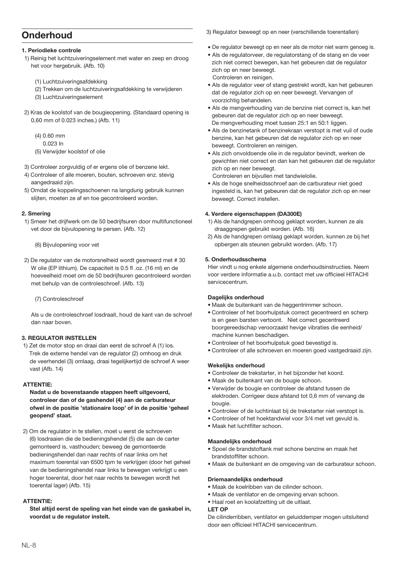# Onderhoud

### 1. Periodieke controle

- 1) Reinig het luchtzuiveringselement met water en zeep en droog het voor hergebruik. (Afb. 10)
	- (1) Luchtzuiveringsafdekking
	- (2) Trekken om de luchtzuiveringsafdekking te verwijderen
	- (3) Luchtzuiveringselement
- 2) Kras de koolstof van de bougieopening. (Standaard opening is 0,60 mm of 0.023 inches.) (Afb. 11)
	- $(4) 0.60$  mm
	- 0.023 In
	- (5) Verwijder koolstof of olie
- 3) Controleer zorgvuldig of er ergens olie of benzene lekt.
- 4) Controleer of alle moeren, bouten, schroeven enz. stevig aangedraaid zijn.
- 5) Omdat de koppelingsschoenen na langdurig gebruik kunnen slijten, moeten ze af en toe gecontroleerd worden.

### 2. Smering

- 1) Smeer het drijfwerk om de 50 bedrijfsuren door multifunctioneel vet door de bijvulopening te persen. (Afb. 12)
	- (6) Bijvulopening voor vet
- 2) De requlator van de motorsnelheid wordt gesmeerd met #30 W olie (EP lithium). De capaciteit is 0.5 fl .oz. (16 ml) en de hoeveelheid moet om de 50 bedrijfsuren gecontroleerd worden met behulp van de controleschroef. (Afb. 13)

(7) Controleschroef

Als u de controleschroef losdraait, houd de kant van de schroef dan naar hoven

### **3. REGULATOR INSTELLEN**

1) Zet de motor stop en draai dan eerst de schroef A (1) los. Trek de externe hendel van de regulator (2) omhoog en druk de veerhendel (3) omlaag, draaj tegelijkertijd de schroef A weer vast (Afb. 14)

### **ATTENTIE-**

Nadat u de bovenstaande stappen heeft uitgevoerd, controleer dan of de gashendel (4) aan de carburateur ofwel in de positie 'stationaire loop' of in de positie 'geheel geopend' staat.

2) Om de regulator in te stellen, moet u eerst de schroeven (6) losdraaien die de bedieningshendel (5) die aan de carter gemonteerd is, vasthouden; beweeg de gemonteerde bedieningshendel dan naar rechts of naar links om het maximum toerental van 6500 tpm te verkrijgen (door het geheel van de bedieningshendel naar links te bewegen verkrijgt u een hoger toerental, door het naar rechts te bewegen wordt het toerental lager) (Afb. 15)

## **ATTENTIE-**

Stel altiid eerst de speling van het einde van de gaskabel in. voordat u de regulator instelt.

3) Requiator beweegt op en neer (verschillende toerentallen)

- De regulator beweegt op en neer als de motor niet warm genoeg is.
- · Als de regulatoryeer, de regulatorstang of de stang en de yeer zich niet correct bewegen, kan het gebeuren dat de regulator zich on en neer beweent Controleren en reinigen.
- · Als de regulator veer of stang gestrekt wordt, kan het gebeuren dat de regulator zich op en neer beweegt. Vervangen of voorzichtig behandelen.
- · Als de mengverhouding van de benzine niet correct is, kan het gebeuren dat de regulator zich op en neer beweegt. De mengverhouding moet tussen 25:1 en 50:1 liggen.
- Als de benzinetank of benzinekraan verstopt is met vuil of oude benzine, kan het gebeuren dat de regulator zich op en neer beweegt. Controleren en reinigen.
- · Als zich onvoldoende olie in de regulator bevindt, werken de gewichten niet correct en dan kan het gebeuren dat de regulator zich op en neer beweegt.

Controleren en bijvullen met tandwielolie.

• Als de hoge snelheidsschroef aan de carburateur niet goed ingesteld is, kan het gebeuren dat de regulator zich op en neer beweegt. Correct instellen.

### 4. Verdere eigenschappen (DA300E)

- 1) Als de handgrepen omhoog geklapt worden, kunnen ze als draaggrepen gebruikt worden. (Afb. 16)
- 2) Als de handgrepen omlaag geklapt worden, kunnen ze bij het opbergen als steunen gebruikt worden. (Afb. 17)

# 5. Onderhoudsschema

Hier vindt u nog enkele algemene onderhoudsinstructies. Neem voor verdere informatie a.u.b. contact met uw officieel HITACHI servicecentrum

### Dagelijks onderhoud

· Maak de buitenkant van de heggentrimmer schoon.

- · Controleer of het boorhulpstuk correct gecentreerd en scherp is en geen barsten vertoont. Niet correct gecentreerd boorgereedschap veroorzaakt hevige vibraties die eenheid/ machine kunnen beschadigen.
- Controleer of het boorhulpstuk goed bevestigd is.
- · Controleer of alle schroeven en moeren goed vastgedraaid zijn.

### **Wekelijks onderhoud**

- · Controleer de trekstarter, in het bijzonder het koord.
- · Maak de buitenkant van de bougie schoon.
- · Verwijder de bougie en controleer de afstand tussen de elektroden. Corrigeer deze afstand tot 0,6 mm of vervang de bougie.
- · Controleer of de luchtinlaat bij de trekstarter niet verstopt is.
- · Controleer of het hoektandwiel voor 3/4 met vet gevuld is.
- · Maak het luchtfilter schoon.

### Maandelijks onderhoud

- Spoel de brandstoftank met schone benzine en maak het brandstoffilter schoon.
- · Maak de buitenkant en de omgeving van de carburateur schoon.

## **Driemaandelijks onderhoud**

- · Maak de koelribben van de cilinder schoon
- · Maak de ventilator en de omgeving ervan schoon.
- · Haal roet en koolafzetting uit de uitlaat.

# LET OP

De cilinderribben, ventilator en geluiddemper mogen uitsluitend door een officieel HITACHI servicecentrum.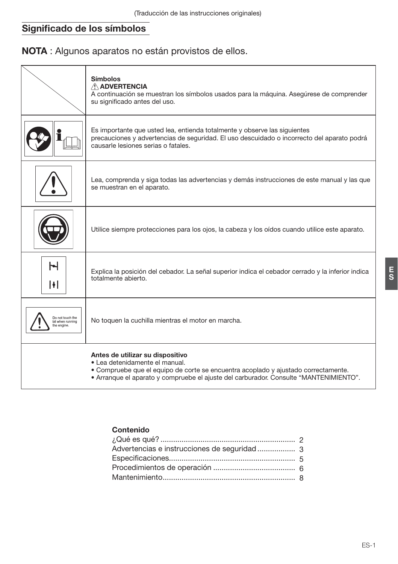# Significado de los símbolos

NOTA : Algunos aparatos no están provistos de ellos.

|                                                     | <b>Símbolos</b><br>A ADVERTENCIA<br>A continuación se muestran los símbolos usados para la máquina. Asegúrese de comprender<br>su significado antes del uso.                                                                                      |
|-----------------------------------------------------|---------------------------------------------------------------------------------------------------------------------------------------------------------------------------------------------------------------------------------------------------|
|                                                     | Es importante que usted lea, entienda totalmente y observe las siguientes<br>precauciones y advertencias de seguridad. El uso descuidado o incorrecto del aparato podrá<br>causarle lesiones serias o fatales.                                    |
|                                                     | Lea, comprenda y siga todas las advertencias y demás instrucciones de este manual y las que<br>se muestran en el aparato.                                                                                                                         |
|                                                     | Utilice siempre protecciones para los ojos, la cabeza y los oídos cuando utilice este aparato.                                                                                                                                                    |
| Н<br>H                                              | Explica la posición del cebador. La señal superior indica el cebador cerrado y la inferior indica<br>totalmente abierto.                                                                                                                          |
| Do not touch the<br>bit when running<br>the engine. | No toquen la cuchilla mientras el motor en marcha.                                                                                                                                                                                                |
|                                                     | Antes de utilizar su dispositivo<br>· Lea detenidamente el manual.<br>• Compruebe que el equipo de corte se encuentra acoplado y ajustado correctamente.<br>• Arranque el aparato y compruebe el ajuste del carburador. Consulte "MANTENIMIENTO". |

# Contenido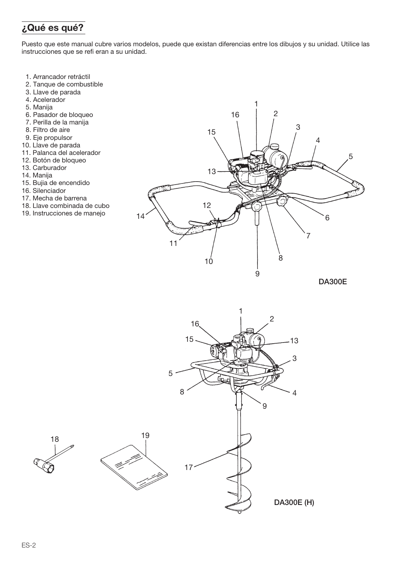# ¿Qué es qué?

Puesto que este manual cubre varios modelos, puede que existan diferencias entre los dibuios y su unidad. Utilice las instrucciones que se refi eran a su unidad.

- 1. Arrancador retráctil
- 2. Tanque de combustible
- 3. Llave de parada
- 4. Acelerador
- 5. Manija
- 6. Pasador de bloqueo
- 7. Perilla de la manija
- 8. Filtro de aire
- 9. Eje propulsor
- 10. Llave de parada
- 11. Palanca del acelerador
- 12. Botón de bloqueo
- 13. Carburador
- 14. Manija
- 15. Bujia de encendido
- 16. Silenciador
- 17. Mecha de barrena
- 18. Llave combinada de cubo
- 19. Instrucciones de manejo





19

Í.

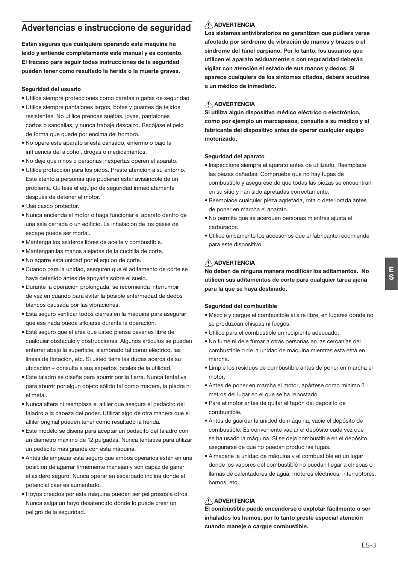# Advertencias e instruccione de seguridad

Están seguras que cualquiera operando esta máquina ha leído y entiende completamente este manual y es contento. El fracaso para seguir todas instrucciones de la seguridad pueden tener como resultado la herida o la muerte graves.

### Seguridad del usuario

- · Utilice siempre protecciones como caretas o gafas de seguridad.
- · Utilice siempre pantalones largos, botas y quantes de teiidos resistentes. No utilice prendas sueltas, jovas, pantalones cortos o sandalias, y nunca trabaje descalzo. Recójase el pelo de forma que quede por encima del hombro.
- · No opere este aparato si está cansado, enfermo o bajo la infl uencia del alcohol, drogas o medicamentos.
- · No deje que niños o personas inexpertas operen el aparato.
- · Utilice protección para los oídos. Preste atención a su entorno. Esté atento a personas que pudieran estar avisándole de un problema. Quítese el equipo de seguridad inmediatamente después de detener el motor.
- · Use casco protector.
- · Nunca encienda el motor o haga funcionar el aparato dentro de una sala cerrada o un edificio. La inhalación de los gases de escape puede ser mortal.
- · Mantenga los asideros libres de aceite y combustible.
- · Mantengan las manos alejadas de la cuchilla de corte.
- · No agarre esta unidad por el equipo de corte.
- · Cuando para la unidad, asequren que el aditamento de corte se hava detenido antes de apovarla sobre el suelo.
- · Durante la operación prolongada, se recomienda interrumpir de vez en cuando para evitar la posible enfermedad de dedos blancos causada por las vibraciones
- · Está seguro verificar todos cierres en la máquina para asegurar que ese nada pueda aflojarse durante la operación.
- · Está seguro que el área que usted piensa cavar es libre de cualquier obstáculo y obstrucciones. Algunos artículos se pueden enterrar abaio la superficie, alambrado tal como eléctrico, las líneas de flotación, etc. Si usted tiene las dudas acerca de su ubicación - consulta a sus expertos locales de la utilidad.
- · Este taladro se diseña para aburrir por la tierra. Nunca tentativa para aburrir por algún objeto sólido tal como madera, la piedra ni el metal.
- · Nunca altera ni reemplaza el alfiler que asegura el pedacito del taladro a la cabeza del poder. Utilizar algo de otra manera que el alfiler original pueden tener como resultado la herida.
- · Este modelo se diseña para aceptar un pedacito del taladro con un diámetro máximo de 12 pulgadas. Nunca tentativa para utilizar un pedacito más grande con esta máquina.
- · Antes de empezar está seguro que ambos operarios están en una posición de agarrar firmemente maneian y son capaz de ganar el asidero seguro. Nunca operar en escarpado inclina donde el potencial caer es aumentado.
- · Hovos creados por esta máquina pueden ser peligrosos a otros. Nunca salga un hoyo desatendido donde lo puede crear un peligro de la seguridad.

# A ADVERTENCIA

Los sistemas antivibratorios no garantizan que pudiera verse afectado por síndrome de vibración de manos y brazos o el síndrome del túnel carpiano. Por lo tanto, los usuarios que utilicen el aparato asiduamente o con regularidad deberán vigilar con atención el estado de sus manos y dedos. Si aparece cualquiera de los síntomas citados, deberá acudirse a un médico de inmediato

# A ADVERTENCIA

Si utiliza algún dispositivo médico eléctrico o electrónico, como por ejemplo un marcapasos, consulte a su médico y al fabricante del dispositivo antes de operar cualquier equipo motorizado

### Seguridad del aparato

- · Inspeccione siempre el aparato antes de utilizarlo. Reemplace las piezas dañadas. Compruebe que no hay fugas de combustible y asegúrese de que todas las piezas se encuentran en su sitio y han sido apretadas correctamente.
- · Reemplace cualquier pieza agrietada, rota o deteriorada antes de poner en marcha el aparato.
- . No permita que se acerquen personas mientras ajusta el carburador
- · Utilice únicamente los accesorios que el fabricante recomiende para este dispositivo.

# A ADVERTENCIA

No deben de ninguna manera modificar los aditamentos. No utilicen sus aditamentos de corte para cualquier tarea ajena para la que se haya destinado.

### Seguridad del combustible

- · Mezcle y carque el combustible al aire libre, en lugares donde no se produzcan chispas ni fuegos.
- · Utilice para el combustible un recipiente adecuado.
- · No fume ni deje fumar a otras personas en las cercanías del combustible o de la unidad de maquina mientras esta está en marcha
- · Limpie los residuos de combustible antes de poner en marcha el  $m \Delta r$
- · Antes de poner en marcha el motor, apártese como mínimo 3 metros del lugar en el que se ha repostado.
- · Pare el motor antes de quitar el tapón del depósito de combustible.
- Antes de quardar la unided de máquina, vacíe el depósito de combustible. Es conveniente vaciar el depósito cada vez que se ha usado la máquina. Si se deja combustible en el depósito, asequrarse de que no puedan producirse fugas.
- · Almacene la unidad de máquina y el combustible en un lugar donde los vapores del combustiblé no puedan llegar a chispas o llamas de calentadores de aqua, motores eléctricos, interruptores, hornos, etc.

# A ADVERTENCIA

El combustible puede encenderse o explotar fácilmente o ser inhalados los humos, por lo tanto preste especial atención cuando maneje o cargue combustible.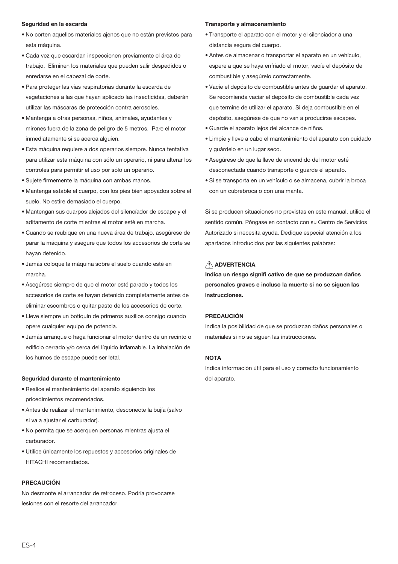### Seguridad en la escarda

- · No corten aquellos materiales ajenos que no están previstos para esta máquina
- · Cada vez que escardan inspeccionen previamente el área de trabajo. Eliminen los materiales que pueden salir despedidos o enredarse en el cabezal de corte
- · Para proteger las vías respiratorias durante la escarda de vegetaciones a las que hayan aplicado las insecticidas, deberán utilizar las máscaras de protección contra aerosoles
- · Mantenga a otras personas, niños, animales, ayudantes y mirones fuera de la zona de peligro de 5 metros, Pare el motor inmediatamente si se acerca alguien.
- · Esta máquina requiere a dos operarios siempre. Nunca tentativa para utilizar esta máquina con sólo un operario, ni para alterar los controles para permitir el uso por sólo un operario.
- · Sujete firmemente la máquina con ambas manos.
- · Mantenga estable el cuerpo, con los pies bien apoyados sobre el suelo. No estire demasiado el cuerpo.
- · Mantengan sus cuarpos alejados del silencíador de escape y el aditamento de corte mientras el motor esté en marcha.
- · Cuando se reubique en una nueva área de trabaio, asegúrese de parar la máquina y asegure que todos los accesorios de corte se hayan detenido.
- · Jamás cologue la máquina sobre el suelo cuando esté en marcha.
- Asegúrese siempre de que el motor esté parado y todos los accesorios de corte se havan detenido completamente antes de eliminar escombros o quitar pasto de los accesorios de corte.
- · Lleve siempre un botiquín de primeros auxilios consigo cuando opere cualquier equipo de potencia.
- · Jamás arranque o haga funcionar el motor dentro de un recinto o edificio cerrado y/o cerca del líquido inflamable. La inhalación de los humos de escape puede ser letal.

#### Seguridad durante el mantenimiento

- · Realice el mantenimiento del aparato siguiendo los pricedimientos recomendados.
- · Antes de realizar el mantenimiento, desconecte la buiía (salvo) si va a ajustar el carburador).
- · No permita que se acerquen personas mientras ajusta el carburador
- · Utilice únicamente los repuestos y accesorios originales de HITACHI recomendados.

#### **PRECAUCIÓN**

No desmonte el arrancador de retroceso. Podría provocarse lesiones con el resorte del arrancador.

#### Transporte y almacenamiento

- · Transporte el aparato con el motor y el silenciador a una distancia segura del cuerpo.
- · Antes de almacenar o transportar el aparato en un vehículo, espere a que se haya enfriado el motor, vacíe el depósito de combustible y asegúrelo correctamente.
- · Vacíe el depósito de combustible antes de quardar el aparato. Se recomienda vaciar el depósito de combustible cada vez que termine de utilizar el aparato. Si deia combustible en el depósito, aseqúrese de que no van a producirse escapes.
- · Guarde el aparato lejos del alcance de niños.
- · Limpie y lleve a cabo el mantenimiento del aparato con cuidado y quárdelo en un lugar seco.
- · Asequrese de que la llave de encendido del motor esté desconectada cuando transporte o quarde el aparato.
- · Si se transporta en un vehículo o se almacena, cubrir la broca con un cubrebroca o con una manta.

Si se producen situaciones no previstas en este manual, utilice el sentido común. Póngase en contacto con su Centro de Servicios Autorizado si necesita ayuda. Dedique especial atención a los apartados introducidos por las siguientes palabras:

# A ADVERTENCIA

Indica un riesgo signifi cativo de que se produzcan daños personales graves e incluso la muerte si no se siguen las instrucciones.

### **PRECAUCIÓN**

Indica la posibilidad de que se produzcan daños personales o materiales si no se siguen las instrucciones.

### **NOTA**

Indica información útil para el uso y correcto funcionamiento del aparato.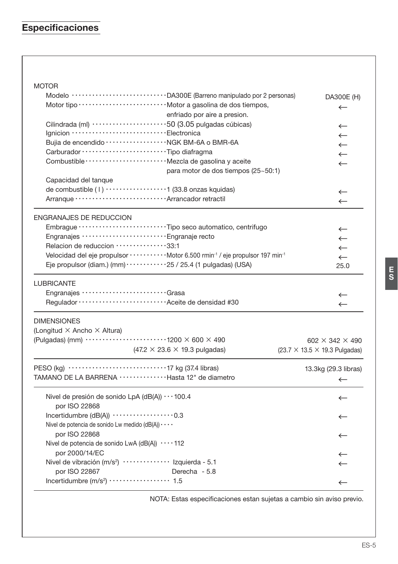# Especificaciones

# **MOTOR**

| Modelo ······························DA300E (Barreno manipulado por 2 personas)                                          | DA300E (H)                                        |
|--------------------------------------------------------------------------------------------------------------------------|---------------------------------------------------|
|                                                                                                                          | $\leftarrow$                                      |
| enfriado por aire a presion.                                                                                             |                                                   |
| Cilindrada (ml) ························50 (3.05 pulgadas cúbicas)                                                       | $\leftarrow$                                      |
| Ignicion ··································Electronica                                                                   | $\leftarrow$                                      |
| Bujia de encendido ························ NGK BM-6A o BMR-6A                                                           | $\leftarrow$                                      |
|                                                                                                                          | $\leftarrow$                                      |
| Combustible ····························· Mezcla de gasolina y aceite                                                    | $\leftarrow$                                      |
| para motor de dos tiempos (25~50:1)                                                                                      |                                                   |
| Capacidad del tanque                                                                                                     |                                                   |
| de combustible (1) ···················1 (33.8 onzas kquidas)                                                             | $\leftarrow$                                      |
|                                                                                                                          | $\leftarrow$                                      |
| <b>ENGRANAJES DE REDUCCION</b>                                                                                           |                                                   |
| Embrague ····························Tipo seco automatico, centrifugo                                                    | $\leftarrow$                                      |
| Engranajes ······························ Engranaje recto                                                                | $\leftarrow$                                      |
| Relacion de reduccion ···············33:1                                                                                | $\leftarrow$                                      |
| Velocidad del eje propulsor · · · · · · · · · · · · Motor 6.500 rmin <sup>-1</sup> / eje propulsor 197 min <sup>-1</sup> | $\leftarrow$                                      |
| Eje propulsor (diam.) (mm) $\cdots$ $\cdots$ $\cdots$ 25 / 25.4 (1 pulgadas) (USA)                                       | 25.0                                              |
| <b>LUBRICANTE</b>                                                                                                        |                                                   |
| Engranajes ································Grasa                                                                         | $\leftarrow$                                      |
|                                                                                                                          | $\leftarrow$                                      |
| <b>DIMENSIONES</b>                                                                                                       |                                                   |
| (Longitud $\times$ Ancho $\times$ Altura)                                                                                |                                                   |
| (Pulgadas) (mm) $\cdots$ $\cdots$ $\cdots$ $\cdots$ $\cdots$ $\cdots$ $\cdots$ 1200 $\times$ 600 $\times$ 490            | 602 $\times$ 342 $\times$ 490                     |
| $(47.2 \times 23.6 \times 19.3 \text{ pulgadas})$                                                                        | $(23.7 \times 13.5 \times 19.3 \text{ Pulgadas})$ |
|                                                                                                                          | 13.3kg (29.3 libras)                              |
| TAMANO DE LA BARRENA ···············Hasta 12" de diametro                                                                | $\leftarrow$                                      |
| Nivel de presión de sonido LpA (dB(A)) $\cdots$ 100.4                                                                    | $\leftarrow$                                      |
| por ISO 22868                                                                                                            |                                                   |
|                                                                                                                          | $\leftarrow$                                      |
| Nivel de potencia de sonido Lw medido (dB(A)) · · · ·                                                                    |                                                   |
| por ISO 22868                                                                                                            | $\leftarrow$                                      |
| Nivel de potencia de sonido LwA (dB(A)) $\cdots$ 112                                                                     |                                                   |
| por 2000/14/EC                                                                                                           | $\leftarrow$                                      |
| Nivel de vibración (m/s <sup>2</sup> ) ··················· Izquierda - 5.1                                               | $\leftarrow$                                      |
| por ISO 22867<br>Derecha - 5.8                                                                                           |                                                   |
|                                                                                                                          | $\leftarrow$                                      |
|                                                                                                                          |                                                   |

NOTA: Estas especificaciones estan sujetas a cambio sin aviso previo.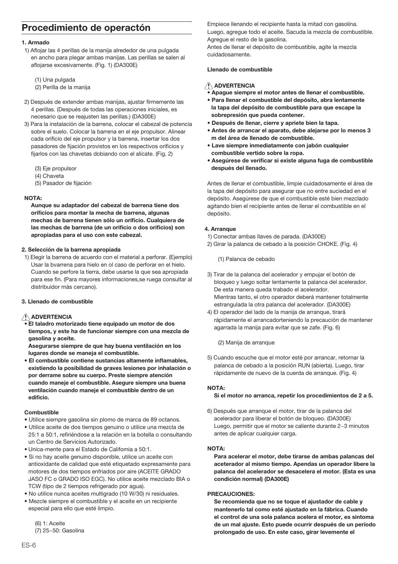# Procedimiento de operactón

### 1 Armado

1) Aflojar las 4 perillas de la manija alrededor de una pulgada en ancho para plegar ambas manijas. Las perillas se salen al afloiarse excesivamente. (Fig. 1) (DA300E)

(1) Una pulgada

- (2) Perilla de la manija
- 2) Después de extender ambas manijas, ajustar firmemente las 4 perillas. (Después de todas las operaciones iniciales, es necesario que se reajusten las perillas.) (DA300E)
- 3) Para la instalación de la barrena, colocar el cabezal de potencia sobre el suelo. Colocar la barrena en el eje propulsor. Alinear cada orificio del eje propulsor y la barrena, insertar los dos pasadores de fijación provistos en los respectivos orificios y fijarlos con las chavetas dobiando con el alicate. (Fig. 2)
	- (3) Eje propulsor
	- (4) Chaveta
	- (5) Pasador de fijación

### **NOTA:**

Aunque su adaptador del cabezal de barrena tiene dos orificios para montar la mecha de barrena, algunas mechas de barrena tienen sólo un orificio. Cualquiera de las mechas de barrena (de un orificio o dos orificios) son apropiadas para el uso con este cabezal.

### 2. Selección de la barrena apropiada

1) Elegir la barrena de acuerdo con el material a perforar. (Ejemplo) Usar la byarrena para hielo en ol caso de perforar en el hielo. Cuando se perfore la tierra, debe usarse la que sea apropiada para ese fin. (Para mayores informaciones, se ruega consultar al distribuidor más cercano).

### 3. Llenado de combustible

### ANDVERTENCIA

El taladro motorizado tiene equipado un motor de dos tiempos, y este ha de funcionar siempre con una mezcla de gasolina v aceite.

Asegurarse siempre de que hay buena ventilación en los lugares donde se maneja el combustible.

· El combustible contiene sustancias altamente inflamables, existiendo la posibilidad de graves lesiones por inhalación o por derrame sobre su cuerpo. Preste siempre atención cuando maneje el combustible. Asegure siempre una buena ventilación cuando maneje el combustible dentro de un edificio.

### Combustible

- · Utilice siempre gasolina sin plomo de marca de 89 octanos.
- · Utilice aceite de dos tiempos genuino o utilice una mezcla de 25:1 a 50:1, refiriéndose a la relación en la botella o consultando un Centro de Servicios Autorizado.
- · Unica-mente para el Estado de Califomia a 50:1
- · Si no hay aceite genuino disponible, utilice un aceite con antioxidante de calidad que esté etiquetado expresamente para motores de dos tiempos enfriados por aire (ACEITE GRADO JASO FC o GRADO ISO EGC). No utilice aceite mezclado BIA o TCW (tipo de 2 tiempos refrigerado por aqua).
- · No utilice nunca aceites multigrado (10 W/30) ni residuales.
- · Mezcle siempre el combustible y el aceite en un recipiente especial para ello que esté limpio.

 $(6)$  1: Aceite (7) 25~50: Gasolina Empiece llenando el recipiente hasta la mitad con gasolina. Luego, agregue todo el aceite. Sacuda la mezcla de combustible. Agreque el resto de la gasolina.

Antes de llenar el depósito de combustible, agite la mezcla cuidadosamente

## Llenado de combustible

# A ADVERTENCIA

- Apaque siempre el motor antes de llenar el combustible.
- · Para llenar el combustible del depósito, abra lentamente la tapa del depósito de combustible para que escape la sobrepresión que pueda contener.
- · Después de llenar, cierre y apriete bien la tapa.
- Antes de arrancar el aparato, debe aleiarse por lo menos 3 m del área de llenado de combustible.
- · Lave siempre inmediatamente con jabón cualquier combustible vertido sobre la ropa.
- · Asegúrese de verificar si existe alguna fuga de combustible después del llenado.

Antes de llenar el combustible, limpie cuidadosamente el área de la tapa del depósito para asegurar que no entre suciedad en el depósito. Aseqúrese de que el combustible esté bien mezclado agitando bien el recipiente antes de llenar el combustible en el depósito.

### 4. Arranque

- 1) Conectar ambas llaves de parada. (DA300E)
- 2) Girar la palanca de cebado a la posición CHOKE, (Fig. 4)

(1) Palanca de cebado

- 3) Tirar de la palanca del acelerador y empujar el botón de bloqueo y luego soltar lentamente la palanca del acelerador. De esta manera queda trabado el acelerador. Mientras tanto, el otro operador deberá mantener totalmente estrangulada la otra palanca del acelerador. (DA300E)
- 4) El operador del lado de la manija de arrangue, tirará rápidamente el arrancadorteniendo la precaución de mantener agarrada la manija para evitar que se zafe. (Fig. 6)

(2) Manija de arranque

5) Cuando escuche que el motor esté por arrancar, retornar la palanca de cebado a la posición RUN (abierta). Luego, tirar rápidamente de nuevo de la cuerda de arranque. (Fig. 4)

### $MOTA$

### Si el motor no arranca, repetir los procedimientos de 2 a 5.

6) Después que arranque el motor, tirar de la palanca del acelerador para liberar el botón de bloqueo. (DA300E) Luego, permitir que el motor se caliente durante 2~3 minutos antes de aplicar cualquier carga.

### NOTA:

Para acelerar el motor, debe tirarse de ambas palancas del aceterador al mismo tiempo. Apendas un operador libere la palanca del acelerador se desacelera el motor. (Esta es una condición normal) (DA300E)

### **PRECAUCIONES:**

Se recomienda que no se toque el aiustador de cable y mantenerlo tal como esté ajustado en la fábrica. Cuando el control de una sola palanca acelera el motor, es sintoma de un mal aiuste. Esto puede ocurrir después de un período prolongado de uso. En este caso, girar levemente el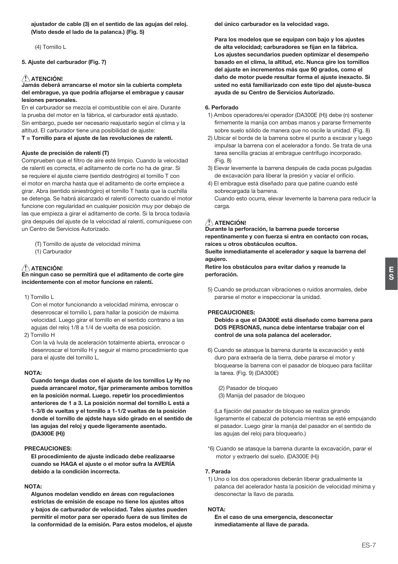ajustador de cable (3) en el sentido de las agujas del reloj. (Visto desde el lado de la palanca.) (Fig. 5)

(4) Tornillo L

### 5. Aiuste del carburador (Fig. 7)

# $\sqrt{N}$  ATENCIÓN!

### Jamás deberá arrancarse el motor sin la cubierta completa del embrague, ya que podría aflojarse el embrague y causar lesiones personales.

En el carburador se mezcla el combustible con el aire. Durante la prueba del motor en la fábrica, el carburador está ajustado. Sin embargo, puede ser necesario reajustarlo según el clima y la altitud. El carburador tiene una posibilidad de aiuste:

### T = Tornillo para el ajuste de las revoluciones de ralentí.

### Aiuste de precisión de ralentí (T)

Comprueben que el filtro de aire esté limpio. Cuando la velocidad de ralentí es correcta, el aditamento de corte no ha de girar. Si se requiere el ajuste cierre (sentido destrógiro) el tornillo T con el motor en marcha hasta que el aditamento de corte empiece a girar. Abra (sentido siniestrógiro) el tornillo T hasta que la cuchilla se detenga. Se habrá alcanzado el ralentí correcto cuando el motor funcione con regularidad en cualquier posición muy por debajo de las que empieza a girar el aditamento de corte. Si la broca todavía gira después del ajuste de la velocidad al ralentí, comuníquese con un Centro de Servicios Autorizado.

- (T) Tornillo de aiuste de velocidad mínima
- (1) Carburador

# / ATENCIÓN!

En ningun caso se permitirá que el aditamento de corte gire incidentemente con el motor funcione en ralentí.

1) Tornillo L

Con el motor funcionando a velocidad mínima, enroscar o desenroscar el tornillo L para hallar la posición de máxima velocidad. Luego girar el tornillo en el sentido contrano a las aquias del reloj 1/8 a 1/4 de vuelta de esa posición.

2) Tornillo H

Con la vá Ivula de aceleración totalmente abierta, enroscar o desenroscar el tornillo H y seguir el mismo procedimiento que para el ajuste del tornillo L.

### NOTA:

Cuando tenga dudas con el ajuste de los tornillos Ly Hy no pueda arrancarel motor, fijar primeramente ambos tornitlos en la posición normal. Luego. repetir los procedimientos anteriores de 1 a 3. La posición normal del tornillo L está a 1-3/8 de vueltas y el tornillo a 1-1/2 vueltas de la posición donde el tornillo de ajdste haya sido girado en el sentido de las agujas del reloj y quede ligeramente asentado. (DA300E (H))

### **PRECAUCIONES:**

El procedimiento de aiuste indicado debe realizaarse cuando se HAGA el ajuste o el motor sufra la AVERÍA debido a la condición incorrecta.

### NOTA:

Algunos modelan vendido en áreas con regulaciones estrictas de emisión de escape no tiene los aiustes altos y bajos de carburador de velocidad. Tales ajustes pueden permitir el motor para ser operado fuera de sus límites de la conformidad de la emisión. Para estos modelos, el ajuste del único carburador es la velocidad vago.

Para los modelos que se equipan con baio y los aiustes de alta velocidad; carburadores se fijan en la fábrica. Los aiustes secundarios pueden optimizar el desempeño basado en el clima, la altitud, etc. Nunca gire los tornillos del ajuste en incrementos más que 90 grados, como el daño de motor puede resultar forma el aiuste inexacto. Si usted no está familiarizado con este tipo del aiuste-busca avuda de su Centro de Servicios Autorizado.

### **6** Perforado

- 1) Ambos operadores/ei operador (DA300E (H)) debe (n) sostener firmemente la manija con ambas manos y pararse firmemente sobre suelo sólido de manera que no oscile la unidad. (Fig. 8)
- 2) Ubicar el borde de la barrena sobre el punto a excavar y luego impulsar la barrena con el acelerador a fondo. Se trata de una tarea sencilla gracias al embrague centrífugo incorporado.  $(Fiq. 8)$
- 3) Eievar levemente la barrena después de cada pocas pulgadas de excavación para liberar la presión y vaciar el orificio.
- 4) El embraque está diseñado para que patine cuando esté sobrecargada la barrena. Cuando esto ocurra, elevar levemente la barrena para reducir la carga.

# ATENCIÓN!

Durante la perforación, la barrena puede torcerse repentinamente y con fuerza si entra en contacto con rocas, raíces u otros obstáculos ocultos.

Suelte inmediatamente el acelerador y saque la barrena del agujero.

Retire los obstáculos para evitar daños y reanude la perforación.

5) Cuando se produzcan vibraciones o ruidos anormales, debe pararse el motor e inspeccionar la unidad.

### **PRECAUCIONES:**

Debido a que el DA300E está diseñado como barrena para DOS PERSONAS, nunca debe intentarse trabajar con el control de una sola palanca del acelerador.

- 6) Cuando se atasque la barrena durante la excavación y esté duro para extraerla de la tierra, debe pararse el motor y bloquearse la barrena con el pasador de bloqueo para facilitar la tarea. (Fig. 9) (DA300E)
	- (2) Pasador de bloqueo
	- (3) Manija del pasador de bloqueo

(La fijación del pasador de bloqueo se realiza girando ligeramente el cabezal de potencia mientras se esté empujando el pasador. Luego girar la manija del pasador en el sentido de las aquias del reloi para bloquearlo.)

\*6) Cuando se atasque la barrena durante la excavación, parar el motor y extraerlo del suelo. (DA300E (H))

### 7. Parada

1) Uno o los dos operadores deberán liberar gradualmente la palanca del acelerador hasta la posición de velocidad mínima y desconectar la llavo de parada.

#### **NOTA:**

En el caso de una emergencia, desconectar inmediatamente al llave de parada.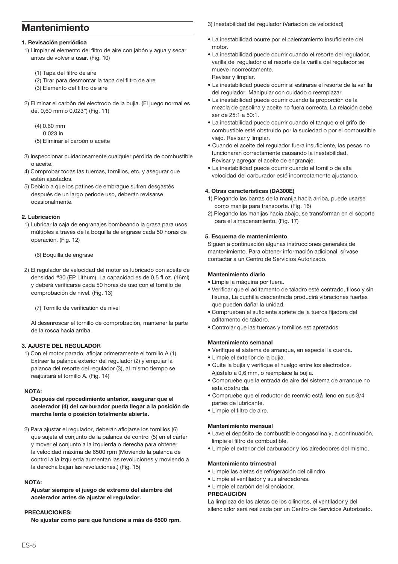# **Mantenimiento**

### 1. Revisación perriódica

- 1) Limpiar el elemento del filtro de aire con jabón y agua y secar antes de volver a usar. (Fig. 10)
	- (1) Tapa del filtro de aire
	- (2) Tirar para desmontar la tapa del filtro de aire
	- (3) Elemento del filtro de aire
- 2) Eliminar el carbón del electrodo de la buija. (El juego normal es de. 0,60 mm o 0,023") (Fig. 11)
	- $(4)$  0.60 mm
		- $0.023$  in
	- (5) Eliminar el carbón o aceite
- 3) Inspeccionar cuidadosamente cualquier pérdida de combustible o aceite.
- 4) Comprobar todas las tuercas, tornillos, etc. y asegurar que estén aiustados
- 5) Debido a que los patines de embrague sufren desgastés después de un largo periode uso, deberán revisarse ocasionalmente

### 2. Lubricación

1) Lubricar la caja de engranajes bombeando la grasa para usos múltiples a través de la boquilla de engrase cada 50 horas de operación. (Fig. 12)

### (6) Boquilla de engrase

2) El regulador de velocidad del motor es lubricado con aceite de densidad #30 (EP Lithum). La capacidad es de 0,5 fl.oz. (16ml) y deberá verificarse cada 50 horas de uso con el tornillo de comprobación de nivel. (Fig. 13)

(7) Tornillo de verificatión de nivel

Al desenroscar el tornillo de comprobación, mantener la parte de la rosca hacia arriba.

### 3. AJUSTE DEL REGULADOR

1) Con el motor parado, afloiar primeramente el tornillo A (1). Extraer la palanca exterior del regulador (2) y empujar la palanca del resorte del regulador (3), al mismo tiempo se reajustará el tornillo A. (Fig. 14)

### NOTA:

### Después del rpocedimiento anterior, asegurar que el acelerador (4) del carburador pueda llegar a la posición de marcha lenta o posición totalmente abierta.

2) Para ajustar el regulador, deberán aflojarse los tornillos (6) que sujeta el conjunto de la palanca de control (5) en el cárter y mover el conjunto a la izquierda o derecha para obtener la velocidad máxima de 6500 rpm (Moviendo la palanca de control a la izquierda aumentan las revoluciones y moviendo a la derecha baian las revoluciones.) (Fig. 15)

### NOTA-

Ajustar siempre el juego de extremo del alambre del acelerador antes de ajustar el regulador.

### **PRECAUCIONES:**

No ajustar como para que funcione a más de 6500 rpm.

3) Inestabilidad del regulador (Variación de velocidad)

- · La inestabilidad ocurre por el calentamiento insuficiente del  $mofor$
- · La inestabilidad puede ocurrir cuando el resorte del regulador. varilla del regulador o el resorte de la varilla del regulador se mueve incorrectamente Revisar v limpiar.

· La inestabilidad puede ocurrir al estirarse el resorte de la varilla del regulador. Manipular con cuidado o reemplazar.

- · La inestabilidad puede ocurrir cuando la proporción de la mezcla de gasolina y aceite no fuera correcta. La relación debe ser de 25:1 a 50:1.
- · La inestabilidad puede ocurrir cuando el tanque o el grifo de combustible esté obstruido por la suciedad o por el combustible viejo. Revisar y limpiar.
- · Cuando el aceite del regulador fuera insuficiente, las pesas no funcionarán correctamente causando la inestabilidad. Revisar y agregar el aceite de engranaje.
- La inestabilidad puede ocurrir cuando el tornillo de alta velocidad del carburador esté incorrectamente ajustando.

### 4. Otras características (DA300E)

- 1) Plegando las barras de la manija hacia arriba, puede usarse como manija para transporte. (Fig. 16)
- 2) Plegando las manijas hacia abajo, se transforman en el soporte para el almacenamiento. (Fig. 17)

### 5. Esquema de mantenimiento

Siguen a continuación algunas instrucciones generales de mantenimiento. Para obtener información adicional, sírvase contactar a un Centro de Servicios Autorizado.

### **Mantenimiento diario**

- · Limpie la máquina por fuera.
- · Verificar que el aditamento de taladro esté centrado, filoso y sin fisuras, La cuchilla descentrada producirá vibraciones fuertes que pueden dañar la unidad.
- · Comprueben el suficiente apriete de la tuerca fijadora del aditamento de taladro.
- · Controlar que las tuercas y tornillos est apretados.

### Mantenimiento semanal

- · Verifique el sistema de arranque, en especial la cuerda.
- · Limpie el exterior de la buiía.
- · Quite la bujía y verifique el huelgo entre los electrodos. Ajústelo a 0,6 mm, o reemplace la bujía.
- · Compruebe que la entrada de aire del sistema de arranque no está obstruida
- · Compruebe que el reductor de reenvío está lleno en sus 3/4 partes de lubricante.
- · Limpie el filtro de aire.

### Mantenimiento mensual

- · Lave el depósito de combustible congasolina y, a continuación, limpie el filtro de combustible.
- · Limpie el exterior del carburador y los alrededores del mismo.

## Mantenimiento trimestral

- · Limpie las aletas de refrigeración del cilindro.
- · Limpie el ventilador y sus alrededores.
- · Limpie el carbón del silenciador.

## **PRECAUCIÓN**

La limpieza de las aletas de los cilindros, el ventilador y del silenciador será realizada por un Centro de Servicios Autorizado.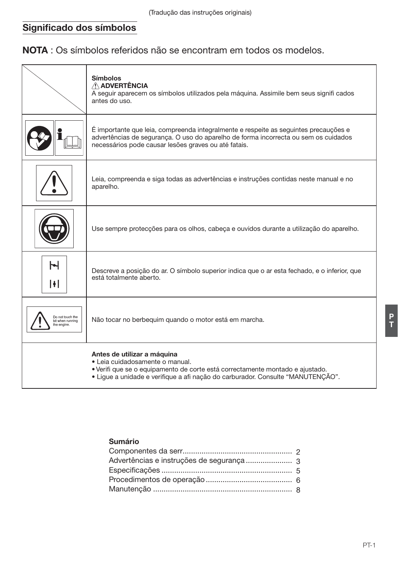# Significado dos símbolos

NOTA : Os símbolos referidos não se encontram em todos os modelos.

|                                                     | <b>Símbolos</b><br>A ADVERTÊNCIA<br>A seguir aparecem os símbolos utilizados pela máquina. Assimile bem seus signifi cados<br>antes do uso.                                                                                         |
|-----------------------------------------------------|-------------------------------------------------------------------------------------------------------------------------------------------------------------------------------------------------------------------------------------|
|                                                     | É importante que leia, compreenda integralmente e respeite as seguintes precauções e<br>advertências de segurança. O uso do aparelho de forma incorrecta ou sem os cuidados<br>necessários pode causar lesões graves ou até fatais. |
|                                                     | Leia, compreenda e siga todas as advertências e instruções contidas neste manual e no<br>aparelho.                                                                                                                                  |
|                                                     | Use sempre protecções para os olhos, cabeça e ouvidos durante a utilização do aparelho.                                                                                                                                             |
| Ⴡ<br>H                                              | Descreve a posicão do ar. O símbolo superior indica que o ar esta fechado, e o inferior, que<br>está totalmente aberto.                                                                                                             |
| Do not touch the<br>bit when running<br>the engine. | Não tocar no berbequim quando o motor está em marcha.                                                                                                                                                                               |
|                                                     | Antes de utilizar a máquina<br>• Leia cuidadosamente o manual.<br>• Verifi que se o equipamento de corte está correctamente montado e ajustado.<br>• Lique a unidade e verifique a afi nação do carburador. Consulte "MANUTENÇÃO".  |

# Sumário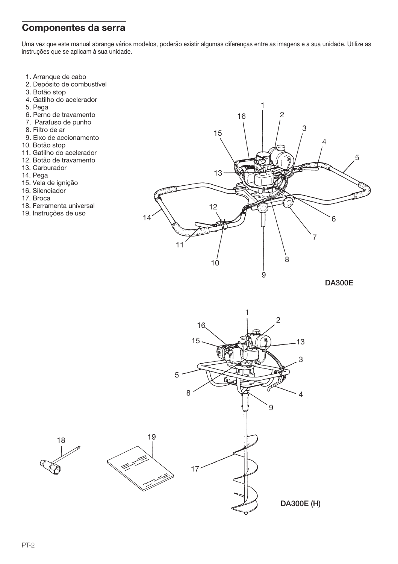# Componentes da serra

Uma vez que este manual abrange vários modelos, poderão existir algumas diferenças entre as imagens e a sua unidade. Utilize as instruções que se aplicam à sua unidade.

- 1. Arranque de cabo
- 2. Depósito de combustível
- 3. Botão stop
- 4. Gatilho do acelerador
- 5. Pega
- 6. Perno de travamento
- 7. Parafuso de punho
- 8. Filtro de ar
- 9. Eixo de accionamento
- 10. Botão stop
- 11. Gatilho do acelerador
- 12. Botão de travamento
- 13. Carburador
- 14. Pega
- 15. Vela de ignição
- 16. Silenciador
- 17 Broca
- 18. Ferramenta universal
- 19. Instruções de uso



**DA300E** 

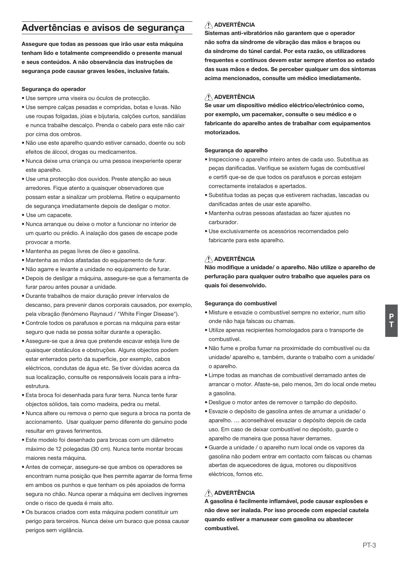# Advertências e avisos de seguranca

Assegure que todas as pessoas que irão usar esta máquina tenham lido e totalmente compreendido o presente manual e seus conteúdos. A não observância das instruções de segurança pode causar graves lesões, inclusive fatais.

### Seguranca do operador

- · Use sempre uma viseira ou óculos de protecção.
- · Use sempre calcas pesadas e compridas, botas e luvas, Não use roupas folgadas, jójas e bijutaria, calcões curtos, sandálias e nunca trabalhe descalco. Prenda o cabelo para este não cair por cima dos ombros.
- · Não use este aparelho quando estiver cansado, doente ou sob efeitos de álcool, drogas ou medicamentos.
- · Nunca deixe uma criança ou uma pessoa inexperiente operar este anarelho
- · Use uma protecção dos ouvidos. Preste atenção ao seus arredores. Figue atento a quaisquer observadores que possam estar a sinalizar um problema. Retire o equipamento de segurança imediatamente depois de desligar o motor.
- · Use um capacete.
- · Nunca arrangue ou deixe o motor a funcionar no interior de um quarto ou prédio. A inalação dos gases de escape pode provocar a morte.
- · Mantenha as pegas livres de óleo e gasolina.
- · Mantenha as mãos afastadas do equipamento de furar.
- · Não agarre e levante a unidade no equipamento de furar.
- · Depois de desligar a máquina, assegure-se que a ferramenta de furar parou antes pousar a unidade.
- · Durante trabalhos de maior duração prever intervalos de descanso, para prevenir danos corporais causados, por exemplo. pela vibração (fenómeno Ravnaud / "White Finger Disease").
- · Controle todos os parafusos e porcas na máquina para estar seguro que nada se possa soltar durante a operação.
- · Assegure-se que a área que pretende escavar esteja livre de quaisquer obstáculos e obstruções. Alguns objectos podem estar enterrados perto da superfície, por exemplo, cabos eléctricos, condutas de água etc. Se tiver dúvidas acerca da sua localização, consulte os responsáveis locais para a infraestrutura
- · Esta broca foi desenhada para furar terra. Nunca tente furar objectos sólidos, tais como madeira, pedra ou metal.
- · Nunca altere ou remova o perno que segura a broca na ponta de accionamento. Usar qualquer perno diferente do genuíno pode resultar em graves ferimentos.
- · Este modelo foi desenhado para brocas com um diâmetro máximo de 12 polegadas (30 cm). Nunca tente montar brocas maiores nesta máquina.
- Antes de comecar, assegure-se que ambos os operadores se encontram numa posição que lhes permite agarrar de forma firme em ambos os punhos e que tenham os pés apojados de forma segura no chão. Nunca operar a máquina em declives íngremes onde o risco de queda é mais alto.
- · Os buracos criados com esta máquina podem constituir um perigo para terceiros. Nunca deixe um buraco que possa causar perigos sem vigilância.

# A ADVERTÊNCIA

Sistemas anti-vibratórios não garantem que o operador não sofra da síndrome de vibração das mãos e braços ou da síndrome do túnel cardal. Por esta razão, os utilizadores frequentes e contínuos devem estar sempre atentos ao estado das suas mãos e dedos. Se perceber qualquer um dos sintomas acima mencionados, consulte um médico imediatamente.

# A ADVERTÊNCIA

Se usar um dispositivo médico eléctrico/electrónico como, por exemplo, um pacemaker, consulte o seu médico e o fabricante do aparelho antes de trabalhar com equipamentos motorizados.

### Seguranca do aparelho

- · Inspeccione o aparelho inteiro antes de cada uso. Substitua as peças danificadas. Verifique se existem fugas de combustível e certifi que-se de que todos os parafusos e porcas estejam correctamente instalados e apertados.
- · Substitua todas as pecas que estiverem rachadas, lascadas ou danificadas antes de usar este aparelho.
- · Mantenha outras pessoas afastadas ao fazer ajustes no carburador
- · Use exclusivamente os acessórios recomendados pelo fabricante para este aparelho.

# ADVERTÊNCIA

Não modifique a unidade/ o aparelho. Não utilize o aparelho de perfuração para qualquer outro trabalho que aqueles para os quais foi desenvolvido.

### Segurança do combustível

- · Misture e esvazie o combustível sempre no exterior, num sítio onde não haja faíscas ou chamas.
- · Utilize apenas recipientes homologados para o transporte de combustível.
- · Não fume e proíba fumar na proximidade do combustível ou da unidade/aparelho e, também, durante o trabalho com a unidade/ o aparelho
- · Limpe todas as manchas de combustível derramado antes de arrancar o motor. Afaste-se, pelo menos, 3m do local onde meteu a qasolina.
- · Desligue o motor antes de remover o tampão do depósito.
- · Esvazie o depósito de gasolina antes de arrumar a unidade/o aparelho. ... aconselhável esvaziar o depósito depois de cada uso. Em caso de deixar combustível no depósito, quarde o aparelho de maneira que possa haver derrames.
- · Guarde a unidade / o aparelho num local onde os vapores da gasolina não podem entrar em contacto com faíscas ou chamas abertas de aquecedores de áqua, motores ou dispositivos eléctricos, fornos etc.

# A ADVERTÊNCIA

A gasolina é facilmente inflamável, pode causar explosões e não deve ser inalada. Por isso procede com especial cautela quando estiver a manusear com gasolina ou abastecer combustível.

P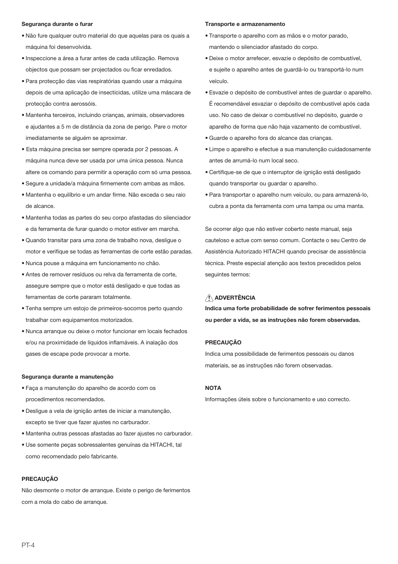#### Segurança durante o furar

- · Não fure qualquer outro material do que aquelas para os quais a máquina foi desenvolvida.
- · Inspeccione a área a furar antes de cada utilização. Remova objectos que possam ser projectados ou ficar enredados.
- · Para protecção das vias respiratórias quando usar a máquina depois de uma aplicação de insecticidas, utilize uma máscara de protecção contra aerossóis.
- · Mantenha terceiros, incluindo crianças, animais, observadores e ajudantes a 5 m de distância da zona de perigo. Pare o motor imediatamente se alquém se aproximar.
- · Esta máquina precisa ser sempre operada por 2 pessoas. A máquina nunca deve ser usada por uma única pessoa. Nunca altere os comando para permitir a operação com só uma pessoa.
- · Segure a unidade/a máquina firmemente com ambas as mãos.
- · Mantenha o equilíbrio e um andar firme. Não exceda o seu raio de alcance.
- · Mantenha todas as partes do seu corpo afastadas do silenciador e da ferramenta de furar quando o motor estiver em marcha.
- · Quando transitar para uma zona de trabalho nova, deslique o motor e verifique se todas as ferramentas de corte estão paradas.
- · Nunca pouse a máquina em funcionamento no chão.
- · Antes de remover resíduos ou relva da ferramenta de corte. assegure sempre que o motor está desligado e que todas as ferramentas de corte pararam totalmente.
- · Tenha sempre um estojo de primeiros-socorros perto quando trabalhar com equipamentos motorizados.
- · Nunca arrangue ou deixe o motor funcionar em locais fechados e/ou na proximidade de líquidos inflamáveis. A inalação dos gases de escape pode provocar a morte.

#### Seguranca durante a manutencão

- · Faca a manutencão do aparelho de acordo com os procedimentos recomendados.
- · Deslique a vela de jonicão antes de iniciar a manutencão. excepto se tiver que fazer aiustes no carburador.
- · Mantenha outras pessoas afastadas ao fazer aiustes no carburador.
- · Use somente pecas sobressalentes genuínas da HITACHI, tal como recomendado pelo fabricante.

#### **PRECAUCÃO**

Não desmonte o motor de arrangue. Existe o perigo de ferimentos com a mola do cabo de arrangue.

#### Transporte e armazenamento

- · Transporte o aparelho com as mãos e o motor parado, mantendo o silenciador afastado do corpo.
- · Deixe o motor arrefecer, esvazie o depósito de combustível, e sujeite o aparelho antes de quardá-lo ou transportá-lo num veículo.
- · Esvazie o depósito de combustível antes de quardar o aparelho. É recomendável esvaziar o depósito de combustível após cada uso. No caso de deixar o combustível no depósito, quarde o aparelho de forma que não haja vazamento de combustível.
- · Guarde o aparelho fora do alcance das crianças.
- · Limpe o aparelho e efectue a sua manutenção cuidadosamente antes de arrumá-lo num local seco.
- · Certifique-se de que o interruptor de ignição está desligado quando transportar ou quardar o aparelho.
- · Para transportar o aparelho num veículo, ou para armazená-lo, cubra a ponta da ferramenta com uma tampa ou uma manta.

Se ocorrer algo que não estiver coberto neste manual, seja cauteloso e actue com senso comum. Contacte o seu Centro de Assistência Autorizado HITACHI quando precisar de assistência técnica. Preste especial atenção aos textos precedidos pelos sequintes termos:

# A ADVERTÊNCIA

Indica uma forte probabilidade de sofrer ferimentos pessoais ou perder a vida, se as instruções não forem observadas.

### **PRECAUCÃO**

Indica uma possibilidade de ferimentos pessoais ou danos materiais, se as instruções não forem observadas.

### **NOTA**

Informações úteis sobre o funcionamento e uso correcto.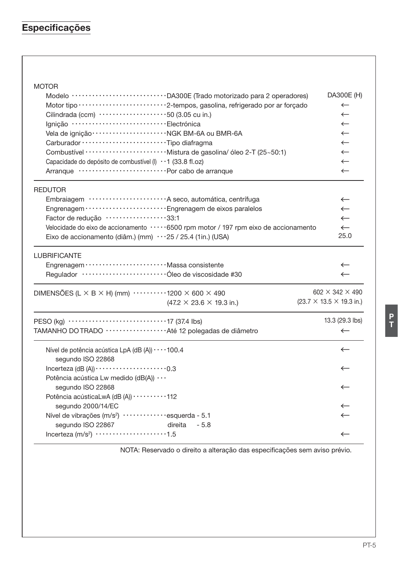# Especificações

# **MOTOR**

| Modelo ······························ DA300E (Trado motorizado para 2 operadores)<br>Cilindrada (ccm) $\cdots \cdots \cdots \cdots \cdots \cdots \cdots 50$ (3.05 cu in.)<br>Ignição ···································Electrónica |                                                                                       | DA300E (H)<br>$\leftarrow$<br>$\leftarrow$<br>$\leftarrow$<br>$\leftarrow$<br>$\leftarrow$ |
|-------------------------------------------------------------------------------------------------------------------------------------------------------------------------------------------------------------------------------------|---------------------------------------------------------------------------------------|--------------------------------------------------------------------------------------------|
| Capacidade do depósito de combustível (I) · · 1 (33.8 fl.oz)                                                                                                                                                                        |                                                                                       | $\leftarrow$<br>$\leftarrow$                                                               |
|                                                                                                                                                                                                                                     |                                                                                       | $\leftarrow$                                                                               |
| <b>REDUTOR</b>                                                                                                                                                                                                                      |                                                                                       |                                                                                            |
|                                                                                                                                                                                                                                     | Embraiagem ························· A seco, automática, centrífuga                   | $\leftarrow$                                                                               |
|                                                                                                                                                                                                                                     | Engrenagem ·························· Engrenagem de eixos paralelos                   | $\leftarrow$                                                                               |
| Factor de redução ··················33:1                                                                                                                                                                                            |                                                                                       | $\leftarrow$                                                                               |
|                                                                                                                                                                                                                                     | Velocidade do eixo de accionamento ·····6500 rpm motor / 197 rpm eixo de accionamento | $\leftarrow$                                                                               |
| Eixo de accionamento (diâm.) (mm) $\cdots$ 25 / 25.4 (1in.) (USA)                                                                                                                                                                   |                                                                                       | 25.0                                                                                       |
| <b>LUBRIFICANTE</b>                                                                                                                                                                                                                 |                                                                                       |                                                                                            |
| Engrenagem ··························· Massa consistente                                                                                                                                                                            |                                                                                       | $\leftarrow$                                                                               |
|                                                                                                                                                                                                                                     |                                                                                       | $\leftarrow$                                                                               |
| DIMENSÕES (L $\times$ B $\times$ H) (mm) $\cdots$ $\cdots$ 1200 $\times$ 600 $\times$ 490                                                                                                                                           |                                                                                       | $602 \times 342 \times 490$                                                                |
|                                                                                                                                                                                                                                     | $(47.2 \times 23.6 \times 19.3 \text{ in.})$                                          | $(23.7 \times 13.5 \times 19.3 \text{ in.})$                                               |
|                                                                                                                                                                                                                                     |                                                                                       | 13.3 (29.3 lbs)                                                                            |
| TAMANHO DO TRADO ··················Até 12 polegadas de diâmetro                                                                                                                                                                     |                                                                                       | $\leftarrow$                                                                               |
| Nível de potência acústica LpA (dB (A)) · · · · 100.4<br>segundo ISO 22868                                                                                                                                                          |                                                                                       | $\leftarrow$                                                                               |
| Incerteza (dB $(A)$ ) $\cdots$ $\cdots$ $\cdots$ $\cdots$ $\cdots$ 0.3                                                                                                                                                              |                                                                                       | $\leftarrow$                                                                               |
| Potência acústica Lw medido (dB(A))                                                                                                                                                                                                 |                                                                                       |                                                                                            |
| segundo ISO 22868                                                                                                                                                                                                                   |                                                                                       | $\leftarrow$                                                                               |
| Potência acústicaLwA (dB (A)) ··········112                                                                                                                                                                                         |                                                                                       |                                                                                            |
| segundo 2000/14/EC                                                                                                                                                                                                                  |                                                                                       | $\leftarrow$                                                                               |
| Nível de vibrações (m/s <sup>2</sup> ) ·············esquerda - 5.1                                                                                                                                                                  |                                                                                       | $\leftarrow$                                                                               |
| segundo ISO 22867                                                                                                                                                                                                                   | direita<br>$-5.8$                                                                     |                                                                                            |
| Incerteza $(m/s2)$ 1.5                                                                                                                                                                                                              |                                                                                       | $\leftarrow$                                                                               |
|                                                                                                                                                                                                                                     |                                                                                       |                                                                                            |

NOTA: Reservado o direito a alteração das especificações sem aviso prévio.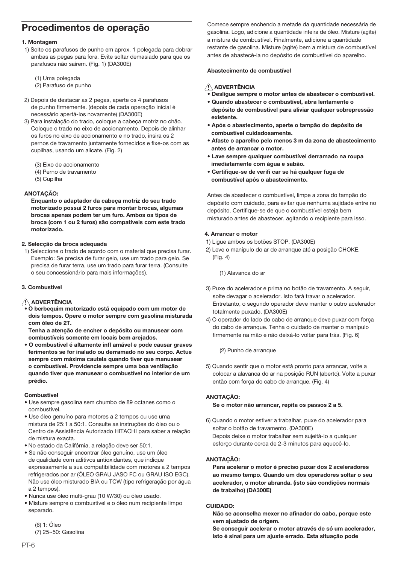# Procedimentos de operação

### 1. Montagem

- 1) Solte os parafusos de punho em aprox. 1 polegada para dobrar ambas as pegas para fora. Evite soltar demasiado para que os parafusos não saírem. (Fig. 1) (DA300E)
	- (1) Uma polegada
	- (2) Parafuso de punho
- 2) Depois de destacar as 2 pegas, aperte os 4 parafusos de punho firmemente, (depois de cada operação inicial é necessário apertá-los novamente) (DA300E)
- 3) Para instalação do trado, coloque a cabeça motriz no chão. Coloque o trado no eixo de accionamento. Depois de alinhar os furos no eixo de accionamento e no trado, insira os 2 pernos de travamento juntamente fornecidos e fixe-os com as cupilhas, usando um alicate, (Fig. 2)
	- (3) Eixo de accionamento
	- (4) Perno de travamento
	- (5) Cupilha

### ANOTACÃO:

Enguanto o adaptador da cabeca motriz do seu trado motorizado possui 2 furos para montar brocas, algumas brocas apenas podem ter um furo. Ambos os tipos de broca (com 1 ou 2 furos) são compatíveis com este trado motorizado.

### 2. Seleccão da broca adeguada

1) Seleccione o trado de acordo com o material que precisa furar. Exemplo: Se precisa de furar gelo, use um trado para gelo. Se precisa de furar terra, use um trado para furar terra. (Consulte o seu concessionário para mais informações).

## 3. Combustível

## A ADVERTÊNCIA

· O berbequim motorizado está equipado com um motor de dois tempos. Opere o motor sempre com gasolina misturada com óleo de 2T

Tenha a atenção de encher o depósito ou manusear com combustíveis somente em locais bem arejados.

• O combustível é altamente infl amável e pode causar graves ferimentos se for inalado ou derramado no seu corpo. Actue sempre com máxima cautela quando tiver que manusear o combustível. Providencie sempre uma boa ventilação quando tiver que manusear o combustível no interior de um prédio.

### Combustível

- · Use sempre gasolina sem chumbo de 89 octanes como o combustível.
- · Use óleo genuíno para motores a 2 tempos ou use uma mistura de 25:1 a 50:1. Consulte as instruções do óleo ou o Centro de Assistência Autorizado HITACHI para saber a relação de mistura exacta.
- · No estado da Califórnia, a relação deve ser 50:1.
- · Se não consequir encontrar óleo genuíno, use um óleo de qualidade com aditivos antioxidantes, que indique expressamente a sua compatibilidade com motores a 2 tempos refrigerados por ar (ÓLEO GRAU JASO FC ou GRAU ISO EGC). Não use óleo misturado BIA ou TCW (tipo refrigeração por água a 2 tempos).
- · Nunca use óleo multi-grau (10 W/30) ou óleo usado.
- · Misture sempre o combustível e o óleo num recipiente limpo separado.

 $(6) 1: \acute{O}$ leo (7) 25~50: Gasolina Comece sempre enchendo a metade da quantidade necessária de gasolina. Logo, adicione a guantidade inteira de óleo. Misture (agite) a mistura de combustível. Finalmente, adicione a quantidade restante de gasolina. Misture (agite) bem a mistura de combustível antes de abastecê-la no depósito de combustível do aparelho.

### Abastecimento de combustível

# A ADVERTÊNCIA

- \_<br>Deslique sempre o motor antes de abastecer o combustível.
- . Quando abastecer o combustível, abra lentamente o depósito de combustível para aliviar qualquer sobrepressão existente.
- · Após o abastecimento, aperte o tampão do depósito de combustível cuidadosamente.
- · Afaste o aparelho pelo menos 3 m da zona de abastecimento antes de arrancar o motor.
- Lave sempre qualquer combustível derramado na roupa imediatamente com água e sabão.
- Certifique-se de verifi car se há qualquer fuga de combustível após o abastecimento.

Antes de abastecer o combustível, limpe a zona do tampão do depósito com cuidado, para evitar que nenhuma sujidade entre no depósito. Certifique-se de que o combustível esteja bem misturado antes de abastecer, agitando o recipiente para isso.

### 4 Arrancar o motor

- 1) Lique ambos os botões STOP. (DA300E)
- 2) Leve o manípulo do ar de arrangue até a posição CHOKE.  $(Fia. 4)$ 
	- (1) Alavanca do ar
- 3) Puxe do acelerador e prima no botão de travamento. A seguir, solte devagar o acelerador. Isto fará travar o acelerador. Entretanto, o segundo operador deve manter o outro acelerador totalmente puxado. (DA300E)
- 4) O operador do lado do cabo de arrangue deve puxar com forca do cabo de arranque. Tenha o cuidado de manter o manípulo firmemente na mão e não deixá-lo voltar para trás. (Fig. 6)

(2) Punho de arranque

5) Quando sentir que o motor está pronto para arrancar, volte a colocar a alavanca do ar na posição RUN (aberto). Volte a puxar então com força do cabo de arranque. (Fig. 4)

### ANOTACÃO:

### Se o motor não arrancar, repita os passos 2 a 5.

6) Quando o motor estiver a trabalhar, puxe do acelerador para soltar o botão de travamento. (DA300E) Depois deixe o motor trabalhar sem suieitá-lo a qualquer esforço durante cerca de 2-3 minutos para aquecê-lo.

### ANOTAÇÃO:

Para acelerar o motor é preciso puxar dos 2 aceleradores ao mesmo tempo. Quando um dos operadores soltar o seu acelerador, o motor abranda, (isto são condições normais de trabalho) (DA300E)

### CUIDADO:

Não se aconselha mexer no afinador do cabo, porque este vem ajustado de origem.

Se conseguir acelerar o motor através de só um acelerador. isto é sinal para um ajuste errado. Esta situação pode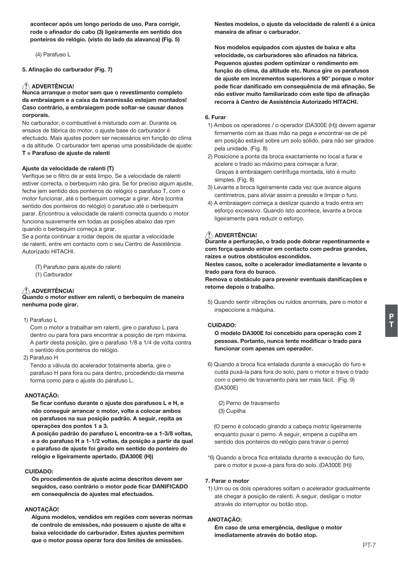acontecer após um longo período de uso. Para corrigir, rode o afinador do cabo (3) ligeiramente em sentido dos ponteiros do relógio, (visto do lado da alavanca) (Fig. 5)

(4) Parafuso L

5. Afinação do carburador (Fig. 7)

### ∕ À ADVERTÊNCIA!

Nunca arrangue o motor sem que o revestimento completo da embraiagem e a caixa da transmissão esteiam montados! Caso contrário, a embraiagem pode soltar-se causar danos corporais

No carburador, o combustível é misturado com ar. Durante os ensaios de fábrica do motor, o ajuste base do carburador é efectuado. Mais ajustes podem ser necessários em função do clima e da altitude. O carburador tem apenas uma possibilidade de ajuste: T = Parafuso de aiuste de ralenti

### Ajuste da velocidade de ralenti (T)

Verifique se o filtro de ar está limpo. Se a velocidade de ralenti estiver correcta, o berbequim não gira. Se for preciso algum ajuste, feche (em sentido dos ponteiros do relógio) o parafuso T, com o motor funcionar, até o berbeguim comecar a girar. Abra (contra sentido dos ponteiros do relógio) o parafuso até o berbeguim parar. Encontrou a velocidade de ralenti correcta quando o motor funciona suavemente em todas as posicões abaixo das rpm quando o berbequim começa a girar.

Se a ponta continuar a rodar depois de ajustar a velocidade de ralenti, entre em contacto com o seu Centro de Assistência Autorizado HITACHI

(T) Parafuso para aiuste do ralenti

(1) Carburador

# $\bigwedge$  ADVERTÊNCIA!

Quando o motor estiver em ralenti, o berbequim de maneira nenhuma pode girar.

1) Parafuso L

Com o motor a trabalhar em ralenti, gire o parafuso L para dentro ou para fora para encontrar a posição de rpm máxima. A partir desta posição, gire o parafuso 1/8 a 1/4 de volta contra o sentido dos ponteiros do relógio.

2) Parafuso H

Tendo a válvula do acelerador totalmente aberta, gire o parafuso H para fora ou para dentro, procedendo da mesma forma como para o ajuste do parafuso L.

### ANOTAÇÃO:

Se ficar confuso durante o ajuste dos parafusos L e H, e não conseguir arrancar o motor, volte a colocar ambos os parafusos na sua posição padrão. A seguir, repita as operações dos pontos 1 a 3.

A posição padrão do parafuso L encontra-se a 1-3/8 voltas. e a do parafuso H a 1-1/2 voltas, da posição a partir da qual o parafuso de ajuste foi girado em sentido do ponteiro do relógio e ligeiramente apertado, (DA300E (H))

### **CUIDADO:**

Os procedimentos de aiuste acima descritos devem ser seguidos, caso contrário o motor pode ficar DANIFICADO em consequência de ajustes mal efectuados.

### **ANOTACÃO!**

Alguns modelos, vendidos em regiões com severas normas de controlo de emissões, não possuem o ajuste de alta e baixa velocidade do carburador. Estes ajustes permitem que o motor possa operar fora dos limites de emissões.

Nestes modelos, o ajuste da velocidade de ralenti é a única maneira de afinar o carburador.

Nos modelos equipados com ajustes de baixa e alta velocidade, os carburadores são afinados na fábrica. Pequenos ajustes podem optimizar o rendimento em função do clima, da altitude etc. Nunca gire os parafusos de ajuste em incrementos superiores a 90° porque o motor pode ficar danificado em conseguência de má afinação. Se não estiver muito familiarizado com este tipo de afinação recorra à Centro de Assistência Autorizado HITACHI.

### 6 Euror

- 1) Ambos os operadores / o operador (DA300E (H)) devem agarrar firmemente com as duas mão na pega e encontrar-se de pé em posição estável sobre um solo sólido, para não ser girados pela unidade. (Fig. 8)
- 2) Posicione a ponta da broca exactamente no local a furar e acelere o trado ao máximo para comecar a furar. Graças à embraiagem centrífuga montada, isto é muito simples. (Fig. 8)
- 3) Levante a broca ligeiramente cada vez que avance alguns centímetros, para aliviar assim a pressão e limpar o furo.
- 4) A embraiagem começa a deslizar quando a trado entra em esforço excessivo. Quando isto acontece, levante a broca ligeiramente para reduzir o esforço.

### $\triangle$  ADVERTÊNCIA!

Durante a perfuração, o trado pode dobrar repentinamente e com força quando entrar em contacto com pedras grandes. raizes e outros obstáculos escondidos.

Nestes casos, solte o acelerador imediatamente e levante o trado para fora do buraco.

Remova o obstáculo para prevenir eventuais danificações e retome depois o trabalho.

5) Quando sentir vibrações ou ruídos anormais, pare o motor e inspeccione a máquina.

### CUIDADO:

O modelo DA300E foi concebido para operação com 2 pessoas. Portanto, nunca tente modificar o trado para funcionar com apenas um operador.

6) Quando a broca fica entalada durante a execução do furo e custa puxá-la para fora do solo, pare o motor e trave o trado com o perno de travamento para ser mais fácil. (Fig. 9) (DA300E)

(2) Perno de travamento (3) Cupilha

(O perno é colocado girando a cabeça motriz ligeiramente enquanto puxar o perno. A sequir, empene a cupilha em sentido dos ponteiros do relógio para travar o perno)

\*6) Quando a broca fica entalada durante a execução do furo, pare o motor e puxe-a para fora do solo. (DA300E (H))

### 7. Parar o motor

1) Um ou os dois operadores soltam o acelerador gradualmente até chegar à posição de ralenti. A seguir, desligar o motor através do interruptor ou botão stop.

### ANOTACÃO:

Em caso de uma emergência, desligue o motor imediatamente através do botão stop.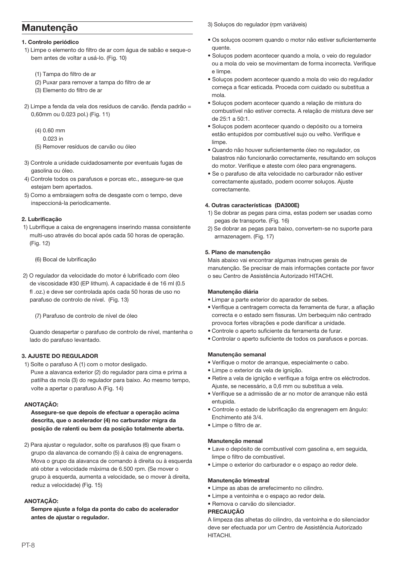# **Manutencão**

### 1. Controlo periódico

- 1) Limpe o elemento do filtro de ar com água de sabão e segue-o bem antes de voltar a usá-lo. (Fig. 10)
	- (1) Tampa do filtro de ar
	- (2) Puxar para remover a tampa do filtro de ar
	- (3) Elemento do filtro de ar
- 2) Limpe a fenda da vela dos resíduos de carvão. (fenda padrão = 0,60mm ou 0.023 pol.) (Fig. 11)
	- $(4)$  0.60 mm
	- 0.023 in
	- (5) Remover resíduos de carvão ou óleo
- 3) Controle a unidade cuidadosamente por eventuais fugas de gasolina ou óleo.
- 4) Controle todos os parafusos e porcas etc., assegure-se que estejam bem apertados.
- 5) Como a embrajagem sofra de desgaste com o tempo, deve inspeccioná-la periodicamente.

### 2. Lubrificacão

1) Lubrifique a caixa de engrenagens inserindo massa consistente multi-uso através do bocal após cada 50 horas de operação. (Fig. 12)

(6) Bocal de lubrificação

2) O regulador da velocidade do motor é lubrificado com óleo de viscosidade #30 (EP lithum). A capacidade é de 16 ml (0.5 fl.oz.) e deve ser controlada após cada 50 horas de uso no parafuso de controlo de nível. (Fig. 13)

(7) Parafuso de controlo de nível de óleo

Quando desapertar o parafuso de controlo de nível, mantenha o lado do parafuso levantado.

## **3. AJUSTE DO REGULADOR**

1) Solte o parafuso A (1) com o motor desligado. Puxe a alavanca exterior (2) do regulador para cima e prima a patilha da mola (3) do regulador para baixo. Ao mesmo tempo. volte a apertar o parafuso A (Fig. 14)

### ANOTAÇÃO:

Assegure-se que depois de efectuar a operação acima descrita, que o acelerador (4) no carburador migra da posição de ralenti ou bem da posição totalmente aberta.

2) Para ajustar o regulador, solte os parafusos (6) que fixam o grupo da alavanca de comando (5) à caixa de engrenagens. Mova o grupo da alavanca de comando à direita ou à esquerda até obter a velocidade máxima de 6.500 rpm. (Se mover o grupo à esquerda, aumenta a velocidade, se o mover à direita. reduz a velocidade) (Fig. 15)

# ANOTACÃO:

Sempre ajuste a folga da ponta do cabo do acelerador antes de ajustar o regulador.

3) Soluços do regulador (rpm variáveis)

- · Os solucos ocorrem quando o motor não estiver suficientemente quente
- · Solucos podem acontecer quando a mola, o veio do regulador ou a mola do veio se movimentam de forma incorrecta. Verifique e limne
- · Soluços podem acontecer quando a mola do veio do regulador começa a ficar esticada. Proceda com cuidado ou substitua a mola
- · Soluços podem acontecer quando a relação de mistura do combustível não estiver correcta. A relação de mistura deve ser  $de 25:1 a 50:1$
- · Solucos podem acontecer quando o depósito ou a torneira estão entupidos por combustível sujo ou velho. Verifique e limpe.
- · Quando não houver suficientemente óleo no regulador, os balastros não funcionarão correctamente, resultando em solucos do motor. Verifique e ateste com óleo para engrenagens
- · Se o parafuso de alta velocidade no carburador não estiver correctamente aiustado, podem ocorrer solucos. Aiuste correctamente.

### 4. Outras características (DA300E)

- 1) Se dobrar as pegas para cima, estas podem ser usadas como pegas de transporte. (Fig. 16)
- 2) Se dobrar as pegas para baixo, convertem-se no suporte para armazenagem. (Fig. 17)

### 5. Plano de manutenção

Mais abaixo vai encontrar algumas instruçıes gerais de manutenção. Se precisar de mais informações contacte por favor o seu Centro de Assistência Autorizado HITACHI.

### Manutencão diária

- · Limpar a parte exterior do aparador de sebes.
- · Verifique a centragem correcta da ferramenta de furar, a afiação correcta e o estado sem fissuras. Um berbeguim não centrado provoca fortes vibrações e pode danificar a unidade.
- · Controle o aperto suficiente da ferramenta de furar.
- · Controlar o aperto suficiente de todos os parafusos e porcas.

### Manutenção semanal

- · Verifique o motor de arranque, especialmente o cabo.
- · Limpe o exterior da vela de ignição.
- · Retire a vela de jonicão e verifique a folga entre os eléctrodos. Aiuste, se necessário, a 0.6 mm ou substitua a vela.
- · Verifique se a admissão de ar no motor de arranque não está entunida
- · Controle o estado de lubrificação da engrenagem em ângulo: Enchimento até 3/4.
- · Limpe o filtro de ar.

### Manutenção mensal

- · Lave o depósito de combustível com gasolina e, em seguida, limpe o filtro de combustível.
- · Limpe o exterior do carburador e o espaço ao redor dele.

## Manutenção trimestral

- · Limpe as abas de arrefecimento no cilindro.
- · Limpe a ventoinha e o espaco ao redor dela.

# · Remova o carvão do silenciador.

# **PRECAUCÃO**

A limpeza das alhetas do cilindro, da ventoinha e do silenciador deve ser efectuada por um Centro de Assistência Autorizado HITACHI.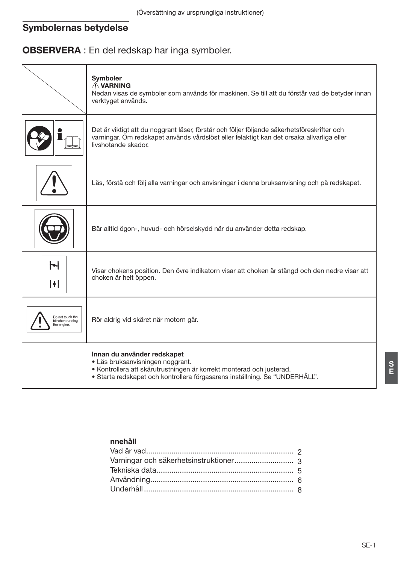# Symbolernas betydelse

# **OBSERVERA** : En del redskap har inga symboler.

|                                                     | Symboler<br>AVARNING<br>Nedan visas de symboler som används för maskinen. Se till att du förstår vad de betyder innan<br>verktyget används.                                                                            |
|-----------------------------------------------------|------------------------------------------------------------------------------------------------------------------------------------------------------------------------------------------------------------------------|
|                                                     | Det är viktigt att du noggrant läser, förstår och följer följande säkerhetsföreskrifter och<br>varningar. Om redskapet används vårdslöst eller felaktigt kan det orsaka allvarliga eller<br>livshotande skador.        |
|                                                     | Läs, förstå och följ alla varningar och anvisningar i denna bruksanvisning och på redskapet.                                                                                                                           |
|                                                     | Bär alltid ögon-, huvud- och hörselskydd när du använder detta redskap.                                                                                                                                                |
| $\blacktriangleright$<br>H                          | Visar chokens position. Den övre indikatorn visar att choken är stängd och den nedre visar att<br>choken är helt öppen.                                                                                                |
| Do not touch the<br>bit when running<br>the engine. | Rör aldrig vid skäret när motorn går.                                                                                                                                                                                  |
|                                                     | Innan du använder redskapet<br>· Läs bruksanvisningen noggrant.<br>• Kontrollera att skärutrustningen är korrekt monterad och justerad.<br>• Starta redskapet och kontrollera förgasarens inställning. Se "UNDERHÅLL". |

# nnehåll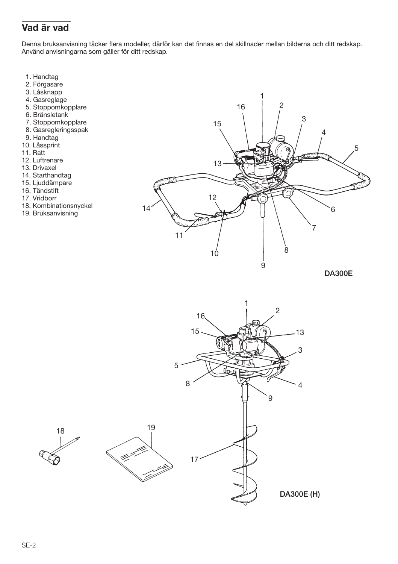# Vad är vad

Denna bruksanvisning täcker flera modeller, därför kan det finnas en del skillnader mellan bilderna och ditt redskap. Använd anvisningarna som gäller för ditt redskap.

- 1. Handtag
- 2. Förgasare
- 3. Låsknapp
- 4. Gasreglage
- 5. Stoppomkopplare
- 6. Bränsletank
- 7. Stoppomkopplare
- 8. Gasregleringsspak
- 9. Handtag
- 10. Låssprint
- 11. Ratt
- 12. Luftrenare
- 13. Drivaxel
- 14. Starthandtag
- 15. Ljuddämpare
- 16. Tändstift
- 17 Vridborr
- 18. Kombinationsnyckel
- 19. Bruksanvisning



**DA300E** 

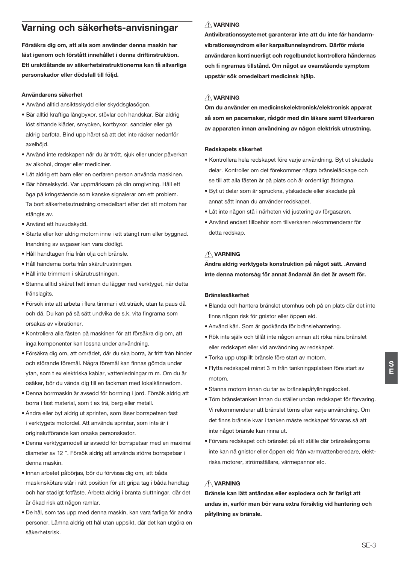# Varning och säkerhets-anvisningar

Försäkra dig om, att alla som använder denna maskin har läst jgenom och förstått innehållet i denna driftinstruktion. Ett uraktlåtande av säkerhetsinstruktionerna kan få allvarliga personskador eller dödsfall till följd.

### Användarens säkerhet

- · Använd alltid ansiktsskydd eller skyddsglasögon.
- · Bär alltid kraftiga långbyxor, stövlar och handskar, Bär aldrig löst sittande kläder, smycken, kortbyxor, sandaler eller gå aldrig barfota. Bind upp håret så att det inte räcker nedanför axelhöid.
- · Använd inte redskapen när du är trött, sjuk eller under påverkan av alkohol droger eller mediciner
- · Låt aldrig ett barn eller en oerfaren person använda maskinen.
- · Bär hörselskydd. Var uppmärksam på din omgivning. Håll ett öga på kringstående som kanske signalerar om ett problem. Ta bort säkerhetsutrustning omedelbart efter det att motorn har stängts av.
- . Använd ett huvudskydd
- · Starta eller kör aldrig motorn inne i ett stängt rum eller byggnad. Inandning av avgaser kan vara dödligt.
- · Håll handtagen fria från olja och bränsle.
- · Håll händerna borta från skärutrustningen
- · Håll inte trimmern i skärutrustningen.
- · Stanna alltid skäret helt innan du lägger ned verktyget, när detta frånslagits
- · Försök inte att arbeta i flera timmar i ett sträck, utan ta paus då och då. Du kan på så sätt undvika de s.k. vita fingrarna som orsakas av vibrationer.
- · Kontrollera alla fästen på maskinen för att försäkra dig om, att inga komponenter kan lossna under användning.
- · Försäkra dig om, att området, där du ska borra, är fritt från hinder och störande föremål. Några föremål kan finnas gömda under ytan, som t ex elektriska kablar, vattenledningar m m. Om du är osäker, bör du vända dig till en fackman med lokalkännedom.
- · Denna borrmaskin är avsedd för borrning i jord. Försök aldrig att borra i fast material, som t ex trä, berg eller metall.
- · Ändra eller byt aldrig ut sprinten, som låser borrspetsen fast i verktygets motordel. Att använda sprintar, som inte är i originalutförande kan orsaka personskador.
- · Denna verktygsmodell är avsedd för borrspetsar med en maximal diameter av 12 ". Försök aldrig att använda större borrspetsar i denna maskin
- · Innan arbetet påbörjas, bör du förvissa dig om, att båda maskinskötare står i rätt position för att gripa tag i båda handtag och har stadigt fotfäste. Arbeta aldrig i branta sluttningar, där det är ökad risk att någon ramlar.
- · De hål, som tas upp med denna maskin, kan vara farliga för andra personer. Lämna aldrig ett hål utan uppsikt, där det kan utgöra en säkerhetsrisk

# AVARNING

Antivibrationssystemet garanterar inte att du inte får handarmvibrationssyndrom eller karpaltunnelsyndrom. Därför måste användaren kontinuerligt och regelbundet kontrollera händernas och fi ngrarnas tillstånd. Om något av ovanstående symptom uppstår sök omedelbart medicinsk hiälp.

## **AVARNING**

Om du använder en medicinskelektronisk/elektronisk apparat så som en pacemaker, rådgör med din läkare samt tillverkaren av apparaten innan användning av någon elektrisk utrustning.

#### Redskapets säkerhet

- · Kontrollera hela redskapet före varie användning. Byt ut skadade delar. Kontroller om det förekommer några bränsleläckage och se till att alla fästen är på plats och är ordentligt åtdragna.
- · Byt ut delar som är spruckna, ytskadade eller skadade på annat sätt innan du använder redskapet.
- · Låt inte någon stå i närheten vid justering av förgasaren.
- · Använd endast tillbehör som tillverkaren rekommenderar för detta redskan

# AVARNING

Ändra aldrig verktygets konstruktion på något sätt. . Använd inte denna motorsåg för annat ändamål än det är avsett för.

### **Bränslesäkerhet**

- · Blanda och hantera bränslet utomhus och på en plats där det inte finns någon risk för gnistor eller öppen eld.
- · Använd kärl. Som är godkända för bränslehantering.
- · Rök inte själv och tillåt inte någon annan att röka nära bränslet eller redskapet eller vid användning av redskapet.
- · Torka upp utspillt bränsle före start av motorn.
- · Flytta redskapet minst 3 m från tankningsplatsen före start av motorn
- · Stanna motorn innan du tar av bränslepåfyllningslocket.
- · Töm bränsletanken innan du ställer undan redskapet för förvaring. Vi rekommenderar att bränslet töms efter varie användning. Om det finns bränsle kvar i tanken måste redskapet förvaras så att inte något bränsle kan rinna ut.
- · Förvara redskapet och bränslet på ett ställe där bränsleångorna inte kan nå gnistor eller öppen eld från varmvattenberedare, elektriska motorer, strömställare, värmepannor etc.

# A VARNING

Bränsle kan lätt antändas eller explodera och är farligt att andas in, varför man bör vara extra försiktig vid hantering och påfyllning av bränsle.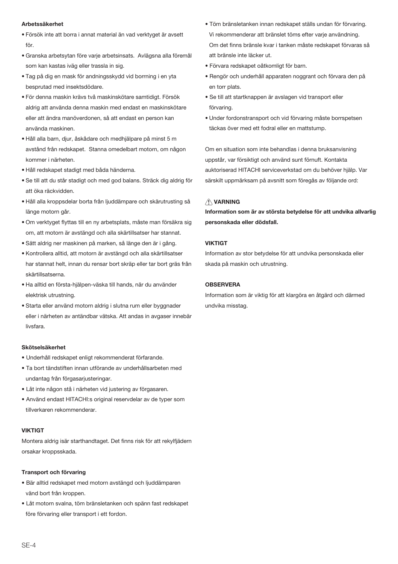### Arhetssäkerhet

- · Försök inte att borra i annat material än vad verktyget är avsett för
- · Granska arbetsytan före varje arbetsinsats. Avlägsna alla föremål som kan kastas iväg eller trassla in sig.
- . Tag på dig en mask för andningsskydd vid borrning i en yta besprutad med insektsdödare.
- · För denna maskin krävs två maskinskötare samtidigt. Försök aldrig att använda denna maskin med endast en maskinskötare eller att ändra manöverdonen, så att endast en person kan använda maskinen.
- · Håll alla barn, djur, åskådare och medhjälpare på minst 5 m avstånd från redskapet. Stanna omedelbart motorn, om någon kommer i närheten.
- · Håll redskapet stadigt med båda händerna.
- · Se till att du står stadigt och med god balans. Sträck dig aldrig för att öka räckvidden.
- · Håll alla kroppsdelar borta från liuddämpare och skärutrusting så länge motorn går.
- · Om verktyget flyttas till en ny arbetsplats, måste man försäkra sig om, att motorn är avstängd och alla skärtillsatser har stannat.
- · Sätt aldrig ner maskinen på marken, så länge den är i gång.
- · Kontrollera alltid, att motorn är avstängd och alla skärtillsatser har stannat helt, innan du rensar bort skräp eller tar bort gräs från skärtillsatserna.
- · Ha alltid en första-hjälpen-väska till hands, när du använder elektrisk utrustning.
- · Starta eller använd motorn aldrig i slutna rum eller byggnader eller i närheten av antändbar vätska. Att andas in avgaser innebär liveforo

#### Skötselsäkerhet

- · Underhåll redskapet enligt rekommenderat förfarande.
- · Ta bort tändstiften innan utförande av underhållsarbeten med undantag från förgasarjusteringar.
- · Låt inte någon stå i närheten vid justering av förgasaren.
- Använd endast HITACHI:s original reservdelar av de typer som tillverkaren rekommenderar.

### **VIKTIGT**

Montera aldrig isär starthandtaget. Det finns risk för att rekylfjädern orsakar kroppsskada.

#### Transport och förvaring

- · Bär alltid redskapet med motorn avstängd och ljuddämparen vänd bort från kroppen.
- · Låt motorn svalna, töm bränsletanken och spänn fast redskapet före förvaring eller transport i ett fordon.
- · Töm bränsletanken innan redskapet ställs undan för förvaring. Vi rekommenderar att bränslet töms efter varje användning. Om det finns bränsle kvar i tanken måste redskapet förvaras så att bränsle inte läcker ut.
- · Förvara redskapet oåtkomligt för barn.
- · Rengör och underhåll apparaten noggrant och förvara den på en torr plats.
- · Se till att startknappen är avslagen vid transport eller förvaring
- · Under fordonstransport och vid förvaring måste borrspetsen täckas över med ett fodral eller en mattstump.

Om en situation som inte behandlas i denna bruksanvisning uppstår, var försiktigt och använd sunt förnuft. Kontakta auktoriserad HITACHI serviceverkstad om du behöver hiälp. Var särskilt uppmärksam på avsnitt som föregås av följande ord:

## A VARNING

Information som är av största betydelse för att undvika allvarlig personskada eller dödsfall.

### **VIKTIGT**

Information av stor betydelse för att undvika personskada eller skada på maskin och utrustning.

### ORSERVERA

Information som är viktig för att klargöra en åtgärd och därmed undvika misstag.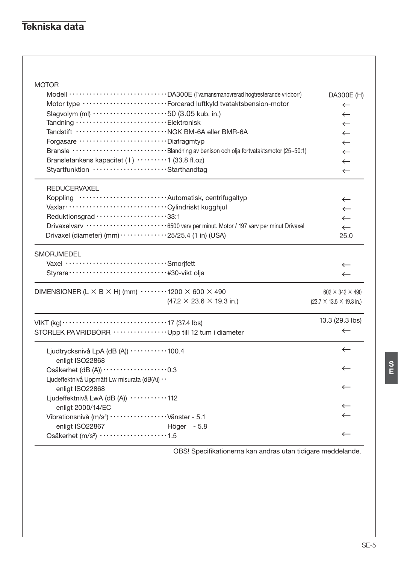# Tekniska data

| <b>MOTOR</b><br>Modell \\correspondences with materials with CM300E (Tvamansmanovrerad hogtresterande vridborr)<br>Motor type ··························Forcerad luftkyld tvataktsbension-motor<br>Slagvolym (ml) 50 (3.05 kub. in.)<br>Tandning Elektronisk<br>Forgasare ·······························Diafragmtyp<br>Bransle ······························ Blandning av benison och olja fortvataktsmotor (25~50:1)<br>Bransletankens kapacitet (1) 1 (33.8 fl.oz)<br>Styartfunktion Starthandtag | DA300E (H)<br>$\leftarrow$<br>$\leftarrow$<br>$\leftarrow$<br>$\leftarrow$<br>$\leftarrow$<br>$\leftarrow$<br>$\leftarrow$ |
|-------------------------------------------------------------------------------------------------------------------------------------------------------------------------------------------------------------------------------------------------------------------------------------------------------------------------------------------------------------------------------------------------------------------------------------------------------------------------------------------------------|----------------------------------------------------------------------------------------------------------------------------|
| <b>REDUCERVAXEL</b><br>Koppling Automatisk, centrifugaltyp<br>Reduktionsgrad ·····················33:1<br>Drivaxelvarv ·························6500 varv per minut. Motor / 197 varv per minut Drivaxel<br>Drivaxel (diameter) (mm) $\cdots$ $\cdots$ $\cdots$ $\cdots$ $\cdots$ $25/25.4$ (1 in) (USA)                                                                                                                                                                                              | $\leftarrow$<br>$\leftarrow$<br>$\leftarrow$<br>$\leftarrow$<br>$\leftarrow$<br>25.0                                       |
| SMORJMEDEL<br>Vaxel ··································Smorjfett                                                                                                                                                                                                                                                                                                                                                                                                                                       | $\leftarrow$<br>$\leftarrow$                                                                                               |
| DIMENSIONER (L $\times$ B $\times$ H) (mm) $\cdots$ 1200 $\times$ 600 $\times$ 490<br>$(47.2 \times 23.6 \times 19.3 \text{ in.})$                                                                                                                                                                                                                                                                                                                                                                    | 602 $\times$ 342 $\times$ 490<br>$(23.7 \times 13.5 \times 19.3 \text{ in.})$                                              |
| VIKT $(kg)$ $\cdots$ $\cdots$ $\cdots$ $\cdots$ $\cdots$ $\cdots$ $\cdots$ $\cdots$ $\cdots$ $\cdots$ $\cdots$ $\cdots$ $\cdots$ $\cdots$ $\cdots$ $\cdots$ $\cdots$ $\cdots$ $\cdots$ $\cdots$ $\cdots$ $\cdots$ $\cdots$ $\cdots$ $\cdots$ $\cdots$ $\cdots$ $\cdots$ $\cdots$ $\cdots$ $\cdots$ $\cdots$ $\cdots$ $\cdots$ $\cdots$                                                                                                                                                                | 13.3 (29.3 lbs)<br>$\leftarrow$                                                                                            |
| Ljudtrycksnivå LpA (dB (A)) ··········100.4<br>enligt ISO22868<br>Osäkerhet (dB (A)) · · · · · · · · · · · · · · · · · 0.3                                                                                                                                                                                                                                                                                                                                                                            | $\leftarrow$<br>$\leftarrow$                                                                                               |
| Ljudeffektnivå Uppmätt Lw misurata (dB(A)) · ·<br>enligt ISO22868<br>Ljudeffektnivå LwA (dB (A)) ···········112<br>enligt 2000/14/EC                                                                                                                                                                                                                                                                                                                                                                  | $\leftarrow$<br>$\leftarrow$                                                                                               |
| Vibrationsnivå (m/s <sup>2</sup> ) ···················· Vänster - 5.1<br>enligt ISO22867<br>Höger - 5.8<br>Osäkerhet (m/s <sup>2</sup> ) ···················1.5                                                                                                                                                                                                                                                                                                                                       | $\leftarrow$<br>$\leftarrow$                                                                                               |

OBS! Specifikationerna kan andras utan tidigare meddelande.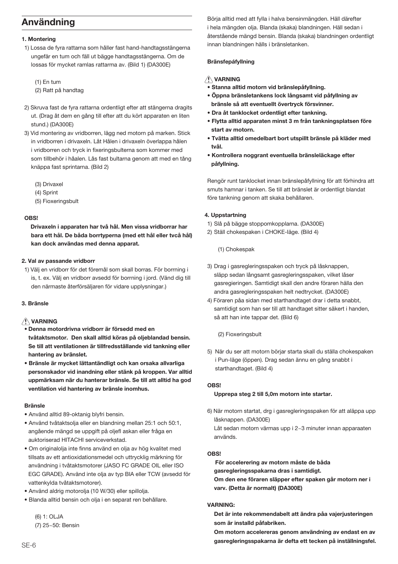# Användning

### 1. Montering

1) Lossa de fyra rattarna som håller fast hand-handtagsstängerna ungefär en tum och fäll ut bägge handtagsstängerna. Om de lossas för mycket ramlas rattarma av. (Bild 1) (DA300E)

 $(1)$  En tum

- (2) Ratt på handtag
- 2) Skruva fast de fyra rattarna ordentligt efter att stängerna dragits ut. (Drag åt dem en gång till efter att du kört apparaten en liten stund.) (DA300E)
- 3) Vid montering av vridborren, lägg ned motorn på marken. Stick in vridborren i drivaxeln. Låt Hålen i drivaxeln överlappa hålen i vridborren och tryck in fixeringsbulterna som kommer med som tillbehör i håalen. Lås fast bultarna genom att med en tång knäppa fast sprintarna. (Bild 2)
	- (3) Drivaxel
	- (4) Sprint
	- (5) Fioxeringsbult

### **ORCI**

Drivaxeln i apparaten har två hål. Men vissa vridborrar har bara ett hål. De båda borrtvperna (med ett hål eller tycå hål) kan dock användas med denna apparat.

### 2. Val av passande vridborr

1) Välj en vridborr för det föremål som skall borras. För borrning i is, t. ex. Välj en vridborr avsedd för borrning i jord. (Vänd dig till den närmaste återförsäljaren för vidare upplysningar.)

## 3. Bränsle

# **AVARNING**

- · Denna motordrivna vridborr är försedd med en tvåtaktsmotor. Den skall alltid köras på oljeblandad bensin. Se till att ventilationen är tillfredsställande vid tankning eller hantering av bränslet.
- · Bränsle är mycket lättantändligt och kan orsaka allvarliga personskador vid inandning eller stänk på kroppen. Var alltid uppmärksam när du hanterar bränsle. Se till att alltid ha god ventilation vid hantering av bränsle inomhus.

### **Rränsle**

- · Använd alltid 89-oktanig blyfri bensin.
- . Använd tvåtaktsolia eller en blandning mellan 25:1 och 50:1. angående mängd se uppgift på oliefl askan eller fråga en auktoriserad HITACHI serviceverkstad.
- · Om originalolia inte finns använd en olia av hög kvalitet med tillsats av ett antioxidationsmedel och uttrycklig märkning för användning i tvåtaktsmotorer (JASO FC GRADE OIL eller ISO EGC GRADE), Använd inte olia av typ BIA eller TCW (aysedd för vattenkylda tvåtaktsmotorer).
- · Använd aldrig motorolia (10 W/30) eller spillolia
- · Blanda alltid bensin och olia i en separat ren behållare.

(6) 1: OLJA (7) 25~50: Bensin Böria alltid med att fylla i halva bensinmängden. Häll därefter i hela mängden olia. Blanda (skaka) blandningen. Häll sedan i återstående mängd bensin. Blanda (skaka) blandningen ordentligt innan blandningen hälls i bränsletanken.

## Bränsfepáfyllning

## A VARNING

- · Stanna alltid motorn vid bränslepåfyllning.
- Öppna bränsletankens lock långsamt vid påfyllning av bränsle så att eventuellt övertryck försvinner.
- · Dra åt tanklocket ordentligt efter tankning.
- · Flytta alltid apparaten minst 3 m från tankningsplatsen före start av motorn.
- · Tvätta alltid omedelbart bort utspillt bränsle på kläder med tvål.
- Kontrollera noggrant eventuella bränsleläckage efter påfyllning.

Rengör runt tanklocket innan bränslepåfyllning för att förhindra att smuts hamnar i tanken. Se till att bränslet är ordentligt blandat före tankning genom att skaka behållaren.

### 4. Uppstartning

- 1) Slå på bägge stoppomkopplarna, (DA300E)
- 2) Ställ chokespaken i CHOKE-läge. (Bild 4)

(1) Chokespak

- 3) Drag i gasregleringsspaken och tryck på låsknappen, släpp sedan långsamt gasregleringsspaken, vilket låser gasregieringen. Samtidigt skall den andre föraren hälla den andra gasregleringsspaken helt nedtrycket. (DA300E)
- 4) Föraren påa sidan med starthandtaget drar i detta snabbt, samtidigt som han ser till att handtaget sitter säkert i handen, så att han inte tappar det. (Bild 6)

(2) Fioxeringsbult

5) När du ser att motorn börjar starta skall du ställa chokespaken i Pun-läge (öppen). Drag sedan ännu en gång snabbt i starthandtaget. (Bild 4)

### OBS!

### Upprepa steg 2 till 5,0m motorn inte startar.

6) När motorn startat, drg i gasregleringsspaken för att aläppa upp låsknappen. (DA300E)

Låt sedan motorn värmas upp i 2~3 minuter innan apparaaten används.

### **OBS!**

För accelerering av motorn måste de båda gasregleringsspakarna dras i samtidigt. Om den ene föraren släpper efter spaken går motorn ner i varv. (Detta är normalt) (DA300E)

### **VARNING**

Det är inte rekommendabelt att ändra påa vajerjusteringen som är installd påfabriken.

Om motorn accelereras genom användning av endast en av gasregleringsspakarna är defta ett tecken på inställningsfel.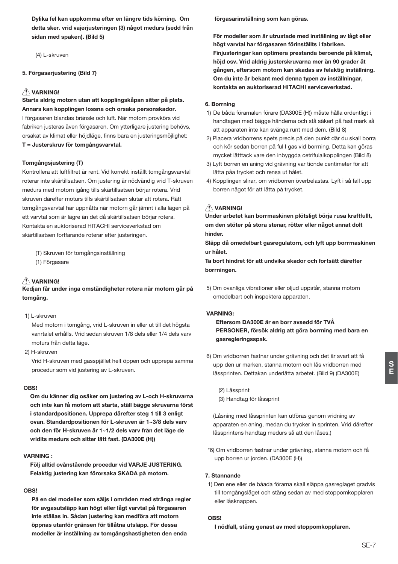Dylika fel kan uppkomma efter en längre tids körning. Om detta sker. vrid vajerjusteringen (3) något medurs (sedd från sidan med spaken). (Bild 5)

(4) L-skruven

### 5. Förgasarjustering (Bild 7)

### $\triangle$  VARNING!

Starta aldrig motorn utan att kopplingskåpan sitter på plats. Annars kan kopplingen lossna och orsaka personskador. I förgasaren blandas bränsle och luft. När motorn provkörs vid fabriken justeras även förgasaren. Om ytterligare justering behövs, orsakat av klimat eller höjdläge, finns bara en justeringsmöjlighet: T = Justerskruv för tomgångsvarvtal.

### Tomgångsjustering (T)

Kontrollera att luftfiltret är rent. Vid korrekt inställt tomgångsvarvtal roterar inte skärtillsatsen. Om justering är nödvändig vrid T-skruven medurs med motorn igång tills skärtillsatsen börjar rotera. Vrid skruven därefter moturs tills skärtillsatsen slutar att rotera. Rätt tomgångsvarvtal har uppnåtts när motorn går jämnt i alla lägen på ett varvtal som är lägre än det då skärtillsatsen börjar rotera. Kontakta en auktoriserad HITACHI serviceverkstad om skärtillsatsen fortfarande roterar efter justeringen.

- (T) Skruven för tomgångsinställning
- (1) Förgasare

# AVARNING!

Kedjan får under inga omständigheter rotera när motorn går på tomaåna.

### 1) L-skruven

Med motorn i tomaåna, vrid L-skruven in eller ut till det högsta vanrtalet erhålls. Vrid sedan skruven 1/8 dels eller 1/4 dels varv moturs från detta läge.

2) H-skruven

Vrid H-skruven med gasspjället helt öppen och upprepa samma procedur som vid justering av L-skruven.

### OBS!

Om du känner dig osäker om justering av L-och H-skruvarna och inte kan få motorn att starta, ställ bägge skruvarna först i standardpositionen. Upprepa därefter steg 1 till 3 enligt ovan. Standardpositionen för L-skruven är 1~3/8 dels varv och den för H-skruven är 1~1/2 dels varv från det läge de vridits medurs och sitter lätt fast. (DA300E (H))

### VARNING -

Föli alltid ovånstående procedur vid VARJE JUSTERING. Felaktig justering kan förorsaka SKADA på motorn.

### OBS!

På en del modeller som säljs i områden med stränga regler för avgasutsläpp kan högt eller lågt varvtal på förgasaren inte ställas in. Sådan justering kan medföra att motorn öppnas utanför gränsen för tillåtna utsläpp. För dessa modeller är inställning av tomgångshastigheten den enda

förgasarinställning som kan göras.

För modeller som är utrustade med inställning av lågt eller högt varytal har förgasaren förinställts i fabriken. Finiusteringar kan optimera prestanda beroende på klimat. höid osv. Vrid aldrig justerskruvarna mer än 90 grader åt gången, eftersom motorn kan skadas av felaktig inställning. Om du inte är bekant med denna typen av inställningar. kontakta en auktoriserad HITACHI serviceverkstad.

### 6. Borrning

- 1) De båda förarnalen förare (DA300E (H)) måste hålla ordentligt i handtagen med bägge händerna och stå säkert på fast mark så att apparaten inte kan svänga runt med dem. (Bild 8)
- 2) Placera vridborrens spets precis på den punkt där du skall borra och kör sedan borren på ful I gas vid borrning. Detta kan göras mycket lätttack vare den inbyggda cetrifulalkopplingen (Bild 8)
- 3) Lyft borren en aning vid grävning var tionde centimeter för att lätta påa trycket och rensa ut hålet.
- 4) Kopplingen slirar, om vridborren överbelastas. Lyft i så fall upp borren något för att lätta på trycket.

# AVARNING!

Under arbetet kan borrmaskinen plötsligt börja rusa kraftfullt, om den stöter på stora stenar, rötter eller något annat dolt hinder

Släpp då omedelbart gasregulatorn, och lyft upp borrmaskinen ur hålet.

Ta bort hindret för att undvika skador och fortsätt därefter borrningen.

5) Om ovanliga vibrationer eller oljud uppstår, stanna motorn omedelbart och inspektera apparaten.

### VADNING-

Eftersom DA300E är en borr avsedd för TVÅ PERSONER, försök aldrig att göra borrning med bara en gasregleringsspak.

6) Om vridborren fastnar under grävning och det är svart att få upp den ur marken, stanna motorn och lås vridborren med låssprinten. Dettakan underlätta arbetet. (Bild 9) (DA300E)

(2) Låssprint (3) Handtag för låssprint

(Låsning med låssprinten kan utföras genom vridning av apparaten en aning, medan du trycker in sprinten. Vrid därefter låssprintens handtag medurs så att den låses.)

\*6) Om vridborren fastnar under grävning, stanna motorn och få upp borren ur jorden. (DA300E (H))

### 7 Stannande

1) Den ene eller de båada förarna skall släppa gasreglaget gradvis till tomgångsläget och stäng sedan av med stoppomkopplaren eller låsknappen.

### ORSI

I nödfall, stäng genast av med stoppomkopplaren.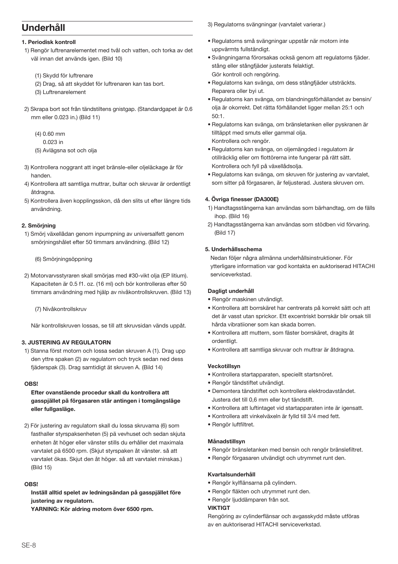# Underhåll

## 1. Periodisk kontroll

- 1) Rengör luftrenarelementet med tvål och vatten, och torka av det väl innan det används igen. (Bild 10)
	- (1) Skydd för luftrenare
	- (2) Drag, så att skyddet för luftrenaren kan tas bort.
	- (3) Luftrenarelement
- 2) Skrapa bort sot från tändstiltens gnistgap. (Standardgapet är 0.6 mm eller 0.023 in.) (Bild 11)
	- $(4)$  0.60 mm
	- $0.023$  in
	- (5) Avlägsna sot och olja
- 3) Kontrollera noggrant att inget bränsle-eller olieläckage är för handen
- 4) Kontrollera att samtliga muttrar, bultar och skruvar är ordentligt åtdragna.
- 5) Kontrollera även kopplingsskon, då den slits ut efter längre tids användning.

### 2. Smörjning

1) Smörj växellådan genom inpumpning av universalfett genom smörjningshålet efter 50 timmars användning. (Bild 12)

### (6) Smöriningsöppning

2) Motorvarvsstyraren skall smörjas med #30-vikt olja (EP litium). Kapaciteten är 0.5 f1, oz. (16 ml) och bör kontrolleras efter 50 timmars användning med hjälp av nivåkontrollskruven. (Bild 13)

(7) Nivåkontrollskruv

När kontrollskruven lossas, se till att skruvsidan vänds uppåt

## **3. JUSTERING AV REGULATORN**

1) Stanna först motorn och lossa sedan skruven A (1). Drag upp den vttre spaken (2) av regulatorn och tryck sedan ned dess fjäderspak (3). Drag samtidigt ät skruven A. (Bild 14)

### OBS!

## Efter ovanstäende procedur skall du kontrollera att gasspjället på förgasaren stär antingen i tomgängsläge eller fullgasläge.

2) För justering av regulatorn skall du lossa skruvama (6) som fasthaller styrspaksenheten (5) på vevhuset och sedan skjuta enheten åt höger eller vänster stills du erhåller det maximala varvtalet på 6500 rpm. (Skjut styrspaken åt vänster. så att varvtalet ökas. Skjut den åt höger. så att varvtalet minskas.) (Bild 15)

# **OBS!**

Inställ alltid spelet av ledningsändan på gasspjället före justering av regulatorn.

YARNING: Kör aldring motorn över 6500 rpm.

3) Regulatorns svängningar (varvtalet varierar.)

- · Regulatorns små svängningar uppstår när motorn inte uppvärmts fullständigt
- · Svängningarna förorsakas ocksä genom att regulatorns fjäder. stång eller stångfjäder justerats felaktigt. Gör kontroll och rengöring.
- · Regulatorns kan svänga, om dess stångfjäder utsträckts. Reparera oller byi ut.
- · Regulatorns kan svänga, om blandningsförhällandet av bensin/ olia är okorrekt. Det rätta förhållandet ligger mellan 25:1 och  $50.1$
- · Regulatorns kan svänga, om bränsletanken eller pyskranen är tilltäppt med smuts eller gammal olja. Kontrollera och rengör.
- · Regulatorns kan svänga, on oljemängded i regulatorn är otillräcklig eller om flottörerna inte fungerar på rätt sätt. Kontrollera och fyll på växellådsolja.
- · Regulatorns kan svänga, om skruven för justering av varvtalet, som sitter på förgasaren, är feljusterad. Justera skruven om.

### 4. Övriga finesser (DA300E)

- 1) Handtagsstängerna kan användas som bärhandtag, om de fälls ihop. (Bild 16)
- 2) Handtagsstängerna kan användas som stödben vid förvaring.  $(Rild 17)$

### 5. Underhållsschema

Nedan följer några allmänna underhållsinstruktioner. För ytterligare information var god kontakta en auktoriserad HITACHI serviceverkstad.

### Dagligt underhåll

- · Rengör maskinen utvändigt.
- Kontrollera att borrskäret har centrerats på korrekt sätt och att det är vasst utan sprickor. Ett excentriskt borrskär blir orsak till hårda vibratiioner som kan skada borren.
- Kontrollera att muttern, som fäster borrskäret, dragits åt ordentligt.
- · Kontrollera att samtliga skruvar och muttrar är åtdragna.

### Veckotillsvn

- · Kontrollera startapparaten, speciellt startsnöret.
- · Rengör tändstiftet utvändigt.
- · Demontera tändstiftet och kontrollera elektrodavståndet. Justera det till 0.6 mm eller byt tändstift.
- · Kontrollera att luftintaget vid startapparaten inte är igensatt.
- · Kontrollera att vinkelväxeln är fylld till 3/4 med fett.
- · Rengör luftfiltret.

### Månadstillsyn

- · Rengör bränsletanken med bensin och rengör bränslefiltret.
- · Rengör förgasaren utvändigt och utrymmet runt den.

## Kvartalsunderhåll

- · Rengör kylflänsarna på cylindern.
- · Rengör fläkten och utrymmet runt den.
- · Rengör liuddämparen från sot.

# **VIKTIGT**

Rengöring av cylinderflänsar och avgasskydd måste utföras av en auktoriserad HITACHI serviceverkstad.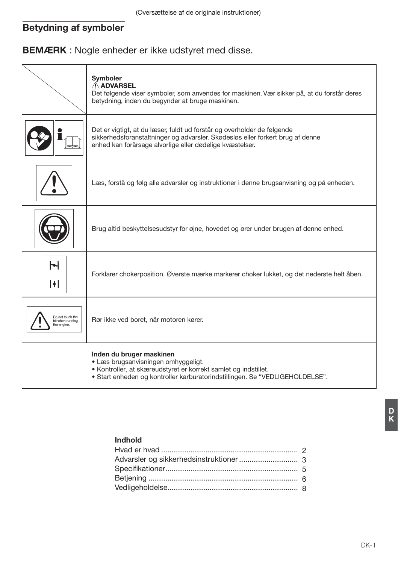# Betydning af symboler

**BEMÆRK** : Nogle enheder er ikke udstyret med disse.

|                                                     | Symboler<br>A ADVARSEL<br>Det følgende viser symboler, som anvendes for maskinen. Vær sikker på, at du forstår deres<br>betydning, inden du begynder at bruge maskinen.                                               |
|-----------------------------------------------------|-----------------------------------------------------------------------------------------------------------------------------------------------------------------------------------------------------------------------|
|                                                     | Det er vigtigt, at du læser, fuldt ud forstår og overholder de følgende<br>sikkerhedsforanstaltninger og advarsler. Skødesløs eller forkert brug af denne<br>enhed kan forårsage alvorlige eller dødelige kvæstelser. |
|                                                     | Læs, forstå og følg alle advarsler og instruktioner i denne brugsanvisning og på enheden.                                                                                                                             |
|                                                     | Brug altid beskyttelsesudstyr for øjne, hovedet og ører under brugen af denne enhed.                                                                                                                                  |
| Н<br>H                                              | Forklarer chokerposition. Øverste mærke markerer choker lukket, og det nederste helt åben.                                                                                                                            |
| Do not touch the<br>bit when running<br>the engine. | Rør ikke ved boret, når motoren kører.                                                                                                                                                                                |
|                                                     | Inden du bruger maskinen<br>• Læs brugsanvisningen omhyggeligt.<br>• Kontroller, at skæreudstyret er korrekt samlet og indstillet.<br>• Start enheden og kontroller karburatorindstillingen. Se "VEDLIGEHOLDELSE".    |

# Indhold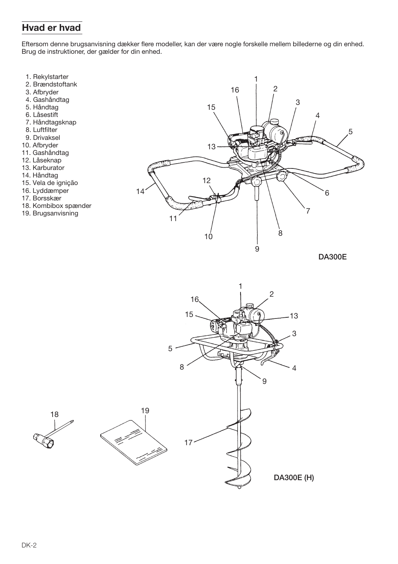# Hvad er hvad

Eftersom denne brugsanvisning dækker flere modeller, kan der være nogle forskelle mellem billederne og din enhed. Brug de instruktioner, der gælder for din enhed.

- 
- 1. Rekylstarter<br>2. Brændstoftank
- 3. Afbryder
- 4. Gashåndtag
- 5. Håndtag
- 6. Låsestift
- 7. Håndtagsknap
- 8. Luftfilter
- 9. Drivaksel
- 10. Afbryder
- 11. Gashåndtag
- 12. Låseknap
- 13. Karburator
- 14. Håndtag
- 15. Vela de ignição
- 16. Lyddæmper
- 17. Borsskær
- 18. Kombibox spænder

18

19. Brugsanvisning



**DA300E** 

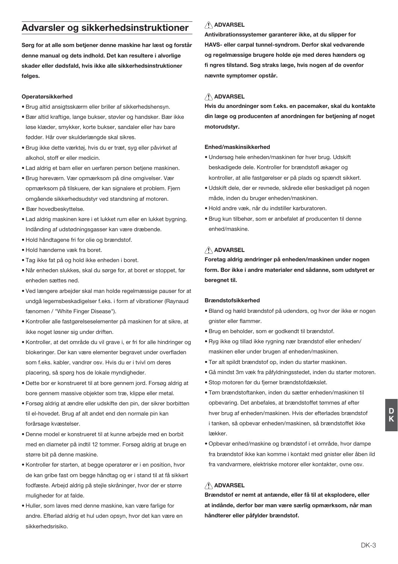# Advarsler og sikkerhedsinstruktioner

Sørg for at alle som betjener denne maskine har læst og forstår denne manual og dets indhold. Det kan resultere i alvorlige skader eller dødsfald, hvis ikke alle sikkerhedsinstruktioner følges.

### Operatørsikkerhed

- · Brug altid ansigtsskærm eller briller af sikkerhedshensyn.
- · Bær altid kraftige, lange bukser, støvler og handsker. Bær ikke løse klæder, smykker, korte bukser, sandaler eller hav bare fødder. Hår over skulderlængde skal sikres.
- · Brug ikke dette værktøj, hvis du er træt, syg eller påvirket af alkohol, stoff er eller medicin.
- · Lad aldrig et barn eller en uerfaren person betjene maskinen.
- · Brug høreværn. Vær opmærksom på dine omgivelser. Vær opmærksom på tilskuere, der kan signalere et problem. Fjern omgående sikkerhedsudstyr ved standsning af motoren.
- · Bær hovedbeskyttelse.
- · Lad aldrig maskinen køre i et lukket rum eller en lukket bygning. Indånding af udstødningsgasser kan være dræbende.
- · Hold håndtagene fri for olie og brændstof.
- · Hold hænderne væk fra boret.
- · Tag ikke fat på og hold ikke enheden i boret.
- · Når enheden slukkes, skal du sørge for, at boret er stoppet, før enheden sættes ned.
- . Ved længere arbeider skal man holde regelmæssige pauser for at undgå legemsbeskadigelser f.eks. i form af vibrationer (Raynaud fænomen / "White Finger Disease").
- · Kontroller alle fastgørelseselementer på maskinen for at sikre, at ikke noget løsner sig under driften.
- · Kontroller, at det område du vil grave i, er fri for alle hindringer og blokeringer. Der kan være elementer begravet under overfladen som f.eks. kabler, vandrør osv. Hvis du er i tvivl om deres placering, så spørg hos de lokale myndigheder.
- · Dette bor er konstrueret til at bore gennem jord. Forsøg aldrig at bore gennem massive objekter som træ, klippe eller metal.
- · Forsøg aldrig at ændre eller udskifte den pin, der sikrer borbitten til el-hovedet. Brug af alt andet end den normale pin kan forårsage kvæstelser.
- · Denne model er konstrueret til at kunne arbejde med en borbit med en diameter på indtil 12 tommer. Forsøg aldrig at bruge en større bit på denne maskine.
- Kontroller før starten, at begge operatører er i en position, hvor de kan gribe fast om begge håndtag og er i stand til at få sikkert fodfæste. Arbeid aldrig på stejle skråninger, hvor der er større muligheder for at falde.
- · Huller, som layes med denne maskine, kan være farlige for andre. Efterlad aldrig et hul uden opsyn, hvor det kan være en sikkerhedsrisiko.

# A ADVARSEL

Antivibrationssystemer garanterer ikke, at du slipper for HAVS- eller carpal tunnel-syndrom. Derfor skal vedvarende og regelmæssige brugere holde øje med deres hænders og fi ngres tilstand. Søg straks læge, hvis nogen af de ovenfor nævnte symptomer opstår.

# A ADVARSEL

Hvis du anordninger som f.eks. en pacemaker, skal du kontakte din læge og producenten af anordningen før betjening af noget motorudstvr.

### Enhed/maskinsikkerhed

- · Undersøg hele enheden/maskinen før hver brug. Udskift beskadigede dele. Kontroller for brændstofl ækager og kontroller, at alle fastgørelser er på plads og spændt sikkert.
- · Udskift dele, der er revnede, skårede eller beskadiget på nogen måde, inden du bruger enheden/maskinen.
- · Hold andre væk, når du indstiller karburatoren.
- · Brug kun tilbehør, som er anbefalet af producenten til denne enhed/maskine

# **ADVARSEL**

Foretag aldrig ændringer på enheden/maskinen under nogen form. Bor ikke i andre materialer end sådanne, som udstyret er beregnet til.

### **Brændstofsikkerhed**

- · Bland og hæld brændstof på udendørs, og hvor der ikke er nogen onister eller flammer.
- · Brug en beholder, som er godkendt til brændstof.
- . Ryg ikke og tillad ikke rygning nær brændstof eller enheden/ maskinen eller under brugen af enheden/maskinen.
- . Tør alt spildt brændstof op, inden du starter maskinen.
- · Gå mindst 3m væk fra påfyldningsstedet, inden du starter motoren.
- · Stop motoren før du fierner brændstofdækslet.
- . Tøm brændstoftanken, inden du sætter enheden/maskinen til opbevaring. Det anbefales, at brændstoffet tømmes af efter hver brug af enheden/maskinen. Hvis der efterlades brændstof i tanken, så opbevar enheden/maskinen, så brændstoffet ikke lækker
- · Opbevar enhed/maskine og brændstof i et område, hvor dampe fra brændstof ikke kan komme i kontakt med gnister eller åben ild fra vandvarmere, elektriske motorer eller kontakter, ovne osv.

# A ADVARSEL

Brændstof er nemt at antænde, eller få til at eksplodere, eller at indånde, derfor bør man være særlig opmærksom, når man håndterer eller påfylder brændstof.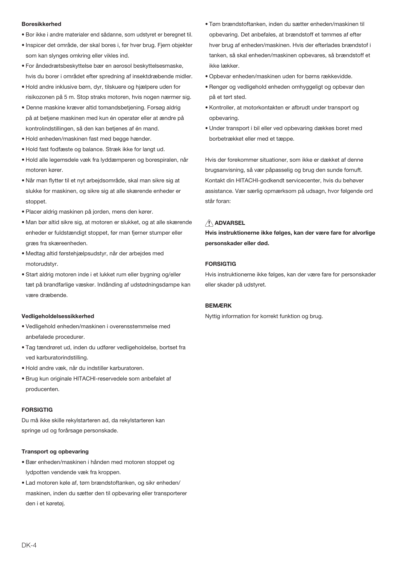### **Roresikkerhed**

- · Bor ikke i andre materialer end sådanne, som udstyret er beregnet til.
- · Inspicer det område, der skal bores i, før hver brug. Fiern objekter som kan slynges omkring eller vikles ind.
- · For åndedrætsbeskyttelse bær en aerosol beskyttelsesmaske, hvis du borer i området efter spredning af insektdræbende midler.
- · Hold andre inklusive børn, dyr, tilskuere og hjælpere uden for risikozonen på 5 m. Stop straks motoren, hvis nogen nærmer sig.
- · Denne maskine kræver altid tomandsbetiening. Forsøg aldrig på at betjene maskinen med kun én operatør eller at ændre på kontrolindstillingen, så den kan betjenes af én mand.
- . Hold enheden/maskinen fast med begge hænder.
- . Hold fast fodfæste og balance. Stræk ikke for langt ud.
- · Hold alle legemsdele væk fra lyddæmperen og borespiralen, når motoren kører
- · Når man flytter til et nyt arbejdsområde, skal man sikre sig at slukke for maskinen, og sikre sig at alle skærende enheder er stoppet.
- · Placer aldrig maskinen på jorden, mens den kører.
- · Man bør altid sikre sig, at motoren er slukket, og at alle skærende enheder er fuldstændigt stoppet, før man fierner stumper eller græs fra skæreenheden.
- · Medtag altid førstehjælpsudstyr, når der arbejdes med motorudstvr
- · Start aldrig motoren inde i et lukket rum eller bygning og/eller tæt på brandfarlige væsker. Indånding af udstødningsdampe kan være dræhende

#### Vedligeholdelsessikkerhed

- · Vedligehold enheden/maskinen i overensstemmelse med anbefalede procedurer.
- · Tag tændrøret ud, inden du udfører vedligeholdelse, bortset fra ved karburatorindstilling.
- · Hold andre væk, når du indstiller karburatoren.
- · Brug kun originale HITACHI-reservedele som anbefalet af producenten.

#### **FORSIGTIG**

Du må ikke skille rekylstarteren ad, da rekylstarteren kan springe ud og forårsage personskade.

#### **Transport og opbevaring**

- · Bær enheden/maskinen i hånden med motoren stoppet og lydpotten vendende væk fra kroppen.
- · Lad motoren køle af, tøm brændstoftanken, og sikr enheden/ maskinen, inden du sætter den til opbevaring eller transporterer den i et køretøj.
- . Tøm brændstoftanken, inden du sætter enheden/maskinen til opbevaring. Det anbefales, at brændstoff et tømmes af efter hver brug af enheden/maskinen. Hvis der efterlades brændstof i tanken, så skal enheden/maskinen opbevares, så brændstoff et ikke lækker.
- . Opbevar enheden/maskinen uden for børns rækkevidde.
- · Rengør og vedligehold enheden omhyggeligt og opbevar den på et tørt sted.
- Kontroller, at motorkontakten er afbrudt under transport og opbevaring.
- · Under transport i bil eller ved opbevaring dækkes boret med borbetrækket eller med et tæppe.

Hvis der forekommer situationer, som ikke er dækket af denne brugsanvisning, så vær påpasseljg og brug den sunde fornuft. Kontakt din HITACHI-godkendt servicecenter, hvis du behøver assistance. Vær særlig opmærksom på udsagn, hvor følgende ord står foran:

# A ADVARSEL

Hvis instruktionerne ikke følges, kan der være fare for alvorlige personskader eller død.

## **FORSIGTIG**

Hvis instruktionerne ikke følges, kan der være fare for personskader eller skader på udstyret.

### **REMÆRK**

Nyttig information for korrekt funktion og brug.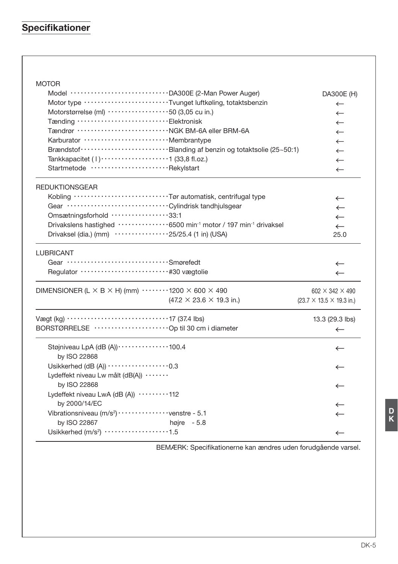# Specifikationer

| <b>MOTOR</b>                                                                                        |                                                                                              |  |
|-----------------------------------------------------------------------------------------------------|----------------------------------------------------------------------------------------------|--|
| Model ································· DA300E (2-Man Power Auger)                                  | DA300E (H)                                                                                   |  |
| Motor type ··························Tvunget luftkøling, totaktsbenzin                              | $\leftarrow$                                                                                 |  |
| Motorstørrelse (ml) ····················50 (3,05 cu in.)                                            | $\leftarrow$                                                                                 |  |
| Tænding ··································Elektronisk                                               | $\leftarrow$                                                                                 |  |
|                                                                                                     | $\leftarrow$                                                                                 |  |
| Karburator  Membrantype                                                                             | $\leftarrow$                                                                                 |  |
|                                                                                                     | $\leftarrow$                                                                                 |  |
| Tankkapacitet $(1)$ $(1)$ $(23,8)$ fl.oz.)                                                          | $\leftarrow$                                                                                 |  |
| Startmetode Rekylstart                                                                              | $\leftarrow$                                                                                 |  |
| <b>REDUKTIONSGEAR</b>                                                                               |                                                                                              |  |
| Kobling ································Tør automatisk, centrifugal type                            | $\leftarrow$                                                                                 |  |
|                                                                                                     | $\leftarrow$                                                                                 |  |
| Omsætningsforhold 33:1                                                                              | $\leftarrow$                                                                                 |  |
| Drivakslens hastighed ···············6500 min <sup>-1</sup> motor / 197 min <sup>-1</sup> drivaksel | $\leftarrow$                                                                                 |  |
| Drivaksel (dia.) (mm) $\cdots \cdots \cdots \cdots 25/25.4$ (1 in) (USA)                            | 25.0                                                                                         |  |
| <b>LUBRICANT</b>                                                                                    |                                                                                              |  |
| Gear Smørefedt                                                                                      | $\leftarrow$                                                                                 |  |
| Requlator ······························· #30 væqtolie                                              | $\leftarrow$                                                                                 |  |
| DIMENSIONER (L $\times$ B $\times$ H) (mm) $\cdots$ 1200 $\times$ 600 $\times$ 490                  | 602 $\times$ 342 $\times$ 490                                                                |  |
|                                                                                                     | $(47.2 \times 23.6 \times 19.3 \text{ in.})$<br>$(23.7 \times 13.5 \times 19.3 \text{ in.})$ |  |
|                                                                                                     | 13.3 (29.3 lbs)                                                                              |  |
| BORSTØRRELSE ····························· Op til 30 cm i diameter                                  | $\leftarrow$                                                                                 |  |
| Støjniveau LpA (dB (A)) ··············100.4<br>by ISO 22868                                         | $\leftarrow$                                                                                 |  |
| Usikkerhed (dB $(A)$ ) $\cdots$ $\cdots$ $\cdots$ $\cdots$ $\cdots$ $\cdots$ 0.3                    | $\leftarrow$                                                                                 |  |
| Lydeffekt niveau Lw målt (dB(A)) ·······                                                            |                                                                                              |  |
| by ISO 22868                                                                                        | $\leftarrow$                                                                                 |  |
| Lydeffekt niveau LwA (dB (A)) ·········112                                                          |                                                                                              |  |
| by 2000/14/EC                                                                                       | ←                                                                                            |  |
| Vibrationsniveau (m/s <sup>2</sup> ) · · · · · · · · · · · · · · venstre - 5.1                      | $\leftarrow$                                                                                 |  |
| by ISO 22867<br>højre $-5.8$                                                                        |                                                                                              |  |
| Usikkerhed (m/s <sup>2</sup> ) ··················1.5                                                | $\leftarrow$                                                                                 |  |
|                                                                                                     |                                                                                              |  |

BEMÆRK: Specifikationerne kan ændres uden forudgående varsel.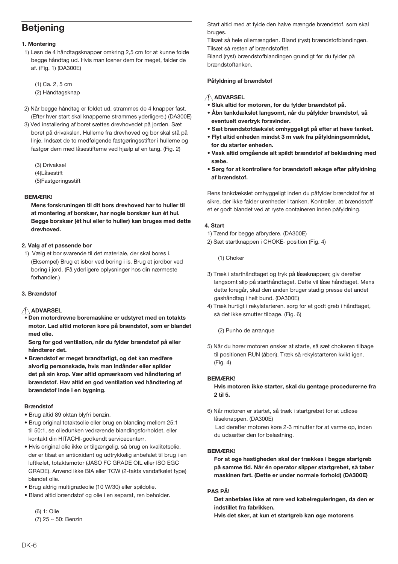## **Betiening**

### 1. Montering

1) Løsn de 4 håndtagsknapper omkring 2.5 cm for at kunne folde begge håndtag ud. Hvis man løsner dem for meget, falder de af. (Fig. 1) (DA300E)

(1) Ca. 2, 5 cm (2) Håndtagsknap

- 2) Når begge håndtag er foldet ud, strammes de 4 knapper fast. (Efter hver start skal knapperne strammes yderligere.) (DA300E)
- 3) Ved installering af boret sættes drevhovedet på jorden. Sæt boret på drivakslen. Hullerne fra drevhoved og bor skal stå på linje. Indsæt de to medfølgende fastgøringsstifter i hullerne og fastgør dem med låsestifterne ved hjælp af en tang. (Fig. 2)
	- (3) Drivaksel
	- $(4)$ l åsestift
	- (5) Fastgøringsstift

## **PEMÆRKI**

Mens forskruningen til dit bors drevhoved har to huller til at montering af borskær, har nogle borskær kun ét hul. Begge borskær (ét hul eller to huller) kan bruges med dette drevhoved.

### 2. Valg af et passende bor

1) Vælg et bor svarende til det materiale, der skal bores i. (Eksempel) Brug et isbor ved boring i is. Brug et jordbor ved boring i jord. (Få vderligere oplysninger hos din nærmeste forhandler.)

## 3. Brændstof

## A ADVARSEL

<del>.</del><br>▪ Den motordrevne boremaskine er udstvret med en totakts motor. Lad altid motoren køre på brændstof, som er blandet med olie

Sørg for god ventilation, når du fylder brændstof på eller håndterer det

· Brændstof er meget brandfarligt, og det kan medføre alvorlig personskade, hvis man indånder eller spilder det på sin krop. Vær altid opmærksom ved håndtering af brændstof. Hav altid en god ventilation ved håndtering af brændstof inde i en bygning.

#### **Rrændstof**

- · Brug altid 89 oktan blyfri benzin.
- · Brug original totaktsolie eller brug en blanding mellem 25:1 til 50:1, se oliedunken vedrørende blandingsforholdet, eller kontakt din HITACHI-godkendt servicecenterr.
- · Hvis original olie ikke er tilgængelig, så brug en kvalitetsolie, der er tilsat en antioxidant og udtrykkelig anbefalet til brug i en luftkølet, totaktsmotor (JASO FC GRADE OIL eller ISO EGC GRADE). Anvend ikke BIA eller TCW (2-takts vandafkølet type) blandet olie.
- · Brug aldrig multigradeolie (10 W/30) eller spildolie.
- · Bland altid brændstof og olie i en separat, ren beholder.

(6) 1: Olie (7) 25 ~ 50: Benzin Start altid med at fylde den halve mængde brændstof, som skal bruges

Tilsæt så hele oliemængden. Bland (ryst) brændstofblandingen. Tilsæt så resten af brændstoffet.

Bland (ryst) brændstofblandingen grundigt før du fylder på brændstoftanken.

### Påfyldning af brændstof

## A ADVARSEL

\_<br>Sluk altid for motoren, før du fvlder brændstof på.

- Åbn tankdækslet langsomt, når du påfylder brændstof, så eventuelt overtryk forsvinder.
- · Sæt brændstofdækslet omhyggeligt på efter at have tanket.
- · Flyt altid enheden mindst 3 m væk fra påfyldningsområdet, før du starter enheden.
- . Vask altid omgående alt spildt brændstof af beklædning med sæhe.
- · Sørg for at kontrollere for brændstofl ækage efter påfyldning of broondetof

Rens tankdækslet omhyggeligt inden du påfylder brændstof for at sikre, der ikke falder urenheder i tanken. Kontroller, at brændstoff et er godt blandet ved at ryste containeren inden påfyldning.

### 4. Start

- 1) Tænd for begge afbrydere. (DA300E)
- 2) Sæt startknappen i CHOKE- position (Fig. 4)

(1) Choker

- 3) Træk i starthåndtaget og tryk på låseknappen; giv derefter langsomt slip på starthåndtaget. Dette vil låse håndtaget. Mens dette foregår, skal den anden bruger stadig presse det andet gashåndtag i helt bund. (DA300E)
- 4) Træk hurtigt i rekylstarteren. sørg for et godt greb i håndtaget, så det ikke smutter tilbage (Fig. 6)

(2) Punho de arranque

5) Når du hører motoren ønsker at starte, så sæt chokeren tilbage til positionen RUN (åben). Træk så rekylstarteren kvikt igen.  $(Fiq. 4)$ 

## **REMÆRKI**

Hvis motoren ikke starter, skal du gentage procedurerne fra 2 til 5.

6) Når motoren er startet, så træk i startgrebet for at udløse låseknappen. (DA300E) Lad derefter motoren køre 2-3 minutter for at varme op, inden

du udsætter den for belastning.

## **BEMÆRK!**

For at øge hastigheden skal der trækkes i begge startgreb på samme tid. Når én operator slipper startgrebet, så taber maskinen fart. (Dette er under normale forhold) (DA300E)

## **PAS PÅ!**

Det anbefales ikke at røre ved kabelreguleringen, da den er indstillet fra fabrikken.

Hvis det sker, at kun et startgreb kan øge motorens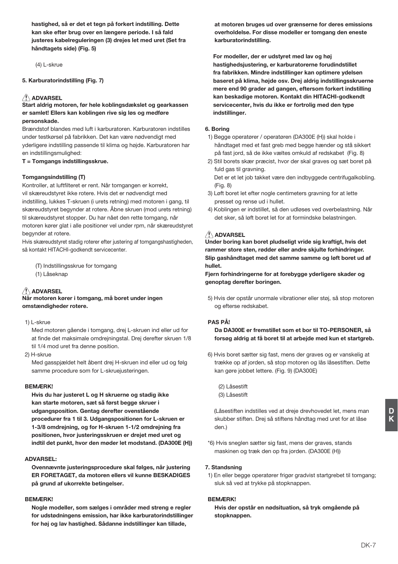hastighed, så er det et tegn på forkert indstilling. Dette kan ske efter brug over en længere periode. I så fald justeres kabelreguleringen (3) drejes let med uret (Set fra håndtagets side) (Fig. 5)

 $(4)$  | -skrue

5. Karburatorindstilling (Fig. 7)

## $\triangle$  ADVARSEL

Start aldrig motoren, før hele koblingsdækslet og gearkassen er samlet! Ellers kan koblingen rive sig løs og medføre nersonskade

Brændstof blandes med luft i karburatoren. Karburatoren indstilles under testkørsel på fabrikken. Det kan være nødvendigt med yderligere indstilling passende til klima og højde. Karburatoren har en indstillingsmulighed:

 $T =$  Tomgangs indstillingsskrue.

#### Tomgangsindstilling (T)

Kontroller, at luftfilteret er rent. Når tomgangen er korrekt, vil skæreudstyret ikke rotere. Hvis det er nødvendigt med indstilling, lukkes T-skruen (i urets retning) med motoren i gang, til skæreudstyret begynder at rotere. Åbne skruen (mod urets retning) til skæreudstyret stopper. Du har nået den rette tomgang, når motoren kører glat i alle positioner vel under rpm, når skæreudstyret begynder at rotere.

Hvis skæreudstyret stadig roterer efter justering af tomgangshastigheden, så kontakt HITACHI-godkendt servicecenter.

(T) Indstillingsskrue for tomgang

(1) Låseknap

## A ADVARSEL

Når motoren kører i tomgang, må boret under ingen omstændigheder rotere.

1) L-skrue

Med motoren gående i tomgang, drej L-skruen ind eller ud for at finde det maksimale omdrejningstal. Drej derefter skruen 1/8 til 1/4 mod uret fra denne position.

2) H-skrue

Med gasspjældet helt åbent drej H-skruen ind eller ud og følg samme procedure som for L-skruejusteringen.

#### **REMÆRKI**

Hvis du har justeret L og H skruerne og stadig ikke kan starte motoren, sæt så først begge skruer i udgangsposition. Gentag derefter ovenstående procedurer fra 1 til 3. Udgangspositionen for L-skruen er 1-3/8 omdreining, og for H-skruen 1-1/2 omdreining fra positionen, hvor justeringsskruen er drejet med uret og indtil det punkt, hvor den møder let modstand. (DA300E (H))

### **ADVARSEL:**

Ovennævnte justeringsprocedure skal følges, når justering ER FORETAGET, da motoren ellers vil kunne BESKADIGES på grund af ukorrekte betingelser.

#### **REMÆRKI**

Nogle modeller, som sælges i områder med streng e regler for udstødningens emission, har ikke karburatorindstillinger for høj og lav hastighed. Sådanne indstillinger kan tillade,

at motoren bruges ud over grænserne for deres emissions overholdelse. For disse modeller er tomgang den eneste karburatorindstilling.

For modeller, der er udstvret med lav og høj hastighedsjustering, er karburatorerne forudindstillet fra fabrikken. Mindre indstillinger kan optimere ydelsen baseret på klima, høide osv. Drei aldrig indstillingsskruerne mere end 90 grader ad gangen, eftersom forkert indstilling kan beskadige motoren. Kontakt din HITACHI-godkendt servicecenter, hvis du ikke er fortrolig med den type indstillinger.

#### 6 Boring

- 1) Begge operatører / operatøren (DA300E (H)) skal holde i håndtaget med et fast greb med begge hænder og stå sikkert på fast jord, så de ikke væltes omkuld af redskabet (Fig. 8)
- 2) Stil borets skær præcist, hvor der skal graves og sæt boret på fuld gas til gravning.

Det er et let job takket være den indbyggede centrifugalkobling.  $(Fig. 8)$ 

- 3) Løft boret let efter nogle centimeters gravning for at lette presset og rense ud i hullet.
- 4) Koblingen er indstillet, så den udløses ved overbelastning. Når det sker, så løft boret let for at formindske belastningen.

#### $\triangle$  ADVARSEL

Under boring kan boret pludseligt vride sig kraftigt, hvis det rammer store sten, rødder eller andre skiulte forhindringer. Slip gashåndtaget med det samme samme og løft boret ud af hullet

Fjern forhindringerne for at forebygge yderligere skader og genoptag derefter boringen.

5) Hvis der opstår unormale vibrationer eller støj, så stop motoren og efterse redskabet.

### **PAS PÅ!**

Da DA300E er fremstillet som et bor til TO-PERSONER, så forsøg aldrig at få boret til at arbeide med kun et startgreb.

- 6) Hvis boret sætter sig fast, mens der graves og er vanskelig at trække op af jorden, så stop motoren og lås låsestiften. Dette kan gøre jobbet lettere. (Fig. 9) (DA300E)
	- (2) Låsestift (3) Låsestift

(Låsestiften indstilles ved at dreie drevhovedet let, mens man skubber stiften. Drej så stiftens håndtag med uret for at låse den.)

\*6) Hvis sneglen sætter sig fast, mens der graves, stands maskinen og træk den op fra jorden. (DA300E (H))

#### 7. Standsning

1) En eller begge operatører frigør gradvist startgrebet til tomgang; sluk så ved at trykke på stopknappen.

#### **REMÆRKI**

Hvis der opstår en nødsituation, så tryk omgående på stopknappen.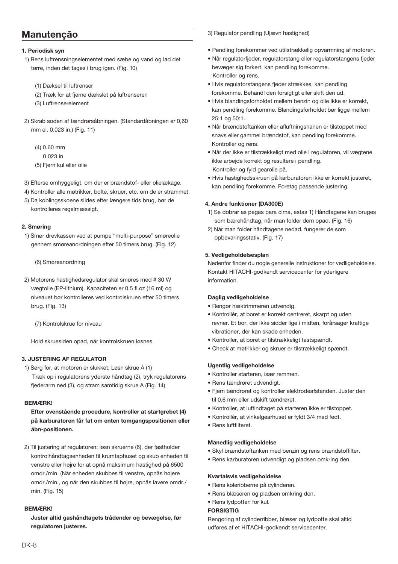## Manutenção

#### 1. Periodisk svn

- 1) Rens luftrensningselementet med sæbe og vand og lad det tørre, inden det tages i brug igen. (Fig. 10)
	- (1) Dæksel til luftrenser
	- (2) Træk for at fjerne dækslet på luftrenseren
	- (3) Luftrenserelement
- 2) Skrab soden af tændrørsåbningen. (Standardåbningen er 0.60 mm el. 0,023 in.) (Fig. 11)
	- $(4)$  0.60 mm
	- 0.023 in
	- (5) Fiern kul eller olie
- 3) Efterse omhyggeligt, om der er brændstof- eller olielækage.
- 4) Kontroller alle møtrikker, bolte, skruer, etc. om de er strammet.
- 5) Da koblingsskoene slides efter længere tids brug, bør de kontrolleres regelmæssigt.

#### 2. Smøring

1) Smør drevkassen ved at pumpe "multi-purpose" smøreolie gennem smøreanordningen efter 50 timers brug. (Fig. 12)

(6) Smøreanordning

- 2) Motorens hastighedsregulator skal smøres med #30 W vægtolie (EP-lithium). Kapaciteten er 0,5 fl.oz (16 ml) og niveauet bør kontrolleres ved kontrolskruen efter 50 timers brug. (Fig. 13)
	- (7) Kontrolskrue for niveau

Hold skruesiden opad, når kontrolskruen løsnes.

## **3. JUSTERING AF REGULATOR**

1) Sørg for, at motoren er slukket; Løsn skrue A (1) Træk op i regulatorens yderste håndtag (2), tryk regulatorens fjederarm ned (3), og stram samtidig skrue A (Fig. 14)

#### **REMÆRKI**

Efter ovenstående procedure, kontroller at startgrebet (4) på karburatoren får fat om enten tomgangspositionen eller åbn-positionen.

2) Til justering af regulatoren: løsn skruerne (6), der fastholder kontrolhåndtagsenheden til krumtaphuset og skub enheden til venstre eller højre for at opnå maksimum hastighed på 6500 omdr./min. (Når enheden skubbes til venstre, opnås højere omdr./min., og når den skubbes til højre, opnås lavere omdr./ min  $(Fia 15)$ 

### **BEM/EDKI**

Juster altid gashåndtagets trådender og bevægelse, før regulatoren justeres.

3) Regulator pendling (Uiævn hastighed)

- · Pendling forekommer ved utilstrækkelig opvarmning af motoren.
- · Når regulatorfieder, regulatorstang eller regulatorstangens fieder bevæger sig forkert, kan pendling forekomme. Kontroller og rens
- · Hyis regulatorstangens fieder strækkes, kan pendling forekomme. Behandl den forsigtigt eller skift den ud
- · Hyis blandingsforholdet mellem benzin og olie ikke er korrekt. kan pendling forekomme. Blandingsforholdet bør ligge mellem 25:1 og 50:1.
- · Når brændstoftanken eller afluftningshanen er tilstoppet med snavs eller gammel brændstof, kan pendling forekomme. Kontroller og rens.
- · Når der ikke er tilstrækkeligt med olie I regulatoren, vil vægtene ikke arbejde korrekt og resultere i pendling. Kontroller og fyld gearolie på.
- · Hvis hastighedsskruen på karburatoren ikke er korrekt justeret, kan pendling forekomme. Foretag passende justering.

#### 4. Andre funktioner (DA300E)

- 1) Se dobrar as pegas para cima, estas 1) Håndtagene kan bruges som bærehåndtag, når man folder dem opad. (Fig. 16)
- 2) Når man folder håndtagene nedad, fungerer de som opbevaringsstativ. (Fig. 17)

#### 5. Vedligeholdelsesplan

Nedenfor finder du nogle generelle instruktioner for vedligeholdelse. Kontakt HITACHI-godkendt servicecenter for yderligere information.

### Daglig vedligeholdelse

- · Rengør hæktrimmeren udvendig.
- · Kontrollér, at boret er korrekt centreret, skarpt og uden revner. Et bor, der ikke sidder lige i midten, forårsager kraftige vibrationer, der kan skade enheden.
- · Kontroller, at boret er tilstrækkeligt fastspændt.
- · Check at møtrikker og skruer er tilstrækkeligt spændt.

#### **Ugentlig vedligeholdelse**

- · Kontroller starteren, især remmen.
- · Rens tændrøret udvendigt.
- · Fjern tændrøret og kontroller elektrodeafstanden. Juster den til 0,6 mm eller udskift tændrøret.
- · Kontroller, at luftindtaget på starteren ikke er tilstoppet.
- · Kontrollér, at vinkelgearhuset er fyldt 3/4 med fedt.
- · Rens luftfilteret.

#### Månedlig vedligeholdelse

- · Skyl brændstoftanken med benzin og rens brændstoffilter.
- · Rens karburatoren udvendigt og pladsen omkring den.

### Kvartalsvis vedligeholdelse

- · Rens køleribberne på cvlinderen.
- · Rens blæseren og pladsen omkring den.
- · Rens Ivdpotten for kul.

### **FORSIGTIG**

Rengøring af cylinderribber, blæser og lydpotte skal altid udføres af et HITACHI-godkendt servicecenter.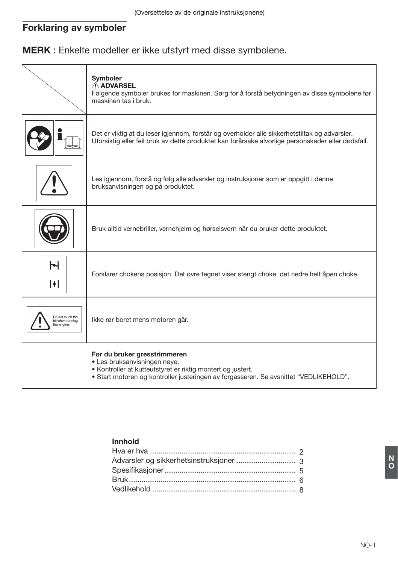## **Forklaring av symboler**

MERK : Enkelte modeller er ikke utstyrt med disse symbolene.

|                                                     | Symboler<br>A ADVARSEL<br>Følgende symboler brukes for maskinen. Sørg for å forstå betydningen av disse symbolene før<br>maskinen tas i bruk.                                                                        |
|-----------------------------------------------------|----------------------------------------------------------------------------------------------------------------------------------------------------------------------------------------------------------------------|
|                                                     | Det er viktig at du leser igjennom, forstår og overholder alle sikkerhetstiltak og advarsler.<br>Uforsiktig eller feil bruk av dette produktet kan forårsake alvorlige personskader eller dødsfall.                  |
|                                                     | Les igjennom, forstå og følg alle advarsler og instruksjoner som er oppgitt i denne<br>bruksanvisningen og på produktet.                                                                                             |
|                                                     | Bruk alltid vernebriller, vernehjelm og hørselsvern når du bruker dette produktet.                                                                                                                                   |
| ы<br>H                                              | Forklarer chokens posisjon. Det øvre tegnet viser stengt choke, det nedre helt åpen choke.                                                                                                                           |
| Do not touch the<br>bit when running<br>the engine. | Ikke rør boret mens motoren går.                                                                                                                                                                                     |
|                                                     | Før du bruker gresstrimmeren<br>· Les bruksanvisningen nøye.<br>• Kontroller at kutteutstyret er riktig montert og justert.<br>• Start motoren og kontroller justeringen av forgasseren. Se avsnittet "VEDLIKEHOLD". |

## Innhold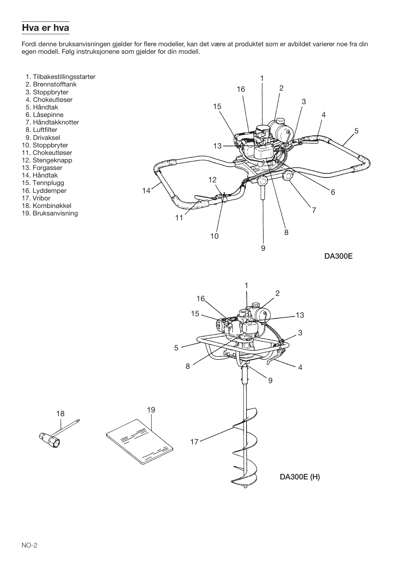## Hva er hva

Fordi denne bruksanvisningen gjelder for flere modeller, kan det være at produktet som er avbildet varierer noe fra din egen modell. Følg instruksjonene som gjelder for din modell.

- 1. Tilbakestillingsstarter
- 2. Brennstofftank
- 3. Stoppbryter
- 4. Chokeutløser
- 5. Håndtak
- 6. Låsepinne
- 7. Håndtakknotter
- 8. Luftfilter
- 9. Drivaksel
- 10. Stoppbryter
- 11. Chokeutløser
- 12. Stengeknapp
- 13. Forgasser
- 14. Håndtak
- 15. Tennplugg
- 16. Lyddemper
- 17. Vribor
- 18. Kombinøkkel
- 19. Bruksanvisning

18



**DA300E** 

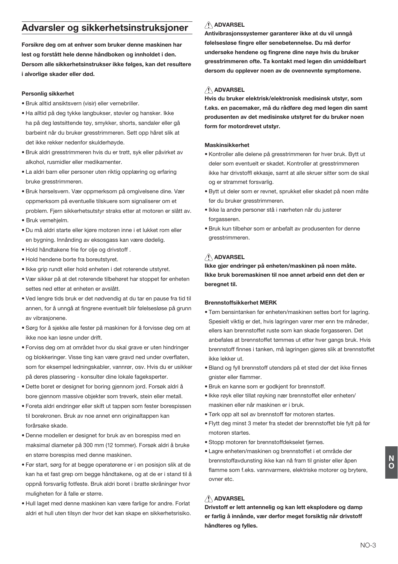## Advarsler og sikkerhetsinstruksioner

Forsikre deg om at enhver som bruker denne maskinen har lest og forstått hele denne håndboken og innholdet i den. Dersom alle sikkerhetsinstrukser ikke følges, kan det resultere i alvorlige skader eller død.

#### Personlig sikkerhet

- · Bruk alltid ansiktsvern (visir) eller vernebriller.
- · Ha alltid på deg tykke langbukser, støvler og hansker. Ikke ha på deg løstsittende tøy, smykker, shorts, sandaler eller gå barbeint når du bruker gresstrimmeren. Sett opp håret slik at det ikke rekker nedenfor skulderhøvde.
- · Bruk aldri gresstrimmeren hvis du er trøtt, syk eller påvirket av alkohol, rusmidler eller medikamenter.
- · La aldri barn eller personer uten riktig opplæring og erfaring bruke aresstrimmeren.
- · Bruk hørselsvern. Vær oppmerksom på omgivelsene dine. Vær oppmerksom på eventuelle tilskuere som signaliserer om et problem. Fjern sikkerhetsutstyr straks etter at motoren er slått av. · Bruk vernehielm.
- · Du må aldri starte eller kjøre motoren inne i et lukket rom eller en bygning. Innånding av eksosgass kan være dødelig.
- · Hold håndtakene frie for olie og drivstoff .
- · Hold hendene borte fra boreutstyret.
- · Ikke grip rundt eller hold enheten i det roterende utstyret.
- · Vær sikker på at det roterende tilbehøret har stoppet før enheten settes ned etter at enheten er avslått.
- . Ved lengre tids bruk er det nødvendig at du tar en pause fra tid til annen, for å unngå at fingrene eventuelt blir følelsesløse på grunn av vibrasionene.
- · Sørg for å sjekke alle fester på maskinen for å forvisse deg om at ikke noe kan løsne under drift.
- · Forviss deg om at området hvor du skal grave er uten hindringer og blokkeringer. Visse ting kan være gravd ned under overflaten. som for eksempel ledningskabler, vannrør, osv. Hvis du er usikker på deres plassering - konsulter dine lokale fageksperter.
- · Dette boret er designet for boring gjennom jord. Forsøk aldri å bore gjennom massive objekter som treverk, stein eller metall.
- · Foreta aldri endringer eller skift ut tappen som fester borespissen til borekronen. Bruk av noe annet enn originaltappen kan forårsake skade.
- · Denne modellen er designet for bruk av en borespiss med en maksimal diameter på 300 mm (12 tommer). Forsøk aldri å bruke en større borespiss med denne maskinen.
- · Før start, sørg for at begge operatørene er i en posisjon slik at de kan ha et fast grep om begge håndtakene, og at de er i stand til å oppnå forsvarlig fotfeste. Bruk aldri boret i bratte skråninger hvor muligheten for å falle er større.
- · Hull laget med denne maskinen kan være farlige for andre. Forlat aldri et hull uten tilsyn der hvor det kan skape en sikkerhetsrisiko.

## **ADVARSEL**

Antivibrasionssystemer garanterer ikke at du vil unngå følelsesløse fingre eller senebetennelse. Du må derfor undersøke hendene og fingrene dine nøye hvis du bruker gresstrimmeren ofte. Ta kontakt med legen din umiddelbart dersom du opplever noen av de ovennevnte symptomene.

### $\bigwedge$  ADVARSEL

Hvis du bruker elektrisk/elektronisk medisinsk utstyr, som f.eks. en pacemaker, må du rådføre deg med legen din samt produsenten av det medisinske utstyret før du bruker noen form for motordrevet utstvr.

#### Maskinsikkerhet

- · Kontroller alle delene på gresstrimmeren før hver bruk. Bytt ut deler som eventuelt er skadet. Kontroller at gresstrimmeren ikke har drivstoffl ekkasje, samt at alle skruer sitter som de skal og er strammet forsvarlig.
- · Bytt ut deler som er revnet, sprukket eller skadet på noen måte før du bruker aresstrimmeren.
- · Ikke la andre personer stå i nærheten når du justerer forgasseren.
- · Bruk kun tilbehør som er anbefalt av produsenten for denne aresstrimmeren.

### A ADVARSEL

Ikke gjør endringer på enheten/maskinen på noen måte. Ikke bruk boremaskinen til noe annet arbeid enn det den er beregnet til.

#### **Brennstoffsikkerhet MERK**

- . Tøm bensintanken før enheten/maskinen settes bort for lagring. Spesielt viktig er det, hvis lagringen varer mer enn tre måneder. ellers kan brennstoffet ruste som kan skade forgasseren. Det anbefales at brennstoffet tømmes ut etter hver gangs bruk. Hvis brennstoff finnes i tanken, må lagringen gjøres slik at brennstoffet ikke lekker ut.
- · Bland og fyll brennstoff utendørs på et sted der det ikke finnes qnister eller flammer.
- · Bruk en kanne som er godkjent for brennstoff.
- · Ikke røyk eller tillat røyking nær brennstoffet eller enheten/ maskinen eller når maskinen er i bruk.
- . Tørk opp alt søl av brennstoff før motoren startes.
- · Flytt deg minst 3 meter fra stedet der brennstoffet ble fylt på før motoren startes.
- · Stopp motoren før brennstoffdekselet fiernes.
- · Lagre enheten/maskinen og brennstoffet i et område der brennstoffavdunsting ikke kan nå fram til gnister eller åpen flamme som f.eks. vannvarmere, elektriske motorer og brytere. ovner etc.

## ADVARSEL

Drivstoff er lett antennelig og kan lett eksplodere og damp er farlig å innånde, vær derfor meget forsiktig når drivstoff håndteres og fylles.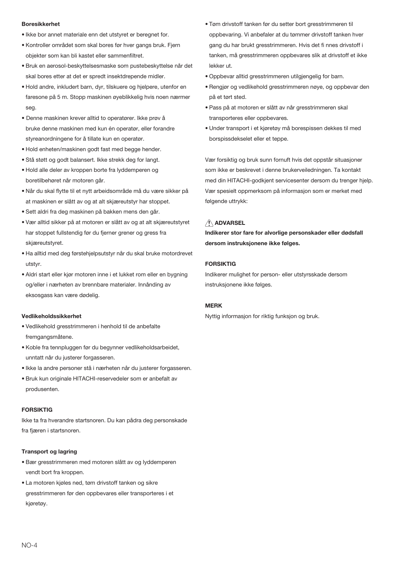#### **Roresikkerhet**

- · Ikke bor annet materiale enn det utstyret er beregnet for.
- · Kontroller området som skal bores før hver gangs bruk. Fiern objekter som kan bli kastet eller sammenfiltret.
- · Bruk en aerosol-beskyttelsesmaske som pustebeskyttelse når det skal bores etter at det er spredt insektdrepende midler.
- · Hold andre, inkludert barn, dyr, tilskuere og hjelpere, utenfor en faresone på 5 m. Stopp maskinen øyeblikkelig hvis noen nærmer  $s$ eg
- · Denne maskinen krever alltid to operatører. Ikke prøv å bruke denne maskinen med kun én operatør, eller forandre styreanordningene for å tillate kun en operatør.
- . Hold enheten/maskinen godt fast med begge hender.
- · Stå støtt og godt balansert. Ikke strekk deg for langt.
- · Hold alle deler av kroppen borte fra lyddemperen og boretilbehøret når motoren går.
- · Når du skal flytte til et nytt arbeidsområde må du være sikker på at maskinen er slått av og at alt skiæreutstyr har stoppet.
- · Sett aldri fra deg maskinen på bakken mens den går.
- · Vær alltid sikker på at motoren er slått av og at alt skiæreutstyret har stoppet fullstendig før du fierner grener og gress fra skjæreutstyret.
- · Ha alltid med deg førstehjelpsutstyr når du skal bruke motordrevet utetyr
- · Aldri start eller kjør motoren inne i et lukket rom eller en bygning og/eller i nærheten av brennbare materialer. Innånding av eksosgass kan være dødelig.

### Vedlikeholdssikkerhet

- . Vedlikehold gresstrimmeren i henhold til de anbefalte fremgangsmåtene.
- · Koble fra tennpluggen før du begynner vedlikeholdsarbeidet, unntatt når du justerer forgasseren.
- · Ikke la andre personer stå i nærheten når du justerer forgasseren.
- · Bruk kun originale HITACHI-reservedeler som er anbefalt av produsenten.

#### **FORSIKTIG**

Ikke ta fra hverandre startsnoren. Du kan pådra deg personskade fra fjæren i startsnoren.

#### **Transport og lagring**

- · Bær gresstrimmeren med motoren slått av og lyddemperen vendt bort fra kroppen.
- · La motoren kjøles ned, tøm drivstoff tanken og sikre gresstrimmeren før den oppbevares eller transporteres i et kjøretøy.
- · Tøm drivstoff tanken før du setter bort gresstrimmeren til oppbevaring. Vi anbefaler at du tømmer drivstoff tanken hver gang du har brukt gresstrimmeren. Hvis det fi nnes drivstoff i tanken, må gresstrimmeren oppbevares slik at drivstoff et ikke lekker ut
- · Oppbevar alltid gresstrimmeren utilgiengelig for barn.
- · Rengjør og vedlikehold gresstrimmeren nøye, og oppbevar den på et tørt sted.
- .<br>• Pass på at motoren er slått av når gresstrimmeren skal transporteres eller oppbevares.
- · Under transport i et kjøretøy må borespissen dekkes til med borspissdekselet eller et teppe.

Vær forsiktig og bruk sunn fornuft hvis det oppstår situasioner som ikke er beskrevet i denne brukerveiledningen. Ta kontakt med din HITACHI-godkjent servicesenter dersom du trenger hjelp. Vær spesielt oppmerksom på informasjon som er merket med følgende uttrykk:

## A ADVARSEL

Indikerer stor fare for alvorlige personskader eller dødsfall dersom instruksjonene ikke følges.

### **FORSIKTIG**

Indikerer mulighet for person- eller utstyrsskade dersom instruksjonene ikke følges.

### **MFRK**

Nyttig informasjon for riktig funksjon og bruk.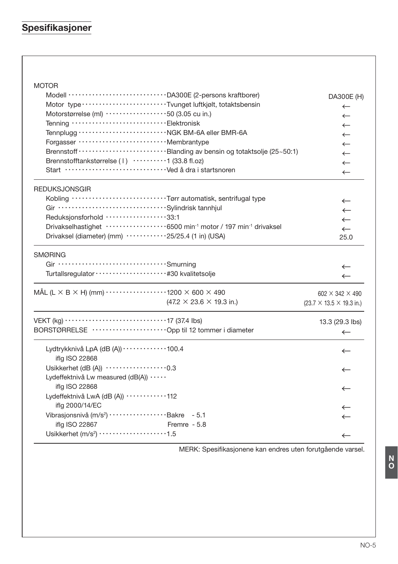# Spesifikasjoner

## **MOTOR**

| Motor type ··························Tvunget luftkjølt, totaktsbensin<br>Motorstørrelse (ml) ···················50 (3.05 cu in.)<br>Forgasser ································ Membrantype<br>Brennstofftankstørrelse (1) ··········1 (33.8 fl.oz)                                                  | DA300E (H)<br>$\leftarrow$<br>$\leftarrow$<br>$\leftarrow$<br>$\leftarrow$<br>$\leftarrow$<br>$\leftarrow$<br>$\leftarrow$ |
|-----------------------------------------------------------------------------------------------------------------------------------------------------------------------------------------------------------------------------------------------------------------------------------------------------|----------------------------------------------------------------------------------------------------------------------------|
| <b>REDUKSJONSGIR</b><br>Kobling Tørr automatisk, sentrifugal type<br>Reduksjonsforhold ··················33:1<br>Drivakselhastighet ·················6500 min <sup>-1</sup> motor / 197 min <sup>-1</sup> drivaksel<br>Drivaksel (diameter) (mm) $\cdots \cdots \cdots \cdots 25/25.4$ (1 in) (USA) | $\leftarrow$<br>$\leftarrow$<br>$\leftarrow$<br>$\leftarrow$<br>$\leftarrow$<br>25.0                                       |
| <b>SMØRING</b>                                                                                                                                                                                                                                                                                      | $\leftarrow$<br>$\leftarrow$                                                                                               |
| MÅL (L $\times$ B $\times$ H) (mm) $\cdots$ $\cdots$ $\cdots$ $\cdots$ $\cdots$ 1200 $\times$ 600 $\times$ 490<br>$(47.2 \times 23.6 \times 19.3 \text{ in.})$                                                                                                                                      | 602 $\times$ 342 $\times$ 490<br>$(23.7 \times 13.5 \times 19.3 \text{ in.})$                                              |
| BORSTØRRELSE ·························Opp til 12 tommer i diameter                                                                                                                                                                                                                                  | 13.3 (29.3 lbs)<br>$\leftarrow$                                                                                            |
| Lydtrykknivå LpA (dB (A)) ············100.4<br>iflg ISO 22868                                                                                                                                                                                                                                       | $\leftarrow$                                                                                                               |
| Usikkerhet (dB (A)) ··················0.3<br>Lydeffektnivå Lw measured (dB(A))<br>iflg ISO 22868                                                                                                                                                                                                    | $\leftarrow$<br>$\leftarrow$                                                                                               |
| Lydeffektnivå LwA (dB (A)) ···········112                                                                                                                                                                                                                                                           |                                                                                                                            |
| iflg 2000/14/EC<br>Vibrasjonsnivå (m/s <sup>2</sup> ) ····················Bakre - 5.1<br>iflg ISO 22867<br>Fremre - 5.8<br>Usikkerhet $(m/s2)$ 1.5                                                                                                                                                  | $\leftarrow$<br>$\leftarrow$                                                                                               |
|                                                                                                                                                                                                                                                                                                     | $\leftarrow$                                                                                                               |

MERK: Spesifikasjonene kan endres uten forutgående varsel.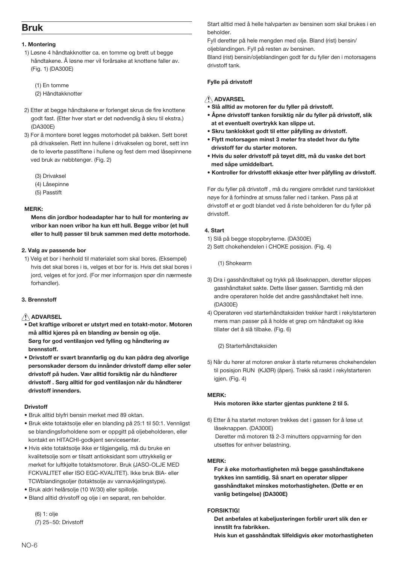## **Rruk**

#### 1. Montering

- 1) Løsne 4 håndtakknotter ca. en tomme og brett ut begge håndtakene. Å løsne mer vil forårsake at knottene faller av (Fig. 1) (DA300E)
	- (1) En tomme
	- (2) Håndtakknotter
- 2) Etter at begge håndtakene er forlenget skrus de fire knottene godt fast. (Etter hver start er det nødvendig å skru til ekstra.) (DA300E)
- 3) For å montere boret legges motorhodet på bakken. Sett boret på drivakselen. Rett inn hullene i drivakselen og boret, sett inn de to leverte passtiftene i hullene og fest dem med låsepinnene ved bruk av nebbtenger. (Fig. 2)
	- (3) Drivaksel
	- (4) Låsepinne
	- (5) Passtift

#### MERK:

Mens din jordbor hodeadapter har to hull for montering av vribor kan noen vribor ha kun ett hull. Begge vribor (et hull eller to hull) passer til bruk sammen med dette motorhode.

#### 2. Valg av passende bor

1) Velg et bor i henhold til materialet som skal bores. (Eksempel) hvis det skal bores i is, velges et bor for is. Hvis det skal bores i jord, velges et for jord. (For mer informasjon spør din nærmeste forhandler).

#### 3 Brennstoff

#### A ADVARSEL

- · Det kraftige vriboret er utstyrt med en totakt-motor. Motoren må alltid kjøres på en blanding av bensin og olie. Sørg for god ventilasjon ved fylling og håndtering av brennstoff.
- · Drivstoff er svært brannfarlig og du kan pådra deg alvorlige personskader dersom du innånder drivstoff damp eller søler drivstoff på huden. Vær alltid forsiktig når du håndterer drivstoff . Sørg alltid for god ventilasjon når du håndterer drivstoff innendørs.

#### Drivetoff

- · Bruk alltid blyfri bensin merket med 89 oktan.
- · Bruk ekte totaktsolje eller en blanding på 25:1 til 50:1. Vennligst se blandingsforholdene som er oppgitt på oljebeholderen, eller kontakt en HITACHI-godkient servicesenter.
- · Hvis ekte totaktsolje ikke er tilgjengelig, må du bruke en kvalitetsolie som er tilsatt antioksidant som uttrykkelig er merket for luftkiølte totaktsmotorer. Bruk (JASO-OLJE MED FCKVALITET eller ISO EGC-KVALITET). Ikke bruk BIA- eller TCWblandingsolier (totaktsolie av vannavkiølingstype).
- · Bruk aldri helårsolje (10 W/30) eller spillolje.
- · Bland alltid drivstoff og olje i en separat, ren beholder.

(6) 1: olje (7) 25~50: Drivstoff Start alltid med å helle halvparten av bensinen som skal brukes i en heholder

Fyll deretter på hele mengden med olje. Bland (rist) bensin/ olieblandingen. Fyll på resten av bensinen.

Bland (rist) bensin/olieblandingen godt før du fyller den i motorsagens drivstoff tank.

#### Fylle på drivstoff

## A ADVARSEL

- .<br>• Slå alltid av motoren før du fyller på drivstoff.
- Åpne drivstoff tanken forsiktig når du fyller på drivstoff, slik at et eventuelt overtrykk kan slippe ut.
- · Skru tanklokket godt til etter påfylling av drivstoff.
- · Flytt motorsagen minst 3 meter fra stedet hvor du fylte drivstoff før du starter motoren.
- · Hvis du søler drivstoff på tøvet ditt, må du vaske det bort med såne umiddelhart
- Kontroller for drivstoffl ekkasje etter hver påfylling av drivstoff.

Før du fyller på drivstoff, må du rengjøre området rund tanklokket nøye for å forhindre at smuss faller ned i tanken. Pass på at drivstoff et er godt blandet ved å riste beholderen før du fyller på drivetoff

#### 4 Start

- 1) Slå på begge stoppbryterne. (DA300E)
- 2) Sett chokehendelen i CHOKE posision. (Fig. 4)

(1) Shokearm

- 3) Dra i gasshåndtaket og trykk på låseknappen, deretter slippes gasshåndtaket sakte. Dette låser gassen. Samtidig må den andre operatøren holde det andre gasshåndtaket helt inne. (DA300E)
- 4) Operatøren ved starterhåndtaksiden trekker hardt i rekylstarteren mens man passer på å holde et grep om håndtaket og ikke tillater det å slå tilbake. (Fig. 6)
	- (2) Starterhåndtaksiden
- 5) Når du hører at motoren ønsker å starte returneres chokehendelen til posisjon RUN (KJØR) (åpen). Trekk så raskt i rekylstarteren igjen. (Fig. 4)

#### MERK:

#### Hvis motoren ikke starter gjentas punktene 2 til 5.

6) Etter å ha startet motoren trekkes det i gassen for å løse ut låseknappen. (DA300E) Deretter må motoren få 2-3 minutters oppvarming før den utsettes for enhver belastning.

#### MFRK-

For å øke motorhastigheten må begge gasshåndtakene trykkes inn samtidig. Så snart en operatør slipper gasshåndtaket minskes motorhastigheten. (Dette er en vanlig betingelse) (DA300E)

#### EODCIVTICI

Det anbefales at kabeliusteringen forblir urørt slik den er innstilt fra fabrikken.

Hvis kun et gasshåndtak tilfeldigvis øker motorhastigheten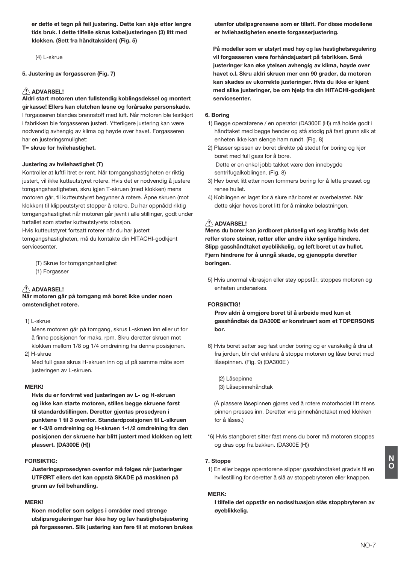er dette et tegn på feil justering. Dette kan skje etter lengre tids bruk. I dette tilfelle skrus kabeljusteringen (3) litt med klokken. (Sett fra håndtaksiden) (Fig. 5)

 $(4)$  I -skrue

#### 5. Justering av forgasseren (Fig. 7)

## AN ADVARSEL!

\_\_<br>Aldri start motoren uten fullstendig koblingsdeksel og montert girkasse! Ellers kan clutchen løsne og forårsake personskade.

I forgasseren blandes brennstoff med luft. Når motoren ble testkjørt i fabrikken ble forgasseren justert. Ytterligere justering kan være nødvendig avhengig av klima og høyde over havet. Forgasseren har en justeringsmulighet: T= skrue for hvilehastighet.

### Justering av hvilehastighet (T)

Kontroller at luftfi Itret er rent. Når tomgangshastigheten er riktig justert, vil ikke kutteutstyret rotere. Hvis det er nødvendig å justere tomgangshastigheten, skru igjen T-skruen (med klokken) mens motoren går, til kutteutstyret begynner å rotere. Åpne skruen (mot klokken) til klippeutstyret stopper å rotere. Du har oppnådd riktig tomgangshastighet når motoren går jevnt i alle stillinger, godt under turtallet som starter kutteutstyrets rotasion.

Hvis kutteutstyret fortsatt roterer når du har justert

tomgangshastigheten, må du kontakte din HITACHI-godkjent servicesenter

(T) Skrue for tomgangshastighet

(1) Forgasser

## **ADVARSEL!**

Når motoren går på tomgang må boret ikke under noen omstendighet rotere.

1) L-skrue

Mens motoren går på tomgang, skrus L-skruen inn eller ut for å finne posisjonen for maks. rpm. Skru deretter skruen mot klokken mellom 1/8 og 1/4 omdreining fra denne posisjonen. 2) H-skrue

Med full gass skrus H-skruen inn og ut på samme måte som justeringen av L-skruen.

#### **MERK!**

Hvis du er forvirret ved justeringen av L- og H-skruen og ikke kan starte motoren, stilles begge skruene først til standardstillingen. Deretter gientas prosedvren i punktene 1 til 3 ovenfor. Standardposisjonen til L-slkruen er 1-3/8 omdreining og H-skruen 1-1/2 omdreining fra den posisionen der skruene har blitt justert med klokken og lett plassert. (DA300E (H))

#### **FORSIKTIG:**

Justeringsprosedvren ovenfor må følges når justeringer UTFØRT ellers det kan oppstå SKADE på maskinen på grunn av feil behandling.

## **MERK!**

Noen modeller som selges i områder med strenge utslipsreguleringer har ikke høv og lav hastighetsjustering på forgasseren. Slik justering kan føre til at motoren brukes utenfor utslipsgrensene som er tillatt. For disse modellene er hvilehastigheten eneste forgasserjustering.

På modeller som er utstyrt med høy og lav hastighetsregulering vil forgasseren være forhåndsjustert på fabrikken. Små justeringer kan øke ytelsen avhengig av klima, høyde over havet o.l. Skru aldri skruen mer enn 90 grader, da motoren kan skades av ukorrekte justeringer. Hvis du ikke er kjent med slike justeringer, be om hjelp fra din HITACHI-godkjent servicesenter.

#### 6. Borina

- 1) Begge operatørene / en operatør (DA300E (H)) må holde godt i håndtaket med begge hender og stå stødig på fast grunn slik at enheten ikke kan slenge ham rundt. (Fig. 8)
- 2) Plasser spissen av boret direkte på stedet for boring og kjør boret med full gass for å bore. Dette er en enkel jobb takket være den innebygde sentrifugalkoblingen. (Fig. 8)
- 3) Hev boret litt etter noen tommers boring for å lette presset og tense hullet
- 4) Koblingen er laget for å slure når boret er overbelastet. Når dette skjer heves boret litt for å minske belastningen.

#### A ADVARSEL!

Mens du borer kan jordboret plutselig vri seg kraftig hvis det reffer store steiner, røtter eller andre ikke synlige hindere. Slipp gasshåndtaket øveblikkelig, og løft boret ut av hullet. Fjern hindrene for å unngå skade, og gjenoppta deretter boringen.

5) Hvis unormal vibrasjon eller støy oppstår, stoppes motoren og enheten undersøkes

#### **FORSIKTIG!**

Prøy aldri å omgjøre boret til å arbeide med kun et gasshåndtak da DA300E er konstruert som et TOPERSONS hor

6) Hvis boret setter seg fast under boring og er vanskelig å dra ut fra jorden, blir det enklere å stoppe motoren og låse boret med låsepinnen. (Fig. 9) (DA300E)

(2) Låsepinne (3) Låsepinnehåndtak

(Å plassere låsepinnen gjøres ved å rotere motorhodet litt mens pinnen presses inn. Deretter vris pinnehåndtaket med klokken for å låses.)

\*6) Hyis stangboret sitter fast mens du borer må motoren stoppes og dras opp fra bakken. (DA300E (H))

#### 7 Stoppe

1) En eller begge operatørene slipper gasshåndtaket gradvis til en hvilestilling for deretter å slå av stoppebryteren eller knappen.

#### MERK:

I tilfelle det oppstår en nødssituasjon slås stoppbryteren av øyeblikkelig.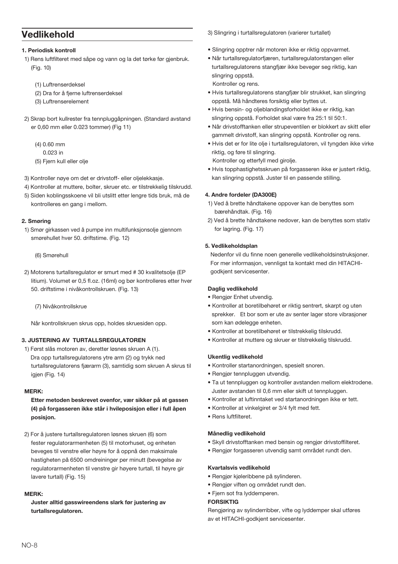## Vedlikehold

1. Periodisk kontroll

- 1) Rens luftfilteret med såpe og vann og la det tørke før gjenbruk. (Fig. 10)
	- (1) Luftrenserdeksel
	- (2) Dra for å fjerne luftrenserdeksel
	- (3) Luftrenserelement
- 2) Skrap bort kullrester fra tennpluggåpningen. (Standard avstand er 0,60 mm eller 0.023 tommer) (Fig 11)
	- $(4)$  0.60 mm
	- $0.023$  in
	- (5) Fjern kull eller olje
- 3) Kontroller nøye om det er drivstoff- eller oljelekkasje.
- 4) Kontroller at muttere, bolter, skruer etc. er tilstrekkelig tilskrudd.
- 5) Siden koblingsskoene vil bli utslitt etter lengre tids bruk, må de kontrolleres en gang i mellom.

#### 2. Smøring

- 1) Smør girkassen ved å pumpe inn multifunksjonsolie gjennom smørehullet hver 50. driftstime. (Fig. 12)
	- (6) Smørehull
- 2) Motorens turtallsregulator er smurt med # 30 kvalitetsolje (EP litium). Volumet er 0.5 fl.oz. (16ml) og bør kontrolleres etter hver 50. driftstime i nivåkontrollskruen. (Fig. 13)
	- (7) Nivåkontrollskrue

Når kontrollskruen skrus opp, holdes skruesiden opp.

#### 3. JUSTERING AV TURTALLSREGULATOREN

1) Først slås motoren av, deretter løsnes skruen A (1). Dra opp turtallsregulatorens vtre arm (2) og trykk ned turtallsregulatorens fjærarm (3), samtidig som skruen A skrus til igjen (Fig. 14)

#### MFRK:

### Etter metoden beskrevet ovenfor, vær sikker på at gassen (4) på forgasseren ikke står i hvileposisjon eller i full åpen posisjon.

2) For å justere turtallsregulatoren løsnes skruen (6) som fester regulatorarmenheten (5) til motorhuset, og enheten beveges til venstre eller høyre for å oppnå den maksimale hastigheten på 6500 omdreininger per minutt (bevegelse av regulatorarmenheten til venstre gir høyere turtall til høyre gir lavere turtall) (Fig. 15)

#### MEDY.

Juster alltid gasswireendens slark før justering av turtallsregulatoren.

3) Slingring i turtallsregulatoren (varierer turtallet)

- · Slingring opptrer når motoren ikke er riktig oppvarmet.
- · Når turtallsregulatorfjæren, turtallsregulatorstangen eller turtallsregulatorens stangfjær ikke beveger seg riktig, kan slingring oppstå.

Kontroller og rens.

- · Hyis turtallsregulatorens stangfjær blir strukket, kan slingring oppstå. Må håndteres forsiktig eller byttes ut.
- · Hvis bensin- og oljeblandingsforholdet ikke er riktig, kan slingring oppstå. Forholdet skal være fra 25:1 til 50:1.
- · Når drivstofftanken eller strupeventilen er blokkert av skitt eller gammelt drivstoff, kan slingring oppstå. Kontroller og rens.
- · Hvis det er for lite olje i turtallsregulatoren, vil tyngden ikke virke riktig, og føre til slingring.

Kontroller og etterfyll med girolje.

· Hvis topphastighetsskruen på forgasseren ikke er justert riktig, kan slingring oppstå. Juster til en passende stilling.

#### 4. Andre fordeler (DA300E)

- 1) Ved å brette håndtakene oppover kan de benyttes som bærehåndtak. (Fig. 16)
- 2) Ved å brette håndtakene nedover, kan de benyttes som stativ for lagring. (Fig. 17)

#### 5. Vedlikeholdsplan

Nedenfor vil du finne noen generelle vedlikeholdsinstruksjoner. For mer informasjon, vennligst ta kontakt med din HITACHIgodkjent servicesenter.

#### Daglig vedlikehold

- · Rengjør Enhet utvendig.
- · Kontroller at boretilbehøret er riktig sentrert, skarpt og uten sprekker. Et bor som er ute av senter lager store vibrasjoner som kan ødelegge enheten.
- · Kontroller at boretilbehøret er tilstrekkelig tilskrudd.
- · Kontroller at muttere og skruer er tilstrekkelig tilskrudd.

#### **Ukentlig vedlikehold**

- · Kontroller startanordningen, spesielt snoren.
- · Rengjør tennpluggen utvendig.
- . Ta ut tennpluggen og kontroller avstanden mellom elektrodene. Juster avstanden til 0,6 mm eller skift ut tennpluggen.
- . Kontroller at luftinntaket ved startanordningen ikke er tett.
- · Kontroller at vinkelgiret er 3/4 fylt med fett.
- · Rone Juftfiltorot

#### Månedlig vedlikehold

- · Skyll drivstofftanken med bensin og rengjør drivstoffilteret.
- · Rengiør forgasseren utvendig samt området rundt den.

#### Kvartalevis vedlikehold

- · Rengjør kjøleribbene på sylinderen.
- · Rengiør viften og området rundt den.
- · Fjern sot fra lyddemperen.

### **FORSIKTIG**

Rengjøring av sylinderribber, vifte og lyddemper skal utføres av et HITACHI-godkient servicesenter.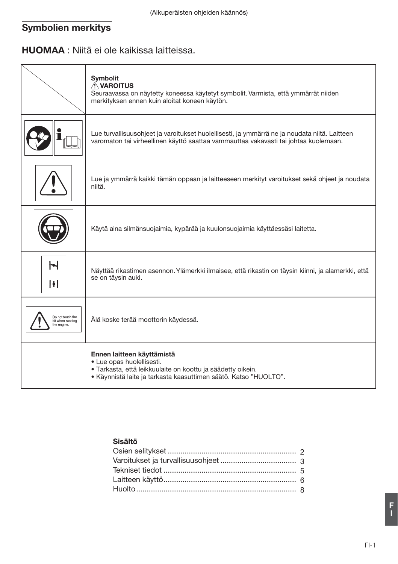# Symbolien merkitys

# **HUOMAA** : Niitä ei ole kaikissa laitteissa.

|                                                    | <b>Symbolit</b><br><b>AVAROITUS</b><br>Seuraavassa on näytetty koneessa käytetyt symbolit. Varmista, että ymmärrät niiden<br>merkityksen ennen kuin aloitat koneen käytön.                 |
|----------------------------------------------------|--------------------------------------------------------------------------------------------------------------------------------------------------------------------------------------------|
|                                                    | Lue turvallisuusohjeet ja varoitukset huolellisesti, ja ymmärrä ne ja noudata niitä. Laitteen<br>varomaton tai virheellinen käyttö saattaa vammauttaa vakavasti tai johtaa kuolemaan.      |
|                                                    | Lue ja ymmärrä kaikki tämän oppaan ja laitteeseen merkityt varoitukset sekä ohjeet ja noudata<br>niitä.                                                                                    |
|                                                    | Käytä aina silmänsuojaimia, kypärää ja kuulonsuojaimia käyttäessäsi laitetta.                                                                                                              |
| $\blacktriangleright$<br>H                         | Näyttää rikastimen asennon. Ylämerkki ilmaisee, että rikastin on täysin kiinni, ja alamerkki, että<br>se on täysin auki.                                                                   |
| Do not touch the<br>bit when running<br>he engine. | Älä koske terää moottorin käydessä.                                                                                                                                                        |
|                                                    | Ennen laitteen käyttämistä<br>· Lue opas huolellisesti.<br>· Tarkasta, että leikkuulaite on koottu ja säädetty oikein.<br>· Käynnistä laite ja tarkasta kaasuttimen säätö. Katso "HUOLTO". |

## Sisältö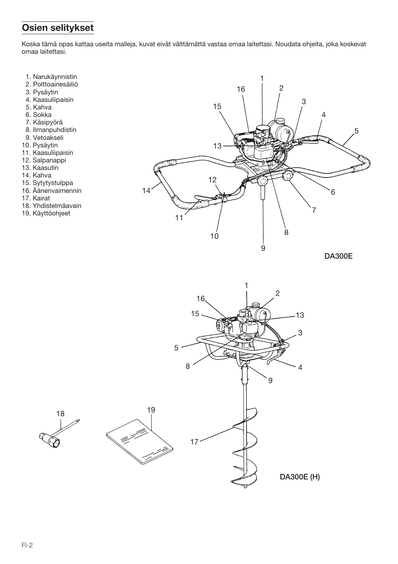## Osien selitykset

Koska tämä opas kattaa useita malleja, kuvat eivät välttämättä vastaa omaa laitettasi. Noudata ohjeita, joka koskevat omaa laitettasi.

- 1. Narukäynnistin<br>2. Polttoainesäiliö
- 
- 3. Pysäytin
- 4. Kaasuliipaisin
- 5. Kahva
- 6. Sokka
- 7. Käsipyörä
- 8. Ilmanpuhdistin
- 9. Vetoakseli
- 10. Pysäytin
- 11. Kaasuliipaisin
- 12. Salpanappi
- 13. Kaasutin
- 14. Kahva
- 15. Sytytystulppa
- 16. Äänenvaimennin
- 17. Kairat
- 18. Yhdistelmäavain

18

19. Käyttöohjeet



**DA300E** 

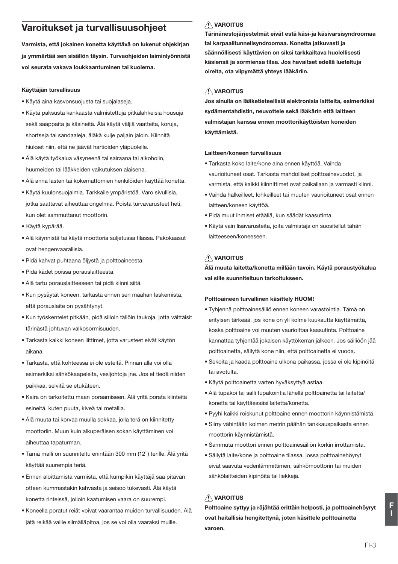## Varoitukset ja turvallisuusohieet

Varmista, että jokainen konetta käyttävä on lukenut ohjekirjan ja ymmärtää sen sisällön täysin. Turvaohjeiden laiminlyönnistä voi seurata vakava loukkaantuminen tai kuolema.

#### Käyttäjän turvallisuus

- · Käytä aina kasvonsuojusta tai suojalaseja.
- · Käytä paksusta kankaasta valmistettuja pitkälahkeisia housuja sekä saappaita ja käsineitä. Älä käytä väljiä vaatteita, koruja, shortseja tai sandaaleja, äläkä kulje paljain jaloin. Kiinnitä hiukset niin, että ne jäävät hartioiden yläpuolelle.
- · Älä käytä työkalua väsyneenä tai sairaana tai alkoholin, huumeiden tai lääkkeiden vaikutuksen alaisena.
- · Älä anna lasten tai kokemattomien henkilöiden käyttää konetta.
- · Käytä kuulonsuojaimia. Tarkkaile ympäristöä. Varo sivullisia, jotka saattavat aiheuttaa ongelmia. Poista turvavarusteet heti, kun olet sammuttanut moottorin.
- · Käytä kypärää.
- · Älä käynnistä tai käytä moottoria suljetussa tilassa. Pakokaasut ovat hengenvaarallisia.
- · Pidä kahvat puhtaana öljystä ja polttoaineesta.
- · Pidä kädet poissa porauslaitteesta.
- · Älä tartu porauslaitteeseen tai pidä kiinni siitä.
- · Kun pysäytät koneen, tarkasta ennen sen maahan laskemista, että porauslaite on pysähtynyt.
- · Kun työskentelet pitkään, pidä silloin tällöin taukoja, jotta välttäisit tärinästä johtuvan valkosormisuuden.
- · Tarkasta kaikki koneen liittimet, jotta varusteet eivät käytön aikana
- · Tarkasta, että kohteessa ei ole esteitä. Pinnan alla voi olla esimerkiksi sähkökaapeleita, vesijohtoja jne. Jos et tiedä niiden paikkaa, selvitä se etukäteen.
- · Kaira on tarkoitettu maan poraamiseen. Älä yritä porata kiinteitä esineitä, kuten puuta, kiveä tai metallia.
- · Älä muuta tai korvaa muulla sokkaa, jolla terä on kiinnitetty moottoriin. Muun kuin alkuperäisen sokan käyttäminen voi aiheuttaa tapaturman.
- · Tämä malli on suunniteltu enintään 300 mm (12") terille. Älä yritä käyttää suurempia teriä.
- · Ennen aloittamista varmista, että kumpikin käyttäjä saa pitävän otteen kummastakin kahvasta ja seisoo tukevasti. Älä käytä konetta rinteissä, jolloin kaatumisen vaara on suurempi.
- · Koneella poratut reiät voivat vaarantaa muiden turvallisuuden. Älä jätä reikää vaille silmälläpitoa, jos se voi olla vaaraksi muille.

## **NAROITUS**

Tärinänestojärjestelmät eivät estä käsi-ja käsivarsisyndroomaa tai karpaalitunnelisyndroomaa. Konetta jatkuvasti ja säännöllisesti käyttävien on siksi tarkkailtava huolellisesti käsiensä ja sormiensa tilaa. Jos havaitset edellä lueteltuja oireita, ota viipymättä yhteys lääkäriin.

## **NAROITUS**

Jos sinulla on lääketieteellisiä elektronisia laitteita, esimerkiksi sydämentahdistin, neuvottele sekä lääkärin että laitteen valmistaian kanssa ennen moottorikäyttöisten koneiden kävttämistä.

#### Laitteen/koneen turvallisuus

- · Tarkasta koko laite/kone aina ennen käyttöä. Vaihda vaurioituneet osat. Tarkasta mahdolliset polttoainevuodot, ja varmista, että kaikki kiinnittimet ovat paikallaan ja varmasti kiinni.
- · Vaihda halkeilleet, lohkeilleet tai muuten vaurioituneet osat ennen laitteen/koneen käyttöä.
- · Pidä muut ihmiset etäällä, kun säädät kaasutinta.
- · Käytä vain lisävarusteita, joita valmistaja on suositellut tähän laitteeseen/koneeseen.

## **NVAROITUS**

Älä muuta laitetta/konetta millään tavoin. Käytä poraustyökalua vai sille suunniteltuun tarkoitukseen.

#### Polttoaineen turvallinen käsittely HUOM!

- · Tyhjennä polttoainesäiliö ennen koneen varastointia. Tämä on eritvisen tärkeää, jos kone on yli kolme kuukautta käyttämättä. koska polttoaine voi muuten vaurioittaa kaasutinta. Polttoaine kannattaa tyhjentää jokaisen käyttökerran jälkeen. Jos säiliöön jää polttoainetta, säilytä kone niin, että polttoainetta ei vuoda.
- · Sekoita ja kaada polttoaine ulkona paikassa, jossa ei ole kipinöitä tai avotulta
- · Käytä polttoainetta varten hyväksyttyä astiaa.
- · Älä tupakoi tai salli tupakointia lähellä polttoainetta tai laitetta/ konetta tai käyttäessäsi laitetta/konetta.
- · Pyyhi kaikki roiskunut polttoaine ennen moottorin käynnistämistä.
- · Siirry vähintään kolmen metrin päähän tankkauspaikasta ennen moottorin käynnistämistä.
- · Sammuta moottori ennen polttoainesäiliön korkin irrottamista.
- · Säilytä laite/kone ja polttoaine tilassa, jossa polttoainehöyryt eivät saavuta vedenlämmittimen, sähkömoottorin tai muiden sähkölaitteiden kipinöitä tai liekkejä.

## **N** VAROITUS

Polttoaine syttyy ja räjähtää erittäin helposti, ja polttoainehöyryt ovat haitallisia hengitettynä, joten käsittele polttoainetta varoen.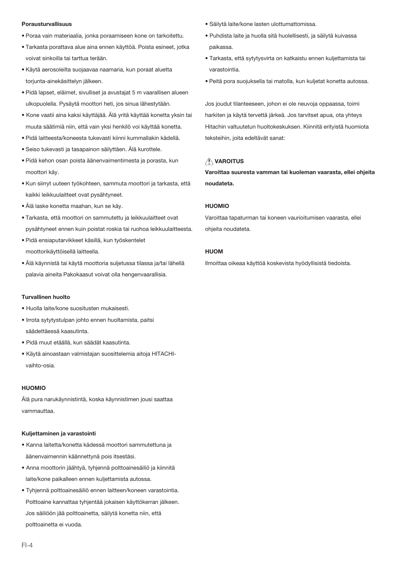#### Porausturvallisuus

- · Poraa vain materiaalia, jonka poraamiseen kone on tarkoitettu.
- · Tarkasta porattava alue aina ennen käyttöä. Poista esineet, jotka voivat sinkoilla tai tarttua terään.
- · Käytä aerosoleilta suojaavaa naamaria, kun poraat aluetta torjunta-ainekäsittelyn jälkeen.
- · Pidä lapset, eläimet, sivulliset ja avustajat 5 m vaarallisen alueen ulkopuolella. Pysäytä moottori heti, jos sinua lähestytään.
- · Kone vaatii aina kaksi käyttäjää. Älä yritä käyttää konetta yksin tai muuta säätimiä niin, että vain yksi henkilö voi käyttää konetta.
- · Pidä laitteesta/koneesta tukevasti kiinni kummallakin kädellä.
- · Seiso tukevasti ja tasapainon säilyttäen. Älä kurottele.
- · Pidä kehon osan poista äänenvaimentimesta ja porasta, kun moottori käy.
- · Kun siirryt uuteen työkohteen, sammuta moottori ja tarkasta, että kaikki leikkuulaitteet ovat pysähtyneet.
- · Älä laske konetta maahan, kun se käy.
- · Tarkasta, että moottori on sammutettu ja leikkuulaitteet ovat pysähtyneet ennen kuin poistat roskia tai ruohoa leikkuulaitteesta.
- · Pidä ensiaputarvikkeet käsillä, kun työskentelet moottorikäyttöisellä laitteella.
- · Älä käynnistä tai käytä moottoria suljetussa tilassa ja/tai lähellä palavia aineita Pakokaasut voivat olla hengenvaarallisia.

#### **Turvallinen huolto**

- · Huolla laite/kone suositusten mukaisesti.
- · Irrota sytytystulpan johto ennen huoltamista, paitsi säädettäessä kaasutinta.
- · Pidä muut etäällä, kun säädät kaasutinta.
- · Käytä ainoastaan valmistajan suosittelemia aitoja HITACHIvaihto-osia.

#### **HUOMIO**

Älä pura narukäynnistintä, koska käynnistimen jousi saattaa vammauttaa.

#### Kuliettaminen ja varastointi

- · Kanna laitetta/konetta kädessä moottori sammutettuna ja äänenvaimennin käännettynä pois itsestäsi.
- · Anna moottorin jäähtvä, tyhiennä polttoainesäiliö ja kiinnitä laite/kone paikalleen ennen kuliettamista autossa.
- · Tyhiennä polttoainesäiliö ennen laitteen/koneen varastointia. Polttoaine kannattaa tyhientää jokaisen käyttökerran jälkeen. Jos säiliöön jää polttoainetta, säilytä konetta niin, että polttoainetta ei vuoda.
- · Säilytä laite/kone lasten ulottumattomissa.
- · Puhdista laite ja huolla sitä huolellisesti, ja säilytä kuivassa naikassa
- · Tarkasta, että sytytysvirta on katkaistu ennen kuljettamista tai varastointia
- · Peitä pora suojuksella tai matolla, kun kuljetat konetta autossa.

Jos joudut tilanteeseen, johon ei ole neuvoja oppaassa, toimi harkiten ja käytä tervettä järkeä. Jos tarvitset apua, ota yhteys Hitachin valtuutetun huoltokeskuksen. Kiinnitä erityistä huomiota teksteihin, joita edeltävät sanat:

## **∕ NAROITUS**

Varoittaa suuresta vamman tai kuoleman vaarasta, ellei ohjeita noudateta

#### HIJOMIO

Varoittaa tapaturman tai koneen vaurioitumisen vaarasta, ellei ohjeita noudateta.

#### **HIIOM**

Ilmoittaa oikeaa käyttöä koskevista hyödyllisistä tiedoista.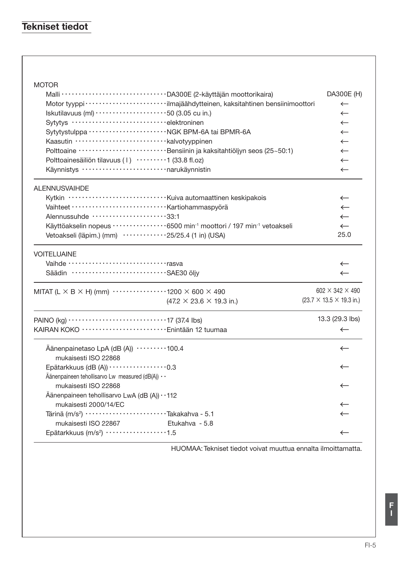# **Tekniset tiedot**

| <b>MOTOR</b>                                                                                             |                                              |
|----------------------------------------------------------------------------------------------------------|----------------------------------------------|
|                                                                                                          | DA300E (H)                                   |
|                                                                                                          | $\leftarrow$                                 |
| Iskutilavuus (ml) $\cdots$ $\cdots$ $\cdots$ $\cdots$ $\cdots$ $\cdots$ 50 (3.05 cu in.)                 | $\leftarrow$                                 |
| Sytytys elektroninen                                                                                     | $\leftarrow$                                 |
|                                                                                                          | $\leftarrow$                                 |
| Kaasutin ······························kalvotyyppinen                                                    | $\leftarrow$                                 |
| Polttoaine ·····························Bensiinin ja kaksitahtiöljyn seos (25~50:1)                      | $\leftarrow$                                 |
| Polttoainesäiliön tilavuus (1) ·········1 (33.8 fl.oz)                                                   | $\leftarrow$                                 |
| Käynnistys ·····························narukäynnistin                                                   | $\leftarrow$                                 |
| <b>ALENNUSVAIHDE</b>                                                                                     |                                              |
|                                                                                                          | $\leftarrow$                                 |
|                                                                                                          | $\leftarrow$                                 |
| Alennussuhde 33:1                                                                                        | $\leftarrow$                                 |
| Käyttöakselin nopeus ·················6500 min <sup>-1</sup> moottori / 197 min <sup>-1</sup> vetoakseli | $\leftarrow$                                 |
| Vetoakseli (läpim.) (mm) ············25/25.4 (1 in) (USA)                                                | 25.0                                         |
| <b>VOITELUAINE</b>                                                                                       |                                              |
| Vaihde ··································rasva                                                           | $\leftarrow$                                 |
| Säädin ································SAE30 öljy                                                        | $\leftarrow$                                 |
| MITAT (L $\times$ B $\times$ H) (mm) $\cdots$ 1200 $\times$ 600 $\times$ 490                             | 602 $\times$ 342 $\times$ 490                |
| $(47.2 \times 23.6 \times 19.3 \text{ in.})$                                                             | $(23.7 \times 13.5 \times 19.3 \text{ in.})$ |
|                                                                                                          | 13.3 (29.3 lbs)                              |
| KAIRAN KOKO ······························ Enintään 12 tuumaa                                            | $\leftarrow$                                 |
| Äänenpainetaso LpA (dB (A)) ·········100.4<br>mukaisesti ISO 22868                                       | $\leftarrow$                                 |
| Epätarkkuus (dB (A)) ··················0.3                                                               | $\leftarrow$                                 |
| Äänenpaineen tehollisarvo Lw measured (dB(A)) · ·                                                        |                                              |
| mukaisesti ISO 22868                                                                                     | $\leftarrow$                                 |
| Äänenpaineen tehollisarvo LwA (dB (A)) · · 112                                                           |                                              |
| mukaisesti 2000/14/EC                                                                                    | $\leftarrow$                                 |
| Tärinä (m/s <sup>2</sup> ) ····························Takakahva - 5.1                                   | $\leftarrow$                                 |
| mukaisesti ISO 22867<br>Etukahva - 5.8                                                                   |                                              |
| Epätarkkuus (m/s <sup>2</sup> ) ·················1.5                                                     | $\leftarrow$                                 |
|                                                                                                          |                                              |

HUOMAA: Tekniset tiedot voivat muuttua ennalta ilmoittamatta.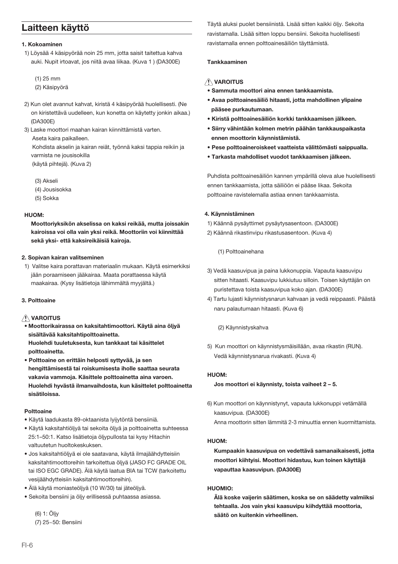## Laitteen käyttö

#### 1. Kokoaminen

1) Löysää 4 käsipyörää noin 25 mm, jotta saisit taitettua kahva auki. Nupit irtoavat, jos niitä avaa liikaa. (Kuva 1) (DA300E)

 $(1)$  25 mm

- (2) Käsipyörä
- 2) Kun olet avannut kahvat, kiristä 4 käsipyörää huolellisesti. (Ne on kiristettävä uudelleen, kun konetta on käytetty jonkin aikaa.) (DA300E)
- 3) Laske moottori maahan kairan kiinnittämistä varten. Aseta kaira paikalleen.

Kohdista akselin ja kairan reiät, työnnä kaksi tappia reikiin ja varmista ne iousisokilla (käytä pihtejä). (Kuva 2)

- (3) Akseli
- (4) Jousisokka
- (5) Sokka

#### HUOM:

Moottorivksikön akselissa on kaksi reikää, mutta ioissakin kairoissa voi olla vain yksi reikä. Moottoriin voi kiinnittää sekä vksi- että kaksireikäisiä kairoia.

#### 2. Sopivan kairan valitseminen

1) Valitse kaira porattavan materiaalin mukaan. Käytä esimerkiksi jään poraamiseen jääkairaa. Maata porattaessa käytä maakairaa. (Kysy lisätietoja lähimmältä myyjältä.)

#### 3 Polttoaine

## **NVAROITUS**

- · Moottorikairassa on kaksitahtimoottori. Käytä aina öljyä sisältävää kaksitahtipolttoainetta. Huolehdi tuuletuksesta, kun tankkaat tai käsittelet polttoainetta.
- · Polttoaine on erittäin helposti syttyvää, ja sen hengittämisestä tai roiskumisesta iholle saattaa seurata vakavia vammoja. Käsittele polttoainetta aina varoen. Huolehdi hyvästä ilmanvaihdosta, kun käsittelet polttoainetta sisätiloissa.

#### Polttoaine

- · Käytä laadukasta 89-oktaanista lyijytöntä bensiiniä.
- · Käytä kaksitahtiöljyä tai sekoita öljyä ja polttoainetta suhteessa 25:1-50:1. Katso lisätietoja öljypullosta tai kysy Hitachin valtuutetun huoltokeskuksen.
- · Jos kaksitahtiöljyä ei ole saatavana, käytä ilmajäähdytteisiin kaksitahtimoottoreihin tarkoitettua öljyä (JASO FC GRADE OIL tai ISO EGC GRADE). Älä käytä laatua BIA tai TCW (tarkoitettu vesijäähdytteisiin kaksitahtimoottoreihin).
- · Älä käytä moniasteöljyä (10 W/30) tai jäteöljyä.
- · Sekoita bensiini ja öljy erillisessä puhtaassa asiassa.

(6) 1: Öljy (7) 25~50: Bensiini Täytä aluksi puolet bensiinistä. Lisää sitten kaikki öljy. Sekoita ravistamalla. Lisää sitten loppu bensiini. Sekoita huolellisesti ravistamalla ennen polttoainesäiliön täyttämistä.

#### Tankkaaminen

### **NAROITUS**

- Sammuta moottori aina ennen tankkaamista.
- · Avaa polttoainesäiliö hitaasti, jotta mahdollinen vlipaine pääsee purkautumaan.
- Kiristä polttoainesäiliön korkki tankkaamisen jälkeen.
- · Siirry vähintään kolmen metrin päähän tankkauspaikasta ennen moottorin käynnistämistä.
- · Pese polttoaineroiskeet vaatteista välittömästi saippualla.
- Tarkasta mahdolliset vuodot tankkaamisen jälkeen.

Puhdista polttoainesäiliön kannen ympärillä oleva alue huolellisesti ennen tankkaamista, jotta säiliöön ei pääse likaa. Sekoita polttoaine ravistelemalla astiaa ennen tankkaamista.

#### 4. Käynnistäminen

- 1) Käännä pysäyttimet pysäytysasentoon. (DA300E)
- 2) Käännä rikastinvipu rikastusasentoon. (Kuva 4)

(1) Polttoainehana

- 3) Vedä kaasuvipua ja paina lukkonuppia. Vapauta kaasuvipu sitten hitaasti. Kaasuvipu lukkiutuu silloin. Toisen käyttäjän on puristettava toista kaasuvipua koko ajan. (DA300E)
- 4) Tartu lujasti käynnistysnarun kahvaan ja vedä reippaasti. Päästä naru palautumaan hitaasti. (Kuva 6)

#### (2) Käynnistyskahva

5) Kun moottori on käynnistysmäisillään, avaa rikastin (RUN). Vedä käynnistysnarua rivakasti. (Kuva 4)

#### HIJOM-

#### Jos moottori ei käynnisty, toista vaiheet 2 - 5.

6) Kun moottori on käynnistynyt, vapauta lukkonuppi vetämällä kaasuvipua. (DA300E) Anna moottorin sittan lämmitä 2-3 minuuttia annan kuormittamista

#### $HIOM$

Kumpaakin kaasuvipua on vedettävä samanaikaisesti, jotta moottori kiihtyisi. Moottori hidastuu, kun toinen käyttäjä vapauttaa kaasuvipun. (DA300E)

#### HUOMIO:

Älä koske vaijerin säätimen, koska se on säädetty valmiiksi tehtaalla. Jos vain yksi kaasuvinu kiihdyttää moottoria. säätö on kuitenkin virheellinen.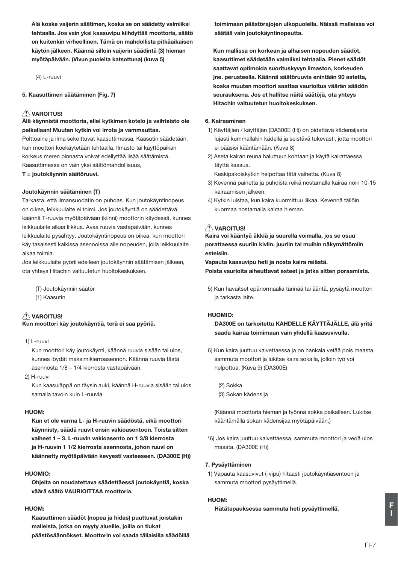Älä koske vaijerin säätimen, koska se on säädetty valmiiksi tehtaalla. Jos vain yksi kaasuvipu kiihdyttää moottoria, säätö on kuitenkin virheellinen. Tämä on mahdollista pitkäaikaisen käytön jälkeen. Käännä silloin vaijerin säädintä (3) hieman myötäpäivään. (Vivun puolelta katsottuna) (kuva 5)

 $(4)$  | -runvi

5. Kaasuttimen säätäminen (Fig. 7)

## $\triangle$  varoitus!

Älä kävnnistä moottoria, ellei kytkimen kotelo ja vaihteisto ole paikallaan! Muuten kytkin voi irrota ja vammauttaa.

Polttoaine ja ilma sekoittuvat kaasuttimessa. Kaasutin säädetään. kun moottori koekäytetään tehtaalla. Ilmasto tai käyttöpaikan korkeus meren pinnasta voivat edellyttää lisää säätämistä. Kaasuttimessa on vain yksi säätömahdollisuus.

T = joutokäynnin säätöruuvi.

#### Joutokäynnin säätäminen (T)

Tarkasta, että ilmansuodatin on puhdas. Kun joutokäyntinopeus on oikea, leikkuulaite ei toimi. Jos joutokäyntiä on säädettävä, käännä T-ruuvia myötäpäivään (kiinni) moottorin käydessä, kunnes leikkuulaite alkaa liikkua. Avaa ruuvia vastapäivään, kunnes leikkuulaite pysähtyy. Joutokäyntinopeus on oikea, kun moottori käy tasaisesti kaikissa asennoissa alle nopeuden, jolla leikkuulaite alkaa toimia

Jos leikkuulaite pyörii edelleen joutokäynnin säätämisen jälkeen, ota yhteys Hitachin valtuutetun huoltokeskuksen.

(T) Joutokäynnin säätör (1) Kaasutin

## $\triangle$  varoitus!

Kun moottori käy joutokäyntiä, terä ei saa pyöriä.

1) L-ruuvi

Kun moottori käy joutokäynti, käännä ruuvia sisään tai ulos. kunnes lövdät maksimikierroasennon. Käännä ruuvia tästä asennosta 1/8 - 1/4 kierrosta vastapäivään.

 $2)$  H<sub>-rupy</sub>

Kun kaasuläppä on täysin auki, käännä H-ruuvia sisään tai ulos samalla tavoin kuin L-ruuvia

#### HUOM-

Kun et ole varma L- ja H-ruuvin säädöstä, eikä moottori käynnisty, säädä ruuvit ensin vakioasentoon. Toista sitten vaiheet 1 - 3. L-ruuvin vakioasento on 1 3/8 kierrosta ja H-ruuvin 1 1/2 kierrosta asennosta, johon ruuvi on käännetty myötäpäivään kevyesti vasteeseen. (DA300E (H))

#### HUOMIO:

Ohjeita on noudatettava säädettäessä joutokäyntiä, koska väärä säätö VAURIOITTAA moottoria.

## $L110M$

Kaasuttimen säädöt (nopea ja hidas) puuttuvat joistakin malleista, jotka on myyty alueille, joilla on tiukat päästösäännökset. Moottorin voi saada tällaisilla säädöillä toimimaan päästörajojen ulkopuolella. Näissä malleissa voi säätää vain joutokäyntinopeutta.

Kun mallissa on korkean ja alhaisen nopeuden säädöt. kaasuttimet säädetään valmiiksi tehtaalla. Pienet säädöt saattavat optimoida suorituskyyyn ilmaston, korkeuden ine, perusteella. Käännä säätöruuvia enintään 90 astetta. koska muuten moottori saattaa vaurioitua väärän säädön seurauksena. Jos et hallitse näitä säätöjä, ota yhteys Hitachin valtuutetun huoltokeskuksen.

#### 6. Kairaaminen

- 1) Käyttäjien / käyttäjän (DA300E (H)) on pidettävä kädensijasta lujasti kummallakin kädellä ja seistävä tukevasti, jotta moottori ei pääsisi kääntämään. (Kuva 8)
- 2) Aseta kairan reuna haluttuun kohtaan ja käytä kairattaessa tävttä kaasua.

Keskipakoiskytkin helpottaa tätä vaihetta. (Kuva 8)

- 3) Kevennä painetta ja puhdista reikä nostamalla kairaa noin 10-15 kairaamisen jälkeen.
- 4) Kytkin luistaa, kun kaira kuormittuu liikaa. Kevennä tällöin kuormaa nostamalla kairaa hieman.

## $\triangle$  VAROITUS!

Kaira voi kääntyä äkkiä ja suurella voimalla, jos se osuu porattaessa suuriin kiviin, juuriin tai muihin näkymättömiin esteisiin.

Vapauta kaasuvipu heti ja nosta kaira reiästä. Poista vaurioita aiheuttavat esteet ja jatka sitten poraamista.

5) Kun havaitset epänormaalia tärinää tai ääntä, pysäytä moottori ia tarkasta laite.

#### HIJOMIO-

DA300E on tarkoitettu KAHDELLE KÄYTTÄJÄLLE, älä vritä saada kairaa toimimaan vain yhdellä kaasuvivulla.

6) Kun kaira juuttuu kaivettaessa ja on hankala vetää pois maasta, sammuta moottori ja lukitse kaira sokalla, jolloin tvö voi helpottua. (Kuva 9) (DA300E)

(2) Sokka (3) Sokan kädensija

(Käännä moottoria hieman ja työnnä sokka paikalleen. Lukitse kääntämällä sokan kädensijaa myötäpäivään.)

\*6) Jos kaira juuttuu kaivettaessa, sammuta moottori ja vedä ulos maasta. (DA300E (H))

#### 7. Pysäyttäminen

1) Vapauta kaasuvivut (-vipu) hitaasti joutokäyntiasentoon ja sammuta moottori pysäyttimellä.

#### HUOM:

Hätätapauksessa sammuta heti pysäyttimellä.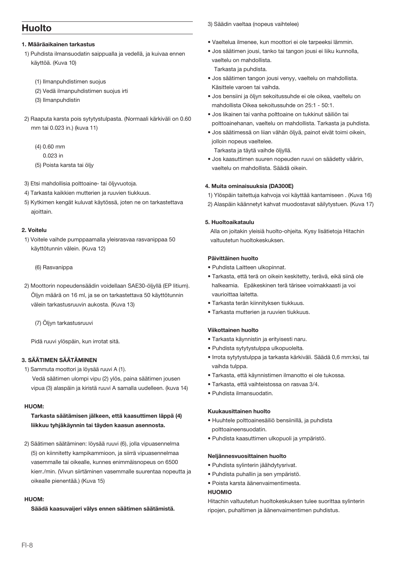## Huolto

#### 1. Määräaikainen tarkastus

- 1) Puhdista ilmansuodatin saippualla ja vedellä, ja kuivaa ennen käyttöä. (Kuva 10)
	- (1) Ilmanpuhdistimen suojus
	- (2) Vedä ilmanpuhdistimen suojus irti
	- (3) Ilmanpuhdistin
- 2) Raaputa karsta pois sytytystulpasta. (Normaali kärkiväli on 0.60 mm tai 0.023 in.) (kuya 11)
	- $(4)$  0.60 mm
		- $0.022<sub>in</sub>$
	- (5) Poista karsta tai öliv
- 3) Etsi mahdollisia polttoaine- tai ölivvuotoia.
- 4) Tarkasta kaikkien mutterien ja ruuvien tiukkuus.
- 5) Kytkimen kengät kuluvat käytössä, joten ne on tarkastettava ajoittain.

#### 2 Voitelu

1) Voitele vaihde pumppaamalla yleisrasvaa rasvanippaa 50 käyttötunnin välein. (Kuva 12)

#### (6) Rasvanippa

- 2) Moottorin nopeudensäädin voidellaan SAE30-ölivilä (EP litium). Ölivn määrä on 16 ml. ja se on tarkastettava 50 käyttötunnin välein tarkastusruuvin aukosta. (Kuva 13)
	- (7) Öljyn tarkastusruuvi

Pidä ruuvi ylöspäin, kun irrotat sitä.

## 3 SÄÄTIMEN SÄÄTÄMINEN

1) Sammuta moottori ja löysää ruuvi A (1). Vedä säätimen ulompi vipu (2) ylös, paina säätimen jousen vipua (3) alaspäin ja kiristä ruuvi A samalla uudelleen. (kuva 14)

#### HUOM-

## Tarkasta säätämisen jälkeen, että kaasuttimen lännä (4) liikkuu tyhjäkäynnin tai täyden kaasun asennosta.

2) Säätimen säätäminen: löysää ruuvi (6), jolla vipuasennelma (5) on kiinnitetty kampikammioon, ja siirrä vipuasennelmaa vasemmalle tai oikealle, kunnes enimmäisnopeus on 6500 kierr./min. (Vivun siirtäminen vasemmalle suurentaa nopeutta ja oikealle pienentää.) (Kuva 15)

## $HIOM$

Säädä kaasuvaijeri välys ennen säätimen säätämistä.

3) Säädin vaeltaa (nopeus vaihtelee)

- · Vaeltelua ilmenee, kun moottori ei ole tarpeeksi lämmin
- · Jos säätimen jousi, tanko tai tangon jousi ei liiku kunnolla, vaeltelu on mahdollista. Tarkasta ja puhdista.
- · Jos säätimen tangon jousi venyy, vaeltelu on mahdollista. Käsittele varoen tai vaihda.
- · Jos bensijni ja ölivn sekoitussuhde ei ole oikea, vaeltelu on mahdollista Oikea sekoitussuhde on 25:1 - 50:1.
- · Jos likainen tai vanha polttoaine on tukkinut säiliön tai polttoainehanan, vaeltelu on mahdollista. Tarkasta ja puhdista.
- · Jos säätimessä on liian vähän öljyä, painot eivät toimi oikein, iolloin nopeus vaeltelee.

Tarkasta ja täytä vaihde ölivllä.

· Jos kaasuttimen suuren nopeuden ruuvi on säädetty väärin, vaeltelu on mahdollista. Säädä oikein.

## 4. Muita ominaisuuksia (DA300E)

- 1) Ylöspäin taitettuja kahvoja voi käyttää kantamiseen. (Kuva 16)
- 2) Alaspäin käännetyt kahvat muodostavat säilytystuen. (Kuva 17)

## 5 Huoltoaikataulu

Alla on joitakin yleisiä huolto-ohjeita. Kysy lisätietoja Hitachin valtuutetun huoltokeskuksen

#### Päivittäinen huolto

- · Puhdista Laitteen ulkopinnat.
- · Tarkasta, että terä on oikein keskitetty, terävä, eikä siinä ole halkeamia. Epäkeskinen terä tärisee voimakkaasti ja voi vaurioittaa laitetta.
- · Tarkasta terän kiinnityksen tiukkuus.
- · Tarkasta mutterien ja ruuvien tiukkuus.

#### Viikottainen huolto

- · Tarkasta käynnistin ja erityisesti naru.
- · Puhdista sytytystulppa ulkopuolelta.
- · Irrota sytytystulppa ja tarkasta kärkiväli. Säädä 0,6 mm:ksi, tai vaihda tulppa.
- · Tarkasta, että käynnistimen ilmanotto ei ole tukossa.
- · Tarkasta, että vaihteistossa on rasvaa 3/4.
- · Puhdista ilmansuodatin.

#### Kuukausittainen huolto

- · Huuhtele polttoainesäiliö bensiinillä, ja puhdista polttoaineensuodatin.
- · Puhdista kaasuttimen ulkopuoli ja ympäristö.

#### Neljännesvuosittainen huolto

- · Puhdista sylinterin jäähdytysrivat.
- · Puhdista puhallin ja sen ympäristö.
- · Poista karsta äänenvaimentimesta.

#### **HUOMIO**

Hitachin valtuutetun huoltokeskuksen tulee suorittaa sylinterin ripojen, puhaltimen ja äänenvaimentimen puhdistus.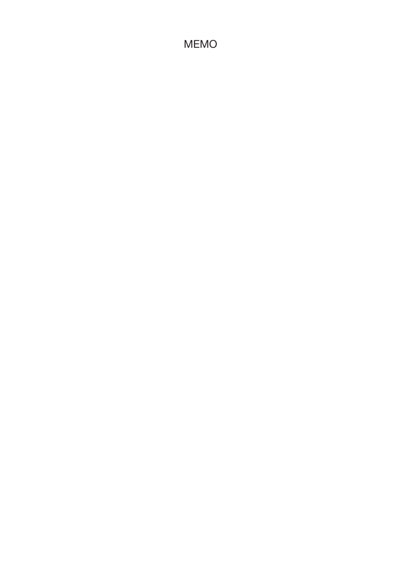# **MEMO**